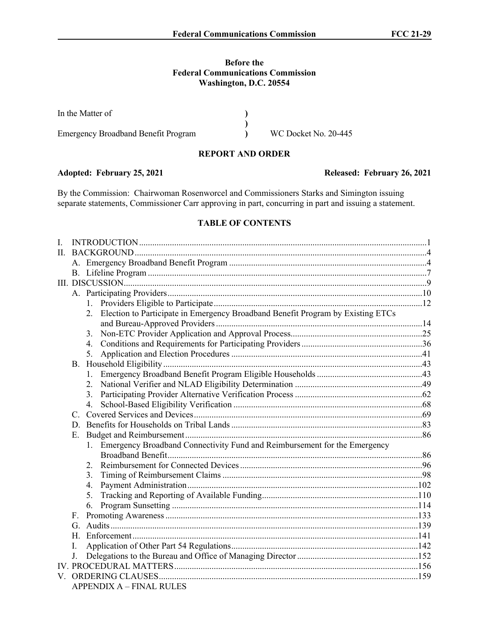## **Before the Federal Communications Commission Washington, D.C. 20554**

| In the Matter of                           |                             |
|--------------------------------------------|-----------------------------|
|                                            |                             |
| <b>Emergency Broadband Benefit Program</b> | <b>WC Docket No. 20-445</b> |

#### **REPORT AND ORDER**

By the Commission: Chairwoman Rosenworcel and Commissioners Starks and Simington issuing separate statements, Commissioner Carr approving in part, concurring in part and issuing a statement.

# **TABLE OF CONTENTS**

| I.      |                                                                           |                                                                                       |  |
|---------|---------------------------------------------------------------------------|---------------------------------------------------------------------------------------|--|
| $\Pi$ . |                                                                           |                                                                                       |  |
|         |                                                                           |                                                                                       |  |
|         |                                                                           |                                                                                       |  |
|         |                                                                           |                                                                                       |  |
|         |                                                                           |                                                                                       |  |
|         |                                                                           |                                                                                       |  |
|         |                                                                           | Election to Participate in Emergency Broadband Benefit Program by Existing ETCs<br>2. |  |
|         |                                                                           |                                                                                       |  |
|         |                                                                           | 3.                                                                                    |  |
|         |                                                                           | 4.                                                                                    |  |
|         |                                                                           | 5.                                                                                    |  |
|         | В.                                                                        |                                                                                       |  |
|         |                                                                           |                                                                                       |  |
|         |                                                                           | 2.                                                                                    |  |
|         |                                                                           | 3.                                                                                    |  |
|         |                                                                           | 4.                                                                                    |  |
|         | $\mathcal{C}$                                                             |                                                                                       |  |
|         | D.                                                                        |                                                                                       |  |
|         | Е.                                                                        |                                                                                       |  |
|         | Emergency Broadband Connectivity Fund and Reimbursement for the Emergency |                                                                                       |  |
|         |                                                                           |                                                                                       |  |
|         |                                                                           | 2.                                                                                    |  |
|         |                                                                           | 3.                                                                                    |  |
|         |                                                                           | 4.                                                                                    |  |
|         |                                                                           | 5.                                                                                    |  |
|         |                                                                           | 6.                                                                                    |  |
|         | F.                                                                        |                                                                                       |  |
|         |                                                                           |                                                                                       |  |
|         | H.                                                                        |                                                                                       |  |
|         | Ι.                                                                        |                                                                                       |  |
|         | J.                                                                        |                                                                                       |  |
|         |                                                                           |                                                                                       |  |
|         |                                                                           |                                                                                       |  |
|         | <b>APPENDIX A - FINAL RULES</b>                                           |                                                                                       |  |

**Adopted: February 25, 2021 Released: February 26, 2021**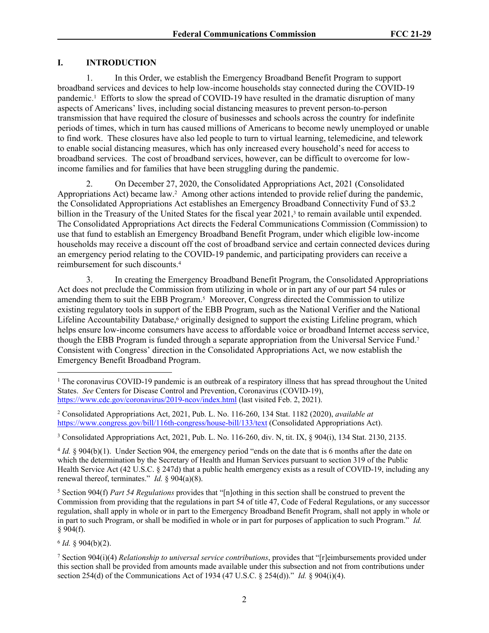# **I. INTRODUCTION**

1. In this Order, we establish the Emergency Broadband Benefit Program to support broadband services and devices to help low-income households stay connected during the COVID-19 pandemic.<sup>1</sup> Efforts to slow the spread of COVID-19 have resulted in the dramatic disruption of many aspects of Americans' lives, including social distancing measures to prevent person-to-person transmission that have required the closure of businesses and schools across the country for indefinite periods of times, which in turn has caused millions of Americans to become newly unemployed or unable to find work. These closures have also led people to turn to virtual learning, telemedicine, and telework to enable social distancing measures, which has only increased every household's need for access to broadband services. The cost of broadband services, however, can be difficult to overcome for lowincome families and for families that have been struggling during the pandemic.

2. On December 27, 2020, the Consolidated Appropriations Act, 2021 (Consolidated Appropriations Act) became law.<sup>2</sup> Among other actions intended to provide relief during the pandemic, the Consolidated Appropriations Act establishes an Emergency Broadband Connectivity Fund of \$3.2 billion in the Treasury of the United States for the fiscal year 2021,<sup>3</sup> to remain available until expended. The Consolidated Appropriations Act directs the Federal Communications Commission (Commission) to use that fund to establish an Emergency Broadband Benefit Program, under which eligible low-income households may receive a discount off the cost of broadband service and certain connected devices during an emergency period relating to the COVID-19 pandemic, and participating providers can receive a reimbursement for such discounts.<sup>4</sup>

3. In creating the Emergency Broadband Benefit Program, the Consolidated Appropriations Act does not preclude the Commission from utilizing in whole or in part any of our part 54 rules or amending them to suit the EBB Program.<sup>5</sup> Moreover, Congress directed the Commission to utilize existing regulatory tools in support of the EBB Program, such as the National Verifier and the National Lifeline Accountability Database,<sup>6</sup> originally designed to support the existing Lifeline program, which helps ensure low-income consumers have access to affordable voice or broadband Internet access service, though the EBB Program is funded through a separate appropriation from the Universal Service Fund.<sup>7</sup> Consistent with Congress' direction in the Consolidated Appropriations Act, we now establish the Emergency Benefit Broadband Program.

4 *Id.* § 904(b)(1). Under Section 904, the emergency period "ends on the date that is 6 months after the date on which the determination by the Secretary of Health and Human Services pursuant to section 319 of the Public Health Service Act (42 U.S.C. § 247d) that a public health emergency exists as a result of COVID-19, including any renewal thereof, terminates." *Id.* § 904(a)(8).

5 Section 904(f) *Part 54 Regulations* provides that "[n]othing in this section shall be construed to prevent the Commission from providing that the regulations in part 54 of title 47, Code of Federal Regulations, or any successor regulation, shall apply in whole or in part to the Emergency Broadband Benefit Program, shall not apply in whole or in part to such Program, or shall be modified in whole or in part for purposes of application to such Program." *Id.*  $§$  904(f).

6 *Id.* § 904(b)(2).

7 Section 904(i)(4) *Relationship to universal service contributions*, provides that "[r]eimbursements provided under this section shall be provided from amounts made available under this subsection and not from contributions under section 254(d) of the Communications Act of 1934 (47 U.S.C. § 254(d))." *Id.* § 904(i)(4).

<sup>1</sup> The coronavirus COVID-19 pandemic is an outbreak of a respiratory illness that has spread throughout the United States. *See* Centers for Disease Control and Prevention, Coronavirus (COVID-19), <https://www.cdc.gov/coronavirus/2019-ncov/index.html>(last visited Feb. 2, 2021).

<sup>2</sup> Consolidated Appropriations Act, 2021, Pub. L. No. 116-260, 134 Stat. 1182 (2020), *available at*  <https://www.congress.gov/bill/116th-congress/house-bill/133/text>(Consolidated Appropriations Act).

<sup>3</sup> Consolidated Appropriations Act, 2021, Pub. L. No. 116-260, div. N, tit. IX, § 904(i), 134 Stat. 2130, 2135.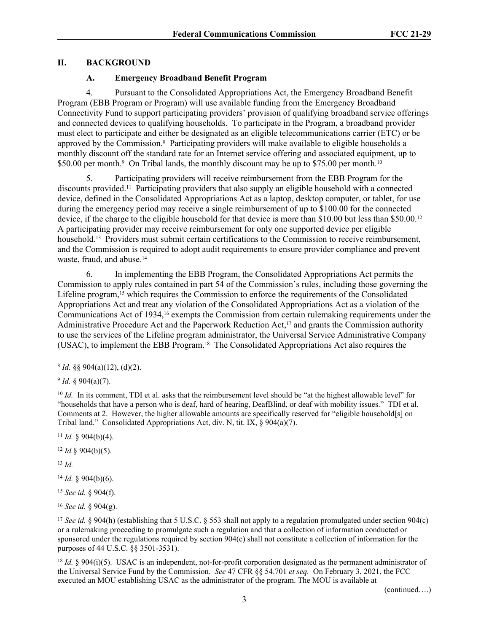# **II. BACKGROUND**

# **A. Emergency Broadband Benefit Program**

4. Pursuant to the Consolidated Appropriations Act, the Emergency Broadband Benefit Program (EBB Program or Program) will use available funding from the Emergency Broadband Connectivity Fund to support participating providers' provision of qualifying broadband service offerings and connected devices to qualifying households. To participate in the Program, a broadband provider must elect to participate and either be designated as an eligible telecommunications carrier (ETC) or be approved by the Commission.<sup>8</sup> Participating providers will make available to eligible households a monthly discount off the standard rate for an Internet service offering and associated equipment, up to \$50.00 per month.<sup>9</sup> On Tribal lands, the monthly discount may be up to \$75.00 per month.<sup>10</sup>

5. Participating providers will receive reimbursement from the EBB Program for the discounts provided.11 Participating providers that also supply an eligible household with a connected device, defined in the Consolidated Appropriations Act as a laptop, desktop computer, or tablet, for use during the emergency period may receive a single reimbursement of up to \$100.00 for the connected device, if the charge to the eligible household for that device is more than \$10.00 but less than \$50.00.<sup>12</sup> A participating provider may receive reimbursement for only one supported device per eligible household.<sup>13</sup> Providers must submit certain certifications to the Commission to receive reimbursement, and the Commission is required to adopt audit requirements to ensure provider compliance and prevent waste, fraud, and abuse.<sup>14</sup>

6. In implementing the EBB Program, the Consolidated Appropriations Act permits the Commission to apply rules contained in part 54 of the Commission's rules, including those governing the Lifeline program,<sup>15</sup> which requires the Commission to enforce the requirements of the Consolidated Appropriations Act and treat any violation of the Consolidated Appropriations Act as a violation of the Communications Act of 1934,16 exempts the Commission from certain rulemaking requirements under the Administrative Procedure Act and the Paperwork Reduction Act,<sup>17</sup> and grants the Commission authority to use the services of the Lifeline program administrator, the Universal Service Administrative Company (USAC), to implement the EBB Program.18 The Consolidated Appropriations Act also requires the

 $11$  *Id.* § 904(b)(4).

<sup>12</sup> *Id.*§ 904(b)(5).

<sup>13</sup> *Id.*

 $14$  *Id.* § 904(b)(6).

<sup>15</sup> *See id.* § 904(f).

<sup>16</sup> *See id.* § 904(g).

<sup>17</sup> *See id.* § 904(h) (establishing that 5 U.S.C. § 553 shall not apply to a regulation promulgated under section 904(c) or a rulemaking proceeding to promulgate such a regulation and that a collection of information conducted or sponsored under the regulations required by section 904(c) shall not constitute a collection of information for the purposes of 44 U.S.C. §§ 3501-3531).

<sup>18</sup> *Id.* § 904(i)(5). USAC is an independent, not-for-profit corporation designated as the permanent administrator of the Universal Service Fund by the Commission. *See* 47 CFR §§ 54.701 *et seq.* On February 3, 2021, the FCC executed an MOU establishing USAC as the administrator of the program. The MOU is available at

(continued….)

<sup>8</sup> *Id.* §§ 904(a)(12), (d)(2).

 $9$  *Id.* § 904(a)(7).

<sup>&</sup>lt;sup>10</sup> *Id.* In its comment, TDI et al. asks that the reimbursement level should be "at the highest allowable level" for "households that have a person who is deaf, hard of hearing, DeafBlind, or deaf with mobility issues." TDI et al. Comments at 2. However, the higher allowable amounts are specifically reserved for "eligible household[s] on Tribal land." Consolidated Appropriations Act, div. N, tit. IX, § 904(a)(7).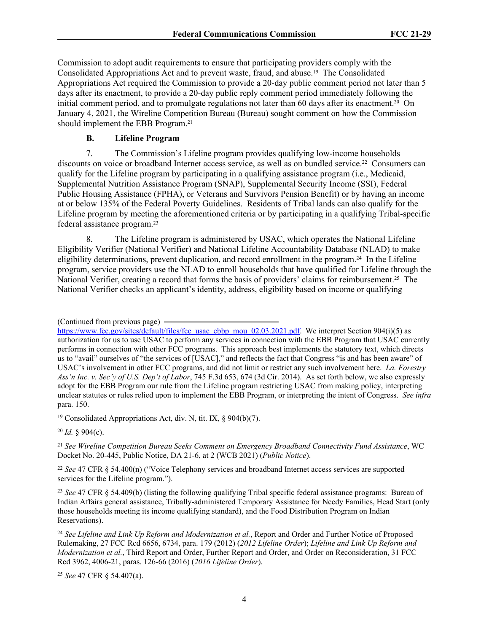Commission to adopt audit requirements to ensure that participating providers comply with the Consolidated Appropriations Act and to prevent waste, fraud, and abuse.19 The Consolidated Appropriations Act required the Commission to provide a 20-day public comment period not later than 5 days after its enactment, to provide a 20-day public reply comment period immediately following the initial comment period, and to promulgate regulations not later than 60 days after its enactment.<sup>20</sup> On January 4, 2021, the Wireline Competition Bureau (Bureau) sought comment on how the Commission should implement the EBB Program.<sup>21</sup>

### **B. Lifeline Program**

7. The Commission's Lifeline program provides qualifying low-income households discounts on voice or broadband Internet access service, as well as on bundled service.22 Consumers can qualify for the Lifeline program by participating in a qualifying assistance program (i.e., Medicaid, Supplemental Nutrition Assistance Program (SNAP), Supplemental Security Income (SSI), Federal Public Housing Assistance (FPHA), or Veterans and Survivors Pension Benefit) or by having an income at or below 135% of the Federal Poverty Guidelines. Residents of Tribal lands can also qualify for the Lifeline program by meeting the aforementioned criteria or by participating in a qualifying Tribal-specific federal assistance program.<sup>23</sup>

8. The Lifeline program is administered by USAC, which operates the National Lifeline Eligibility Verifier (National Verifier) and National Lifeline Accountability Database (NLAD) to make eligibility determinations, prevent duplication, and record enrollment in the program.24 In the Lifeline program, service providers use the NLAD to enroll households that have qualified for Lifeline through the National Verifier, creating a record that forms the basis of providers' claims for reimbursement.<sup>25</sup> The National Verifier checks an applicant's identity, address, eligibility based on income or qualifying

<sup>19</sup> Consolidated Appropriations Act, div. N, tit. IX,  $\frac{8}{904(b)(7)}$ .

<sup>20</sup> *Id.* § 904(c).

<sup>21</sup> *See Wireline Competition Bureau Seeks Comment on Emergency Broadband Connectivity Fund Assistance*, WC Docket No. 20-445, Public Notice, DA 21-6, at 2 (WCB 2021) (*Public Notice*).

<sup>22</sup> *See* 47 CFR § 54.400(n) ("Voice Telephony services and broadband Internet access services are supported services for the Lifeline program.").

<sup>23</sup> *See* 47 CFR § 54.409(b) (listing the following qualifying Tribal specific federal assistance programs: Bureau of Indian Affairs general assistance, Tribally-administered Temporary Assistance for Needy Families, Head Start (only those households meeting its income qualifying standard), and the Food Distribution Program on Indian Reservations).

<sup>24</sup> *See Lifeline and Link Up Reform and Modernization et al.*, Report and Order and Further Notice of Proposed Rulemaking, 27 FCC Rcd 6656, 6734, para. 179 (2012) (*2012 Lifeline Order*); *Lifeline and Link Up Reform and Modernization et al.*, Third Report and Order, Further Report and Order, and Order on Reconsideration, 31 FCC Rcd 3962, 4006-21, paras. 126-66 (2016) (*2016 Lifeline Order*).

<sup>25</sup> *See* 47 CFR § 54.407(a).

<sup>(</sup>Continued from previous page)

[https://www.fcc.gov/sites/default/files/fcc\\_usac\\_ebbp\\_mou\\_02.03.2021.pdf.](https://www.fcc.gov/sites/default/files/fcc_usac_ebbp_mou_02.03.2021.pdf) We interpret Section 904(i)(5) as authorization for us to use USAC to perform any services in connection with the EBB Program that USAC currently performs in connection with other FCC programs. This approach best implements the statutory text, which directs us to "avail" ourselves of "the services of [USAC]," and reflects the fact that Congress "is and has been aware" of USAC's involvement in other FCC programs, and did not limit or restrict any such involvement here. *La. Forestry Ass'n Inc. v. Sec'y of U.S. Dep't of Labor*, 745 F.3d 653, 674 (3d Cir. 2014). As set forth below, we also expressly adopt for the EBB Program our rule from the Lifeline program restricting USAC from making policy, interpreting unclear statutes or rules relied upon to implement the EBB Program, or interpreting the intent of Congress. *See infra* para. 150.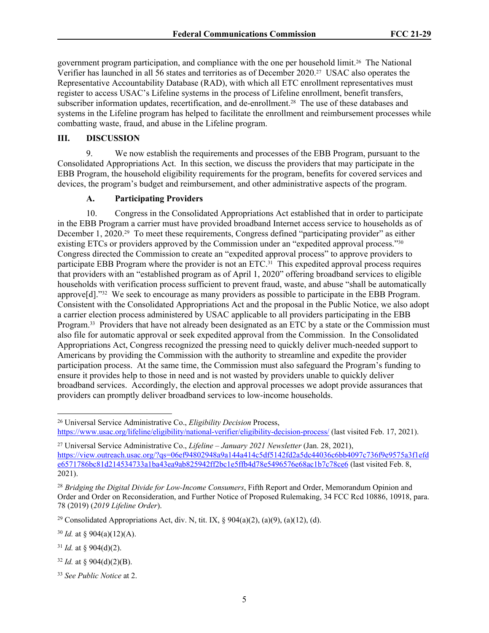government program participation, and compliance with the one per household limit.26 The National Verifier has launched in all 56 states and territories as of December 2020.27 USAC also operates the Representative Accountability Database (RAD), with which all ETC enrollment representatives must register to access USAC's Lifeline systems in the process of Lifeline enrollment, benefit transfers, subscriber information updates, recertification, and de-enrollment.28 The use of these databases and systems in the Lifeline program has helped to facilitate the enrollment and reimbursement processes while combatting waste, fraud, and abuse in the Lifeline program.

## **III. DISCUSSION**

9. We now establish the requirements and processes of the EBB Program, pursuant to the Consolidated Appropriations Act. In this section, we discuss the providers that may participate in the EBB Program, the household eligibility requirements for the program, benefits for covered services and devices, the program's budget and reimbursement, and other administrative aspects of the program.

# **A. Participating Providers**

10. Congress in the Consolidated Appropriations Act established that in order to participate in the EBB Program a carrier must have provided broadband Internet access service to households as of December 1, 2020.<sup>29</sup> To meet these requirements, Congress defined "participating provider" as either existing ETCs or providers approved by the Commission under an "expedited approval process."<sup>30</sup> Congress directed the Commission to create an "expedited approval process" to approve providers to participate EBB Program where the provider is not an ETC.<sup>31</sup> This expedited approval process requires that providers with an "established program as of April 1, 2020" offering broadband services to eligible households with verification process sufficient to prevent fraud, waste, and abuse "shall be automatically approve[d]."32 We seek to encourage as many providers as possible to participate in the EBB Program. Consistent with the Consolidated Appropriations Act and the proposal in the Public Notice, we also adopt a carrier election process administered by USAC applicable to all providers participating in the EBB Program.<sup>33</sup> Providers that have not already been designated as an ETC by a state or the Commission must also file for automatic approval or seek expedited approval from the Commission. In the Consolidated Appropriations Act, Congress recognized the pressing need to quickly deliver much-needed support to Americans by providing the Commission with the authority to streamline and expedite the provider participation process. At the same time, the Commission must also safeguard the Program's funding to ensure it provides help to those in need and is not wasted by providers unable to quickly deliver broadband services. Accordingly, the election and approval processes we adopt provide assurances that providers can promptly deliver broadband services to low-income households.

<sup>26</sup> Universal Service Administrative Co., *Eligibility Decision* Process, <https://www.usac.org/lifeline/eligibility/national-verifier/eligibility-decision-process/> (last visited Feb. 17, 2021).

<sup>27</sup> Universal Service Administrative Co., *Lifeline – January 2021 Newsletter* (Jan. 28, 2021), [https://view.outreach.usac.org/?qs=06ef94802948a9a144a414c5df5142fd2a5dc44036c6bb4097c736f9e9575a3f1efd](https://view.outreach.usac.org/?qs=06ef94802948a9a144a414c5df5142fd2a5dc44036c6bb4097c736f9e9575a3f1efde6571786bc81d214534733a1ba43ea9ab825942ff2bc1e5ffb4d78e5496576e68ac1b7c78ce6) [e6571786bc81d214534733a1ba43ea9ab825942ff2bc1e5ffb4d78e5496576e68ac1b7c78ce6](https://view.outreach.usac.org/?qs=06ef94802948a9a144a414c5df5142fd2a5dc44036c6bb4097c736f9e9575a3f1efde6571786bc81d214534733a1ba43ea9ab825942ff2bc1e5ffb4d78e5496576e68ac1b7c78ce6) (last visited Feb. 8, 2021).

<sup>28</sup> *Bridging the Digital Divide for Low-Income Consumers*, Fifth Report and Order, Memorandum Opinion and Order and Order on Reconsideration, and Further Notice of Proposed Rulemaking, 34 FCC Rcd 10886, 10918, para. 78 (2019) (*2019 Lifeline Order*).

<sup>&</sup>lt;sup>29</sup> Consolidated Appropriations Act, div. N, tit. IX, § 904(a)(2), (a)(9), (a)(12), (d).

 $30$  *Id.* at § 904(a)(12)(A).

 $31$  *Id.* at § 904(d)(2).

 $32$  *Id.* at § 904(d)(2)(B).

<sup>33</sup> *See Public Notice* at 2.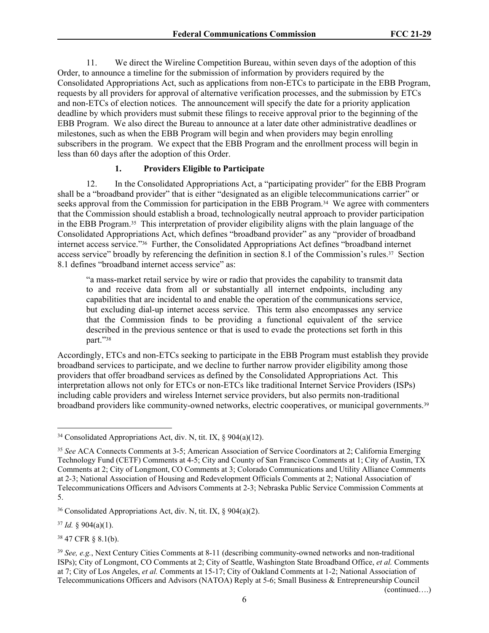11. We direct the Wireline Competition Bureau, within seven days of the adoption of this Order, to announce a timeline for the submission of information by providers required by the Consolidated Appropriations Act, such as applications from non-ETCs to participate in the EBB Program, requests by all providers for approval of alternative verification processes, and the submission by ETCs and non-ETCs of election notices. The announcement will specify the date for a priority application deadline by which providers must submit these filings to receive approval prior to the beginning of the EBB Program. We also direct the Bureau to announce at a later date other administrative deadlines or milestones, such as when the EBB Program will begin and when providers may begin enrolling subscribers in the program. We expect that the EBB Program and the enrollment process will begin in less than 60 days after the adoption of this Order.

## **1. Providers Eligible to Participate**

12. In the Consolidated Appropriations Act, a "participating provider" for the EBB Program shall be a "broadband provider" that is either "designated as an eligible telecommunications carrier" or seeks approval from the Commission for participation in the EBB Program.<sup>34</sup> We agree with commenters that the Commission should establish a broad, technologically neutral approach to provider participation in the EBB Program.35 This interpretation of provider eligibility aligns with the plain language of the Consolidated Appropriations Act, which defines "broadband provider" as any "provider of broadband internet access service."36 Further, the Consolidated Appropriations Act defines "broadband internet access service" broadly by referencing the definition in section 8.1 of the Commission's rules.<sup>37</sup> Section 8.1 defines "broadband internet access service" as:

"a mass-market retail service by wire or radio that provides the capability to transmit data to and receive data from all or substantially all internet endpoints, including any capabilities that are incidental to and enable the operation of the communications service, but excluding dial-up internet access service. This term also encompasses any service that the Commission finds to be providing a functional equivalent of the service described in the previous sentence or that is used to evade the protections set forth in this part."<sup>38</sup>

Accordingly, ETCs and non-ETCs seeking to participate in the EBB Program must establish they provide broadband services to participate, and we decline to further narrow provider eligibility among those providers that offer broadband services as defined by the Consolidated Appropriations Act. This interpretation allows not only for ETCs or non-ETCs like traditional Internet Service Providers (ISPs) including cable providers and wireless Internet service providers, but also permits non-traditional broadband providers like community-owned networks, electric cooperatives, or municipal governments.<sup>39</sup>

 $37$  *Id.* § 904(a)(1).

<sup>38</sup> 47 CFR § 8.1(b).

(continued….)

<sup>34</sup> Consolidated Appropriations Act, div. N, tit. IX, § 904(a)(12).

<sup>35</sup> *See* ACA Connects Comments at 3-5; American Association of Service Coordinators at 2; California Emerging Technology Fund (CETF) Comments at 4-5; City and County of San Francisco Comments at 1; City of Austin, TX Comments at 2; City of Longmont, CO Comments at 3; Colorado Communications and Utility Alliance Comments at 2-3; National Association of Housing and Redevelopment Officials Comments at 2; National Association of Telecommunications Officers and Advisors Comments at 2-3; Nebraska Public Service Commission Comments at 5.

<sup>36</sup> Consolidated Appropriations Act, div. N, tit. IX, § 904(a)(2).

<sup>39</sup> *See, e.g.*, Next Century Cities Comments at 8-11 (describing community-owned networks and non-traditional ISPs); City of Longmont, CO Comments at 2; City of Seattle, Washington State Broadband Office, *et al.* Comments at 7; City of Los Angeles, *et al.* Comments at 15-17; City of Oakland Comments at 1-2; National Association of Telecommunications Officers and Advisors (NATOA) Reply at 5-6; Small Business & Entrepreneurship Council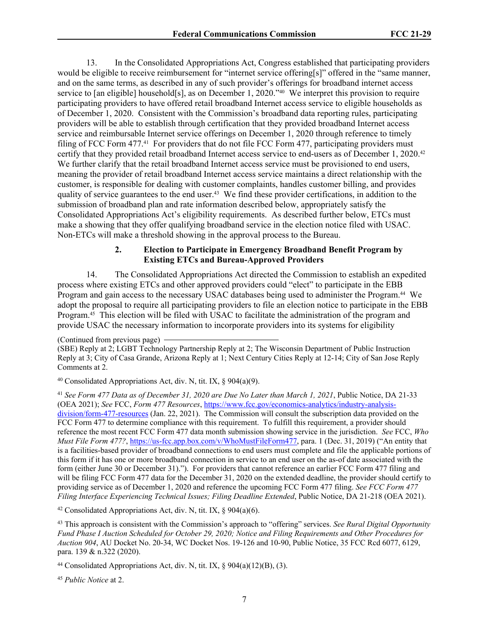13. In the Consolidated Appropriations Act, Congress established that participating providers would be eligible to receive reimbursement for "internet service offering[s]" offered in the "same manner, and on the same terms, as described in any of such provider's offerings for broadband internet access service to [an eligible] household[s], as on December 1, 2020."<sup>40</sup> We interpret this provision to require participating providers to have offered retail broadband Internet access service to eligible households as of December 1, 2020. Consistent with the Commission's broadband data reporting rules, participating providers will be able to establish through certification that they provided broadband Internet access service and reimbursable Internet service offerings on December 1, 2020 through reference to timely filing of FCC Form 477.41 For providers that do not file FCC Form 477, participating providers must certify that they provided retail broadband Internet access service to end-users as of December 1, 2020.<sup>42</sup> We further clarify that the retail broadband Internet access service must be provisioned to end users, meaning the provider of retail broadband Internet access service maintains a direct relationship with the customer, is responsible for dealing with customer complaints, handles customer billing, and provides quality of service guarantees to the end user.<sup>43</sup> We find these provider certifications, in addition to the submission of broadband plan and rate information described below, appropriately satisfy the Consolidated Appropriations Act's eligibility requirements. As described further below, ETCs must make a showing that they offer qualifying broadband service in the election notice filed with USAC. Non-ETCs will make a threshold showing in the approval process to the Bureau.

### **2. Election to Participate in Emergency Broadband Benefit Program by Existing ETCs and Bureau-Approved Providers**

14. The Consolidated Appropriations Act directed the Commission to establish an expedited process where existing ETCs and other approved providers could "elect" to participate in the EBB Program and gain access to the necessary USAC databases being used to administer the Program.<sup>44</sup> We adopt the proposal to require all participating providers to file an election notice to participate in the EBB Program.<sup>45</sup> This election will be filed with USAC to facilitate the administration of the program and provide USAC the necessary information to incorporate providers into its systems for eligibility

<sup>40</sup> Consolidated Appropriations Act, div. N, tit. IX,  $\frac{1}{2}$  904(a)(9).

<sup>41</sup> *See Form 477 Data as of December 31, 2020 are Due No Later than March 1, 2021*, Public Notice, DA 21-33 (OEA 2021); *See* FCC, *Form 477 Resources*, [https://www.fcc.gov/economics-analytics/industry-analysis](https://www.fcc.gov/economics-analytics/industry-analysis-division/form-477-resources)[division/form-477-resources](https://www.fcc.gov/economics-analytics/industry-analysis-division/form-477-resources) (Jan. 22, 2021). The Commission will consult the subscription data provided on the FCC Form 477 to determine compliance with this requirement. To fulfill this requirement, a provider should reference the most recent FCC Form 477 data month submission showing service in the jurisdiction. *See* FCC, *Who Must File Form 477?*, [https://us-fcc.app.box.com/v/WhoMustFileForm477,](https://us-fcc.app.box.com/v/WhoMustFileForm477) para. 1 (Dec. 31, 2019) ("An entity that is a facilities-based provider of broadband connections to end users must complete and file the applicable portions of this form if it has one or more broadband connection in service to an end user on the as-of date associated with the form (either June 30 or December 31)."). For providers that cannot reference an earlier FCC Form 477 filing and will be filing FCC Form 477 data for the December 31, 2020 on the extended deadline, the provider should certify to providing service as of December 1, 2020 and reference the upcoming FCC Form 477 filing. *See FCC Form 477 Filing Interface Experiencing Technical Issues; Filing Deadline Extended*, Public Notice, DA 21-218 (OEA 2021).

<sup>42</sup> Consolidated Appropriations Act, div. N, tit. IX,  $\S$  904(a)(6).

<sup>43</sup> This approach is consistent with the Commission's approach to "offering" services. *See Rural Digital Opportunity Fund Phase I Auction Scheduled for October 29, 2020; Notice and Filing Requirements and Other Procedures for Auction 904*, AU Docket No. 20-34, WC Docket Nos. 19-126 and 10-90, Public Notice, 35 FCC Rcd 6077, 6129, para. 139 & n.322 (2020).

<sup>45</sup> *Public Notice* at 2.

<sup>(</sup>Continued from previous page)

<sup>(</sup>SBE) Reply at 2; LGBT Technology Partnership Reply at 2; The Wisconsin Department of Public Instruction Reply at 3; City of Casa Grande, Arizona Reply at 1; Next Century Cities Reply at 12-14; City of San Jose Reply Comments at 2.

<sup>&</sup>lt;sup>44</sup> Consolidated Appropriations Act, div. N, tit. IX,  $\frac{6}{904(a)(12)(B)}$ , (3).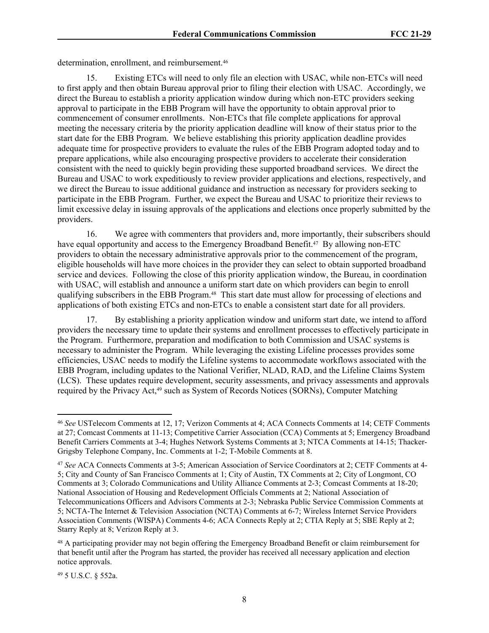determination, enrollment, and reimbursement.<sup>46</sup>

Existing ETCs will need to only file an election with USAC, while non-ETCs will need to first apply and then obtain Bureau approval prior to filing their election with USAC. Accordingly, we direct the Bureau to establish a priority application window during which non-ETC providers seeking approval to participate in the EBB Program will have the opportunity to obtain approval prior to commencement of consumer enrollments. Non-ETCs that file complete applications for approval meeting the necessary criteria by the priority application deadline will know of their status prior to the start date for the EBB Program. We believe establishing this priority application deadline provides adequate time for prospective providers to evaluate the rules of the EBB Program adopted today and to prepare applications, while also encouraging prospective providers to accelerate their consideration consistent with the need to quickly begin providing these supported broadband services. We direct the Bureau and USAC to work expeditiously to review provider applications and elections, respectively, and we direct the Bureau to issue additional guidance and instruction as necessary for providers seeking to participate in the EBB Program. Further, we expect the Bureau and USAC to prioritize their reviews to limit excessive delay in issuing approvals of the applications and elections once properly submitted by the providers.

16. We agree with commenters that providers and, more importantly, their subscribers should have equal opportunity and access to the Emergency Broadband Benefit.<sup>47</sup> By allowing non-ETC providers to obtain the necessary administrative approvals prior to the commencement of the program, eligible households will have more choices in the provider they can select to obtain supported broadband service and devices. Following the close of this priority application window, the Bureau, in coordination with USAC, will establish and announce a uniform start date on which providers can begin to enroll qualifying subscribers in the EBB Program.<sup>48</sup> This start date must allow for processing of elections and applications of both existing ETCs and non-ETCs to enable a consistent start date for all providers.

17. By establishing a priority application window and uniform start date, we intend to afford providers the necessary time to update their systems and enrollment processes to effectively participate in the Program. Furthermore, preparation and modification to both Commission and USAC systems is necessary to administer the Program. While leveraging the existing Lifeline processes provides some efficiencies, USAC needs to modify the Lifeline systems to accommodate workflows associated with the EBB Program, including updates to the National Verifier, NLAD, RAD, and the Lifeline Claims System (LCS). These updates require development, security assessments, and privacy assessments and approvals required by the Privacy Act,<sup>49</sup> such as System of Records Notices (SORNs), Computer Matching

49 5 U.S.C. § 552a.

<sup>46</sup> *See* USTelecom Comments at 12, 17; Verizon Comments at 4; ACA Connects Comments at 14; CETF Comments at 27; Comcast Comments at 11-13; Competitive Carrier Association (CCA) Comments at 5; Emergency Broadband Benefit Carriers Comments at 3-4; Hughes Network Systems Comments at 3; NTCA Comments at 14-15; Thacker-Grigsby Telephone Company, Inc. Comments at 1-2; T-Mobile Comments at 8.

<sup>47</sup> *See* ACA Connects Comments at 3-5; American Association of Service Coordinators at 2; CETF Comments at 4- 5; City and County of San Francisco Comments at 1; City of Austin, TX Comments at 2; City of Longmont, CO Comments at 3; Colorado Communications and Utility Alliance Comments at 2-3; Comcast Comments at 18-20; National Association of Housing and Redevelopment Officials Comments at 2; National Association of Telecommunications Officers and Advisors Comments at 2-3; Nebraska Public Service Commission Comments at 5; NCTA-The Internet & Television Association (NCTA) Comments at 6-7; Wireless Internet Service Providers Association Comments (WISPA) Comments 4-6; ACA Connects Reply at 2; CTIA Reply at 5; SBE Reply at 2; Starry Reply at 8; Verizon Reply at 3.

<sup>48</sup> A participating provider may not begin offering the Emergency Broadband Benefit or claim reimbursement for that benefit until after the Program has started, the provider has received all necessary application and election notice approvals.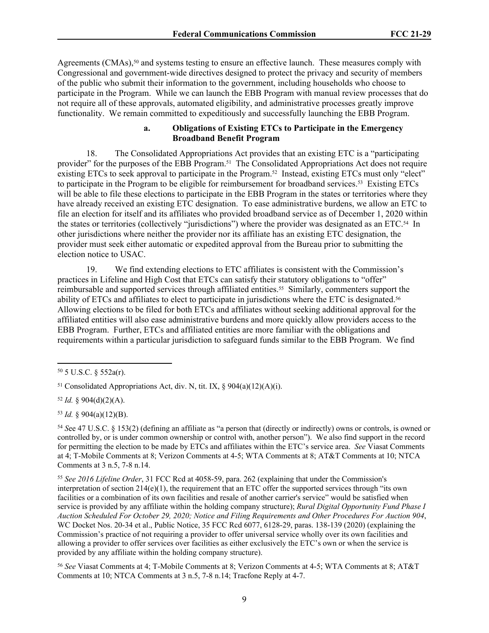Agreements (CMAs),<sup>50</sup> and systems testing to ensure an effective launch. These measures comply with Congressional and government-wide directives designed to protect the privacy and security of members of the public who submit their information to the government, including households who choose to participate in the Program. While we can launch the EBB Program with manual review processes that do not require all of these approvals, automated eligibility, and administrative processes greatly improve functionality. We remain committed to expeditiously and successfully launching the EBB Program.

#### **a. Obligations of Existing ETCs to Participate in the Emergency Broadband Benefit Program**

18. The Consolidated Appropriations Act provides that an existing ETC is a "participating provider" for the purposes of the EBB Program.<sup>51</sup> The Consolidated Appropriations Act does not require existing ETCs to seek approval to participate in the Program.<sup>52</sup> Instead, existing ETCs must only "elect" to participate in the Program to be eligible for reimbursement for broadband services.53 Existing ETCs will be able to file these elections to participate in the EBB Program in the states or territories where they have already received an existing ETC designation. To ease administrative burdens, we allow an ETC to file an election for itself and its affiliates who provided broadband service as of December 1, 2020 within the states or territories (collectively "jurisdictions") where the provider was designated as an ETC.<sup>54</sup> In other jurisdictions where neither the provider nor its affiliate has an existing ETC designation, the provider must seek either automatic or expedited approval from the Bureau prior to submitting the election notice to USAC.

19. We find extending elections to ETC affiliates is consistent with the Commission's practices in Lifeline and High Cost that ETCs can satisfy their statutory obligations to "offer" reimbursable and supported services through affiliated entities.55 Similarly, commenters support the ability of ETCs and affiliates to elect to participate in jurisdictions where the ETC is designated.<sup>56</sup> Allowing elections to be filed for both ETCs and affiliates without seeking additional approval for the affiliated entities will also ease administrative burdens and more quickly allow providers access to the EBB Program. Further, ETCs and affiliated entities are more familiar with the obligations and requirements within a particular jurisdiction to safeguard funds similar to the EBB Program. We find

 $52$  *Id.* § 904(d)(2)(A).

<sup>53</sup> *Id.* § 904(a)(12)(B).

<sup>54</sup> *S*ee 47 U.S.C. § 153(2) (defining an affiliate as "a person that (directly or indirectly) owns or controls, is owned or controlled by, or is under common ownership or control with, another person"). We also find support in the record for permitting the election to be made by ETCs and affiliates within the ETC's service area. *See* Viasat Comments at 4; T-Mobile Comments at 8; Verizon Comments at 4-5; WTA Comments at 8; AT&T Comments at 10; NTCA Comments at 3 n.5, 7-8 n.14.

<sup>55</sup> *See 2016 Lifeline Order*, 31 FCC Rcd at 4058-59, para. 262 (explaining that under the Commission's interpretation of section 214(e)(1), the requirement that an ETC offer the supported services through "its own facilities or a combination of its own facilities and resale of another carrier's service" would be satisfied when service is provided by any affiliate within the holding company structure); *Rural Digital Opportunity Fund Phase I Auction Scheduled For October 29, 2020; Notice and Filing Requirements and Other Procedures For Auction 904*, WC Docket Nos. 20-34 et al., Public Notice, 35 FCC Rcd 6077, 6128-29, paras. 138-139 (2020) (explaining the Commission's practice of not requiring a provider to offer universal service wholly over its own facilities and allowing a provider to offer services over facilities as either exclusively the ETC's own or when the service is provided by any affiliate within the holding company structure).

<sup>56</sup> *See* Viasat Comments at 4; T-Mobile Comments at 8; Verizon Comments at 4-5; WTA Comments at 8; AT&T Comments at 10; NTCA Comments at 3 n.5, 7-8 n.14; Tracfone Reply at 4-7.

 $50$  5 U.S.C. § 552a(r).

<sup>&</sup>lt;sup>51</sup> Consolidated Appropriations Act, div. N, tit. IX,  $\S$  904(a)(12)(A)(i).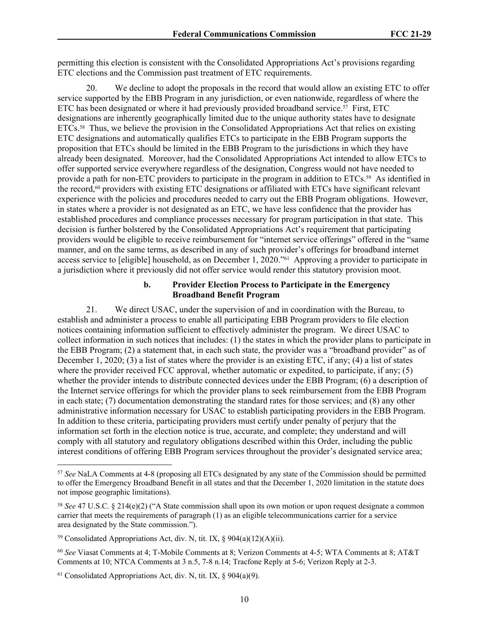permitting this election is consistent with the Consolidated Appropriations Act's provisions regarding ETC elections and the Commission past treatment of ETC requirements.

<span id="page-9-0"></span>20. We decline to adopt the proposals in the record that would allow an existing ETC to offer service supported by the EBB Program in any jurisdiction, or even nationwide, regardless of where the ETC has been designated or where it had previously provided broadband service.<sup>57</sup> First, ETC designations are inherently geographically limited due to the unique authority states have to designate ETCs.58 Thus, we believe the provision in the Consolidated Appropriations Act that relies on existing ETC designations and automatically qualifies ETCs to participate in the EBB Program supports the proposition that ETCs should be limited in the EBB Program to the jurisdictions in which they have already been designated. Moreover, had the Consolidated Appropriations Act intended to allow ETCs to offer supported service everywhere regardless of the designation, Congress would not have needed to provide a path for non-ETC providers to participate in the program in addition to ETCs.59 As identified in the record,60 providers with existing ETC designations or affiliated with ETCs have significant relevant experience with the policies and procedures needed to carry out the EBB Program obligations. However, in states where a provider is not designated as an ETC, we have less confidence that the provider has established procedures and compliance processes necessary for program participation in that state. This decision is further bolstered by the Consolidated Appropriations Act's requirement that participating providers would be eligible to receive reimbursement for "internet service offerings" offered in the "same manner, and on the same terms, as described in any of such provider's offerings for broadband internet access service to [eligible] household, as on December 1, 2020."61 Approving a provider to participate in a jurisdiction where it previously did not offer service would render this statutory provision moot.

#### **b. Provider Election Process to Participate in the Emergency Broadband Benefit Program**

21. We direct USAC, under the supervision of and in coordination with the Bureau, to establish and administer a process to enable all participating EBB Program providers to file election notices containing information sufficient to effectively administer the program. We direct USAC to collect information in such notices that includes: (1) the states in which the provider plans to participate in the EBB Program; (2) a statement that, in each such state, the provider was a "broadband provider" as of December 1, 2020; (3) a list of states where the provider is an existing ETC, if any; (4) a list of states where the provider received FCC approval, whether automatic or expedited, to participate, if any; (5) whether the provider intends to distribute connected devices under the EBB Program; (6) a description of the Internet service offerings for which the provider plans to seek reimbursement from the EBB Program in each state; (7) documentation demonstrating the standard rates for those services; and (8) any other administrative information necessary for USAC to establish participating providers in the EBB Program. In addition to these criteria, participating providers must certify under penalty of perjury that the information set forth in the election notice is true, accurate, and complete; they understand and will comply with all statutory and regulatory obligations described within this Order, including the public interest conditions of offering EBB Program services throughout the provider's designated service area;

<sup>57</sup> *See* NaLA Comments at 4-8 (proposing all ETCs designated by any state of the Commission should be permitted to offer the Emergency Broadband Benefit in all states and that the December 1, 2020 limitation in the statute does not impose geographic limitations).

<sup>58</sup> *See* 47 U.S.C. § 214(e)(2) ("A State commission shall upon its own motion or upon request designate a common carrier that meets the requirements of paragraph (1) as an eligible telecommunications carrier for a service area designated by the State commission.").

<sup>&</sup>lt;sup>59</sup> Consolidated Appropriations Act, div. N, tit. IX, §  $904(a)(12)(A)(ii)$ .

<sup>60</sup> *See* Viasat Comments at 4; T-Mobile Comments at 8; Verizon Comments at 4-5; WTA Comments at 8; AT&T Comments at 10; NTCA Comments at 3 n.5, 7-8 n.14; Tracfone Reply at 5-6; Verizon Reply at 2-3.

 $61$  Consolidated Appropriations Act, div. N, tit. IX,  $\S$  904(a)(9).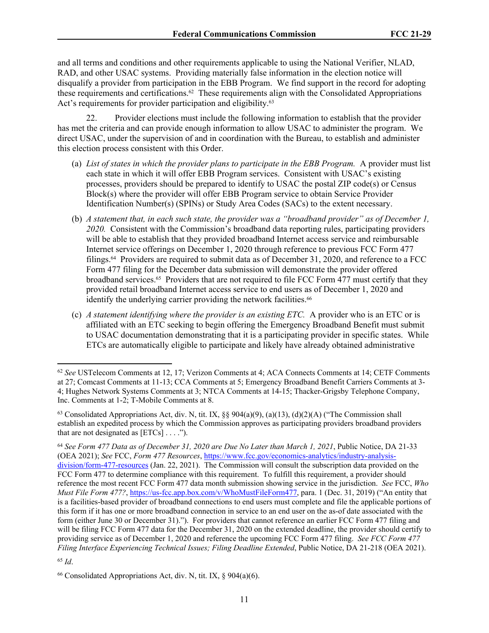and all terms and conditions and other requirements applicable to using the National Verifier, NLAD, RAD, and other USAC systems. Providing materially false information in the election notice will disqualify a provider from participation in the EBB Program. We find support in the record for adopting these requirements and certifications.62 These requirements align with the Consolidated Appropriations Act's requirements for provider participation and eligibility.<sup>63</sup>

22. Provider elections must include the following information to establish that the provider has met the criteria and can provide enough information to allow USAC to administer the program. We direct USAC, under the supervision of and in coordination with the Bureau, to establish and administer this election process consistent with this Order.

- (a) *List of states in which the provider plans to participate in the EBB Program.* A provider must list each state in which it will offer EBB Program services. Consistent with USAC's existing processes, providers should be prepared to identify to USAC the postal ZIP code(s) or Census Block(s) where the provider will offer EBB Program service to obtain Service Provider Identification Number(s) (SPINs) or Study Area Codes (SACs) to the extent necessary.
- (b) *A statement that, in each such state, the provider was a "broadband provider" as of December 1, 2020.* Consistent with the Commission's broadband data reporting rules, participating providers will be able to establish that they provided broadband Internet access service and reimbursable Internet service offerings on December 1, 2020 through reference to previous FCC Form 477 filings. $64$  Providers are required to submit data as of December 31, 2020, and reference to a FCC Form 477 filing for the December data submission will demonstrate the provider offered broadband services.65 Providers that are not required to file FCC Form 477 must certify that they provided retail broadband Internet access service to end users as of December 1, 2020 and identify the underlying carrier providing the network facilities.<sup>66</sup>
- (c) *A statement identifying where the provider is an existing ETC.* A provider who is an ETC or is affiliated with an ETC seeking to begin offering the Emergency Broadband Benefit must submit to USAC documentation demonstrating that it is a participating provider in specific states. While ETCs are automatically eligible to participate and likely have already obtained administrative

<sup>65</sup> *Id*.

<sup>62</sup> *See* USTelecom Comments at 12, 17; Verizon Comments at 4; ACA Connects Comments at 14; CETF Comments at 27; Comcast Comments at 11-13; CCA Comments at 5; Emergency Broadband Benefit Carriers Comments at 3- 4; Hughes Network Systems Comments at 3; NTCA Comments at 14-15; Thacker-Grigsby Telephone Company, Inc. Comments at 1-2; T-Mobile Comments at 8.

<sup>&</sup>lt;sup>63</sup> Consolidated Appropriations Act, div. N, tit. IX, §§  $904(a)(9)$ , (a)(13), (d)(2)(A) ("The Commission shall establish an expedited process by which the Commission approves as participating providers broadband providers that are not designated as  $[ETCs] \dots$ ").

<sup>64</sup> *See Form 477 Data as of December 31, 2020 are Due No Later than March 1, 2021*, Public Notice, DA 21-33 (OEA 2021); *See* FCC, *Form 477 Resources*, [https://www.fcc.gov/economics-analytics/industry-analysis](https://www.fcc.gov/economics-analytics/industry-analysis-division/form-477-resources)[division/form-477-resources](https://www.fcc.gov/economics-analytics/industry-analysis-division/form-477-resources) (Jan. 22, 2021). The Commission will consult the subscription data provided on the FCC Form 477 to determine compliance with this requirement. To fulfill this requirement, a provider should reference the most recent FCC Form 477 data month submission showing service in the jurisdiction. *See* FCC, *Who Must File Form 477?*, [https://us-fcc.app.box.com/v/WhoMustFileForm477,](https://us-fcc.app.box.com/v/WhoMustFileForm477) para. 1 (Dec. 31, 2019) ("An entity that is a facilities-based provider of broadband connections to end users must complete and file the applicable portions of this form if it has one or more broadband connection in service to an end user on the as-of date associated with the form (either June 30 or December 31)."). For providers that cannot reference an earlier FCC Form 477 filing and will be filing FCC Form 477 data for the December 31, 2020 on the extended deadline, the provider should certify to providing service as of December 1, 2020 and reference the upcoming FCC Form 477 filing. *See FCC Form 477 Filing Interface Experiencing Technical Issues; Filing Deadline Extended*, Public Notice, DA 21-218 (OEA 2021).

<sup>&</sup>lt;sup>66</sup> Consolidated Appropriations Act, div. N, tit. IX,  $\S$  904(a)(6).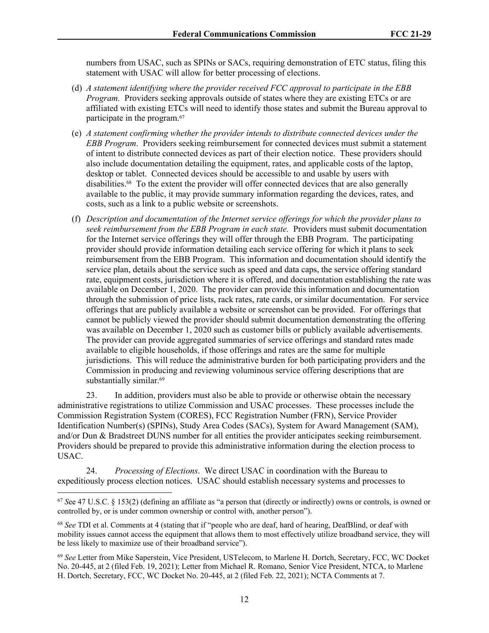numbers from USAC, such as SPINs or SACs, requiring demonstration of ETC status, filing this statement with USAC will allow for better processing of elections.

- (d) *A statement identifying where the provider received FCC approval to participate in the EBB Program.* Providers seeking approvals outside of states where they are existing ETCs or are affiliated with existing ETCs will need to identify those states and submit the Bureau approval to participate in the program.<sup>67</sup>
- (e) *A statement confirming whether the provider intends to distribute connected devices under the EBB Program*. Providers seeking reimbursement for connected devices must submit a statement of intent to distribute connected devices as part of their election notice. These providers should also include documentation detailing the equipment, rates, and applicable costs of the laptop, desktop or tablet. Connected devices should be accessible to and usable by users with disabilities.68 To the extent the provider will offer connected devices that are also generally available to the public, it may provide summary information regarding the devices, rates, and costs, such as a link to a public website or screenshots.
- (f) *Description and documentation of the Internet service offerings for which the provider plans to seek reimbursement from the EBB Program in each state.* Providers must submit documentation for the Internet service offerings they will offer through the EBB Program. The participating provider should provide information detailing each service offering for which it plans to seek reimbursement from the EBB Program. This information and documentation should identify the service plan, details about the service such as speed and data caps, the service offering standard rate, equipment costs, jurisdiction where it is offered, and documentation establishing the rate was available on December 1, 2020. The provider can provide this information and documentation through the submission of price lists, rack rates, rate cards, or similar documentation. For service offerings that are publicly available a website or screenshot can be provided. For offerings that cannot be publicly viewed the provider should submit documentation demonstrating the offering was available on December 1, 2020 such as customer bills or publicly available advertisements. The provider can provide aggregated summaries of service offerings and standard rates made available to eligible households, if those offerings and rates are the same for multiple jurisdictions. This will reduce the administrative burden for both participating providers and the Commission in producing and reviewing voluminous service offering descriptions that are substantially similar.<sup>69</sup>

23. In addition, providers must also be able to provide or otherwise obtain the necessary administrative registrations to utilize Commission and USAC processes. These processes include the Commission Registration System (CORES), FCC Registration Number (FRN), Service Provider Identification Number(s) (SPINs), Study Area Codes (SACs), System for Award Management (SAM), and/or Dun & Bradstreet DUNS number for all entities the provider anticipates seeking reimbursement. Providers should be prepared to provide this administrative information during the election process to USAC.

24. *Processing of Elections*. We direct USAC in coordination with the Bureau to expeditiously process election notices. USAC should establish necessary systems and processes to

<sup>&</sup>lt;sup>67</sup> See 47 U.S.C. § 153(2) (defining an affiliate as "a person that (directly or indirectly) owns or controls, is owned or controlled by, or is under common ownership or control with, another person").

<sup>68</sup> *See* TDI et al. Comments at 4 (stating that if "people who are deaf, hard of hearing, DeafBlind, or deaf with mobility issues cannot access the equipment that allows them to most effectively utilize broadband service, they will be less likely to maximize use of their broadband service").

<sup>69</sup> *See* Letter from Mike Saperstein, Vice President, USTelecom, to Marlene H. Dortch, Secretary, FCC, WC Docket No. 20-445, at 2 (filed Feb. 19, 2021); Letter from Michael R. Romano, Senior Vice President, NTCA, to Marlene H. Dortch, Secretary, FCC, WC Docket No. 20-445, at 2 (filed Feb. 22, 2021); NCTA Comments at 7.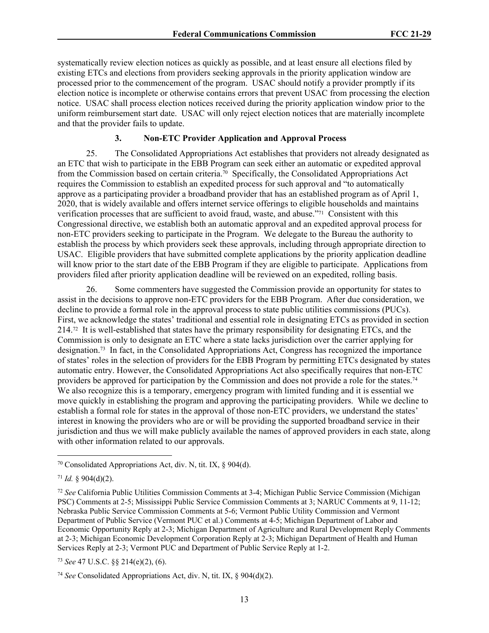systematically review election notices as quickly as possible, and at least ensure all elections filed by existing ETCs and elections from providers seeking approvals in the priority application window are processed prior to the commencement of the program. USAC should notify a provider promptly if its election notice is incomplete or otherwise contains errors that prevent USAC from processing the election notice. USAC shall process election notices received during the priority application window prior to the uniform reimbursement start date. USAC will only reject election notices that are materially incomplete and that the provider fails to update.

# **3. Non-ETC Provider Application and Approval Process**

<span id="page-12-0"></span>25. The Consolidated Appropriations Act establishes that providers not already designated as an ETC that wish to participate in the EBB Program can seek either an automatic or expedited approval from the Commission based on certain criteria.<sup>70</sup> Specifically, the Consolidated Appropriations Act requires the Commission to establish an expedited process for such approval and "to automatically approve as a participating provider a broadband provider that has an established program as of April 1, 2020, that is widely available and offers internet service offerings to eligible households and maintains verification processes that are sufficient to avoid fraud, waste, and abuse."71 Consistent with this Congressional directive, we establish both an automatic approval and an expedited approval process for non-ETC providers seeking to participate in the Program. We delegate to the Bureau the authority to establish the process by which providers seek these approvals, including through appropriate direction to USAC. Eligible providers that have submitted complete applications by the priority application deadline will know prior to the start date of the EBB Program if they are eligible to participate. Applications from providers filed after priority application deadline will be reviewed on an expedited, rolling basis.

26. Some commenters have suggested the Commission provide an opportunity for states to assist in the decisions to approve non-ETC providers for the EBB Program. After due consideration, we decline to provide a formal role in the approval process to state public utilities commissions (PUCs). First, we acknowledge the states' traditional and essential role in designating ETCs as provided in section 214.72 It is well-established that states have the primary responsibility for designating ETCs, and the Commission is only to designate an ETC where a state lacks jurisdiction over the carrier applying for designation.73 In fact, in the Consolidated Appropriations Act, Congress has recognized the importance of states' roles in the selection of providers for the EBB Program by permitting ETCs designated by states automatic entry. However, the Consolidated Appropriations Act also specifically requires that non-ETC providers be approved for participation by the Commission and does not provide a role for the states.<sup>74</sup> We also recognize this is a temporary, emergency program with limited funding and it is essential we move quickly in establishing the program and approving the participating providers. While we decline to establish a formal role for states in the approval of those non-ETC providers, we understand the states' interest in knowing the providers who are or will be providing the supported broadband service in their jurisdiction and thus we will make publicly available the names of approved providers in each state, along with other information related to our approvals.

<sup>70</sup> Consolidated Appropriations Act, div. N, tit. IX, § 904(d).

 $71$  *Id.* § 904(d)(2).

<sup>72</sup> *See* California Public Utilities Commission Comments at 3-4; Michigan Public Service Commission (Michigan PSC) Comments at 2-5; Mississippi Public Service Commission Comments at 3; NARUC Comments at 9, 11-12; Nebraska Public Service Commission Comments at 5-6; Vermont Public Utility Commission and Vermont Department of Public Service (Vermont PUC et al.) Comments at 4-5; Michigan Department of Labor and Economic Opportunity Reply at 2-3; Michigan Department of Agriculture and Rural Development Reply Comments at 2-3; Michigan Economic Development Corporation Reply at 2-3; Michigan Department of Health and Human Services Reply at 2-3; Vermont PUC and Department of Public Service Reply at 1-2.

<sup>73</sup> *See* 47 U.S.C. §§ 214(e)(2), (6).

<sup>74</sup> *See* Consolidated Appropriations Act, div. N, tit. IX, § 904(d)(2).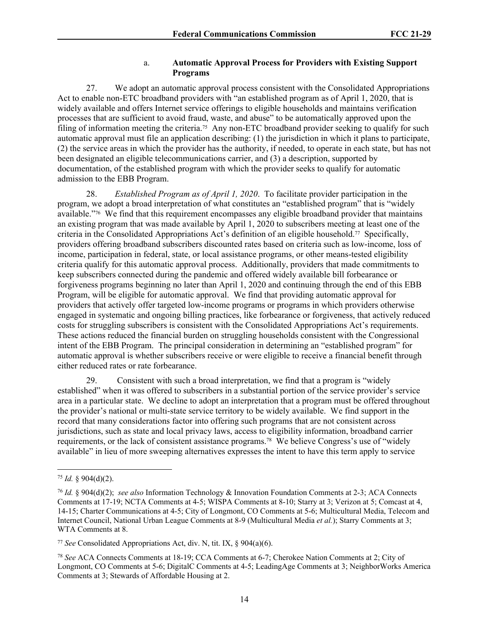## a. **Automatic Approval Process for Providers with Existing Support Programs**

27. We adopt an automatic approval process consistent with the Consolidated Appropriations Act to enable non-ETC broadband providers with "an established program as of April 1, 2020, that is widely available and offers Internet service offerings to eligible households and maintains verification processes that are sufficient to avoid fraud, waste, and abuse" to be automatically approved upon the filing of information meeting the criteria.<sup>75</sup> Any non-ETC broadband provider seeking to qualify for such automatic approval must file an application describing: (1) the jurisdiction in which it plans to participate, (2) the service areas in which the provider has the authority, if needed, to operate in each state, but has not been designated an eligible telecommunications carrier, and (3) a description, supported by documentation, of the established program with which the provider seeks to qualify for automatic admission to the EBB Program.

28. *Established Program as of April 1, 2020*. To facilitate provider participation in the program, we adopt a broad interpretation of what constitutes an "established program" that is "widely available."76 We find that this requirement encompasses any eligible broadband provider that maintains an existing program that was made available by April 1, 2020 to subscribers meeting at least one of the criteria in the Consolidated Appropriations Act's definition of an eligible household.77 Specifically, providers offering broadband subscribers discounted rates based on criteria such as low-income, loss of income, participation in federal, state, or local assistance programs, or other means-tested eligibility criteria qualify for this automatic approval process. Additionally, providers that made commitments to keep subscribers connected during the pandemic and offered widely available bill forbearance or forgiveness programs beginning no later than April 1, 2020 and continuing through the end of this EBB Program, will be eligible for automatic approval. We find that providing automatic approval for providers that actively offer targeted low-income programs or programs in which providers otherwise engaged in systematic and ongoing billing practices, like forbearance or forgiveness, that actively reduced costs for struggling subscribers is consistent with the Consolidated Appropriations Act's requirements. These actions reduced the financial burden on struggling households consistent with the Congressional intent of the EBB Program. The principal consideration in determining an "established program" for automatic approval is whether subscribers receive or were eligible to receive a financial benefit through either reduced rates or rate forbearance.

29. Consistent with such a broad interpretation, we find that a program is "widely established" when it was offered to subscribers in a substantial portion of the service provider's service area in a particular state. We decline to adopt an interpretation that a program must be offered throughout the provider's national or multi-state service territory to be widely available. We find support in the record that many considerations factor into offering such programs that are not consistent across jurisdictions, such as state and local privacy laws, access to eligibility information, broadband carrier requirements, or the lack of consistent assistance programs.78 We believe Congress's use of "widely available" in lieu of more sweeping alternatives expresses the intent to have this term apply to service

 $75$  *Id.* § 904(d)(2).

<sup>76</sup> *Id.* § 904(d)(2); *see also* Information Technology & Innovation Foundation Comments at 2-3; ACA Connects Comments at 17-19; NCTA Comments at 4-5; WISPA Comments at 8-10; Starry at 3; Verizon at 5; Comcast at 4, 14-15; Charter Communications at 4-5; City of Longmont, CO Comments at 5-6; Multicultural Media, Telecom and Internet Council, National Urban League Comments at 8-9 (Multicultural Media *et al.*); Starry Comments at 3; WTA Comments at 8.

<sup>77</sup> *See* Consolidated Appropriations Act, div. N, tit. IX, § 904(a)(6).

<sup>78</sup> *See* ACA Connects Comments at 18-19; CCA Comments at 6-7; Cherokee Nation Comments at 2; City of Longmont, CO Comments at 5-6; DigitalC Comments at 4-5; LeadingAge Comments at 3; NeighborWorks America Comments at 3; Stewards of Affordable Housing at 2.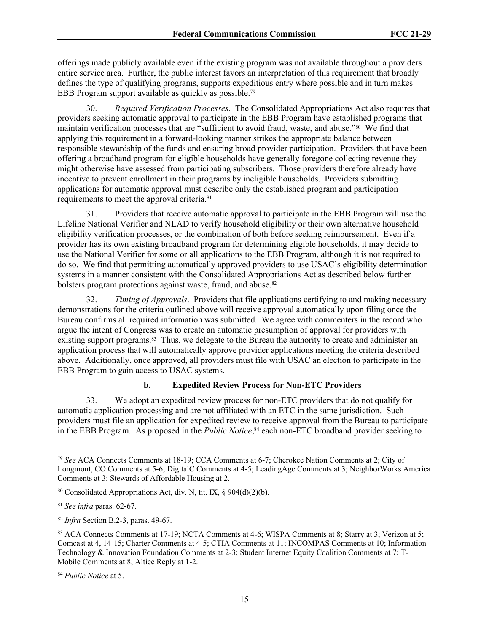offerings made publicly available even if the existing program was not available throughout a providers entire service area. Further, the public interest favors an interpretation of this requirement that broadly defines the type of qualifying programs, supports expeditious entry where possible and in turn makes EBB Program support available as quickly as possible.<sup>79</sup>

30. *Required Verification Processes*. The Consolidated Appropriations Act also requires that providers seeking automatic approval to participate in the EBB Program have established programs that maintain verification processes that are "sufficient to avoid fraud, waste, and abuse."80 We find that applying this requirement in a forward-looking manner strikes the appropriate balance between responsible stewardship of the funds and ensuring broad provider participation. Providers that have been offering a broadband program for eligible households have generally foregone collecting revenue they might otherwise have assessed from participating subscribers. Those providers therefore already have incentive to prevent enrollment in their programs by ineligible households. Providers submitting applications for automatic approval must describe only the established program and participation requirements to meet the approval criteria.<sup>81</sup>

31. Providers that receive automatic approval to participate in the EBB Program will use the Lifeline National Verifier and NLAD to verify household eligibility or their own alternative household eligibility verification processes, or the combination of both before seeking reimbursement. Even if a provider has its own existing broadband program for determining eligible households, it may decide to use the National Verifier for some or all applications to the EBB Program, although it is not required to do so. We find that permitting automatically approved providers to use USAC's eligibility determination systems in a manner consistent with the Consolidated Appropriations Act as described below further bolsters program protections against waste, fraud, and abuse.<sup>82</sup>

32. *Timing of Approvals*. Providers that file applications certifying to and making necessary demonstrations for the criteria outlined above will receive approval automatically upon filing once the Bureau confirms all required information was submitted. We agree with commenters in the record who argue the intent of Congress was to create an automatic presumption of approval for providers with existing support programs.<sup>83</sup> Thus, we delegate to the Bureau the authority to create and administer an application process that will automatically approve provider applications meeting the criteria described above. Additionally, once approved, all providers must file with USAC an election to participate in the EBB Program to gain access to USAC systems.

## **b. Expedited Review Process for Non-ETC Providers**

33. We adopt an expedited review process for non-ETC providers that do not qualify for automatic application processing and are not affiliated with an ETC in the same jurisdiction. Such providers must file an application for expedited review to receive approval from the Bureau to participate in the EBB Program. As proposed in the *Public Notice*, <sup>84</sup> each non-ETC broadband provider seeking to

<sup>79</sup> *See* ACA Connects Comments at 18-19; CCA Comments at 6-7; Cherokee Nation Comments at 2; City of Longmont, CO Comments at 5-6; DigitalC Comments at 4-5; LeadingAge Comments at 3; NeighborWorks America Comments at 3; Stewards of Affordable Housing at 2.

<sup>80</sup> Consolidated Appropriations Act, div. N, tit. IX, § 904(d)(2)(b).

<sup>81</sup> *See infra* paras. [62](#page-29-0)-[67.](#page-32-0)

<sup>82</sup> *Infra* Section [B.2](#page-23-0)-3, paras. [49-](#page-23-1)[67.](#page-32-0)

<sup>83</sup> ACA Connects Comments at 17-19; NCTA Comments at 4-6; WISPA Comments at 8; Starry at 3; Verizon at 5; Comcast at 4, 14-15; Charter Comments at 4-5; CTIA Comments at 11; INCOMPAS Comments at 10; Information Technology & Innovation Foundation Comments at 2-3; Student Internet Equity Coalition Comments at 7; T-Mobile Comments at 8; Altice Reply at 1-2.

<sup>84</sup> *Public Notice* at 5.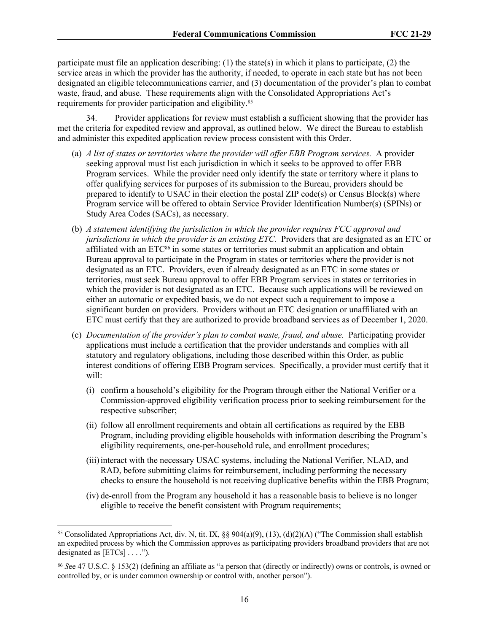participate must file an application describing: (1) the state(s) in which it plans to participate, (2) the service areas in which the provider has the authority, if needed, to operate in each state but has not been designated an eligible telecommunications carrier, and (3) documentation of the provider's plan to combat waste, fraud, and abuse. These requirements align with the Consolidated Appropriations Act's requirements for provider participation and eligibility.<sup>85</sup>

34. Provider applications for review must establish a sufficient showing that the provider has met the criteria for expedited review and approval, as outlined below. We direct the Bureau to establish and administer this expedited application review process consistent with this Order.

- (a) *A list of states or territories where the provider will offer EBB Program services.* A provider seeking approval must list each jurisdiction in which it seeks to be approved to offer EBB Program services. While the provider need only identify the state or territory where it plans to offer qualifying services for purposes of its submission to the Bureau, providers should be prepared to identify to USAC in their election the postal ZIP code(s) or Census Block(s) where Program service will be offered to obtain Service Provider Identification Number(s) (SPINs) or Study Area Codes (SACs), as necessary.
- (b) *A statement identifying the jurisdiction in which the provider requires FCC approval and jurisdictions in which the provider is an existing ETC.* Providers that are designated as an ETC or affiliated with an ETC86 in some states or territories must submit an application and obtain Bureau approval to participate in the Program in states or territories where the provider is not designated as an ETC. Providers, even if already designated as an ETC in some states or territories, must seek Bureau approval to offer EBB Program services in states or territories in which the provider is not designated as an ETC. Because such applications will be reviewed on either an automatic or expedited basis, we do not expect such a requirement to impose a significant burden on providers. Providers without an ETC designation or unaffiliated with an ETC must certify that they are authorized to provide broadband services as of December 1, 2020.
- (c) *Documentation of the provider's plan to combat waste, fraud, and abuse.* Participating provider applications must include a certification that the provider understands and complies with all statutory and regulatory obligations, including those described within this Order, as public interest conditions of offering EBB Program services. Specifically, a provider must certify that it will:
	- (i) confirm a household's eligibility for the Program through either the National Verifier or a Commission-approved eligibility verification process prior to seeking reimbursement for the respective subscriber;
	- (ii) follow all enrollment requirements and obtain all certifications as required by the EBB Program, including providing eligible households with information describing the Program's eligibility requirements, one-per-household rule, and enrollment procedures;
	- (iii) interact with the necessary USAC systems, including the National Verifier, NLAD, and RAD, before submitting claims for reimbursement, including performing the necessary checks to ensure the household is not receiving duplicative benefits within the EBB Program;
	- (iv) de-enroll from the Program any household it has a reasonable basis to believe is no longer eligible to receive the benefit consistent with Program requirements;

<sup>&</sup>lt;sup>85</sup> Consolidated Appropriations Act, div. N, tit. IX, §§ 904(a)(9), (13), (d)(2)(A) ("The Commission shall establish an expedited process by which the Commission approves as participating providers broadband providers that are not designated as  $[ETCs] \dots$ ").

<sup>86</sup> *S*ee 47 U.S.C. § 153(2) (defining an affiliate as "a person that (directly or indirectly) owns or controls, is owned or controlled by, or is under common ownership or control with, another person").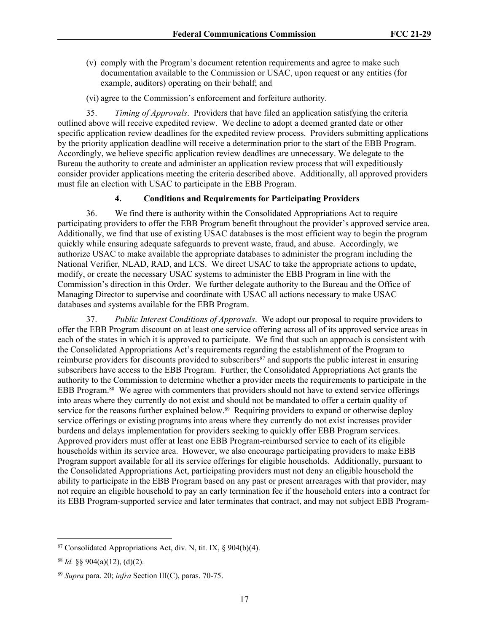- (v) comply with the Program's document retention requirements and agree to make such documentation available to the Commission or USAC, upon request or any entities (for example, auditors) operating on their behalf; and
- (vi) agree to the Commission's enforcement and forfeiture authority.

35. *Timing of Approvals*. Providers that have filed an application satisfying the criteria outlined above will receive expedited review. We decline to adopt a deemed granted date or other specific application review deadlines for the expedited review process. Providers submitting applications by the priority application deadline will receive a determination prior to the start of the EBB Program. Accordingly, we believe specific application review deadlines are unnecessary. We delegate to the Bureau the authority to create and administer an application review process that will expeditiously consider provider applications meeting the criteria described above. Additionally, all approved providers must file an election with USAC to participate in the EBB Program.

## **4. Conditions and Requirements for Participating Providers**

36. We find there is authority within the Consolidated Appropriations Act to require participating providers to offer the EBB Program benefit throughout the provider's approved service area. Additionally, we find that use of existing USAC databases is the most efficient way to begin the program quickly while ensuring adequate safeguards to prevent waste, fraud, and abuse. Accordingly, we authorize USAC to make available the appropriate databases to administer the program including the National Verifier, NLAD, RAD, and LCS. We direct USAC to take the appropriate actions to update, modify, or create the necessary USAC systems to administer the EBB Program in line with the Commission's direction in this Order. We further delegate authority to the Bureau and the Office of Managing Director to supervise and coordinate with USAC all actions necessary to make USAC databases and systems available for the EBB Program.

37. *Public Interest Conditions of Approvals*. We adopt our proposal to require providers to offer the EBB Program discount on at least one service offering across all of its approved service areas in each of the states in which it is approved to participate. We find that such an approach is consistent with the Consolidated Appropriations Act's requirements regarding the establishment of the Program to reimburse providers for discounts provided to subscribers<sup>87</sup> and supports the public interest in ensuring subscribers have access to the EBB Program. Further, the Consolidated Appropriations Act grants the authority to the Commission to determine whether a provider meets the requirements to participate in the EBB Program.88 We agree with commenters that providers should not have to extend service offerings into areas where they currently do not exist and should not be mandated to offer a certain quality of service for the reasons further explained below.<sup>89</sup> Requiring providers to expand or otherwise deploy service offerings or existing programs into areas where they currently do not exist increases provider burdens and delays implementation for providers seeking to quickly offer EBB Program services. Approved providers must offer at least one EBB Program-reimbursed service to each of its eligible households within its service area. However, we also encourage participating providers to make EBB Program support available for all its service offerings for eligible households. Additionally, pursuant to the Consolidated Appropriations Act, participating providers must not deny an eligible household the ability to participate in the EBB Program based on any past or present arrearages with that provider, may not require an eligible household to pay an early termination fee if the household enters into a contract for its EBB Program-supported service and later terminates that contract, and may not subject EBB Program-

 $87$  Consolidated Appropriations Act, div. N, tit. IX,  $\frac{8}{904(b)(4)}$ .

<sup>88</sup> *Id.* §§ 904(a)(12), (d)(2).

<sup>89</sup> *Supra* para. [20;](#page-9-0) *infra* Section III(C), paras. 70-75.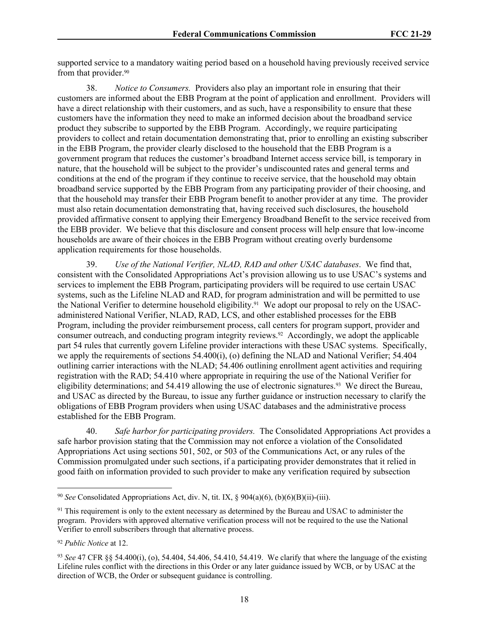supported service to a mandatory waiting period based on a household having previously received service from that provider.<sup>90</sup>

38. *Notice to Consumers.* Providers also play an important role in ensuring that their customers are informed about the EBB Program at the point of application and enrollment. Providers will have a direct relationship with their customers, and as such, have a responsibility to ensure that these customers have the information they need to make an informed decision about the broadband service product they subscribe to supported by the EBB Program. Accordingly, we require participating providers to collect and retain documentation demonstrating that, prior to enrolling an existing subscriber in the EBB Program, the provider clearly disclosed to the household that the EBB Program is a government program that reduces the customer's broadband Internet access service bill, is temporary in nature, that the household will be subject to the provider's undiscounted rates and general terms and conditions at the end of the program if they continue to receive service, that the household may obtain broadband service supported by the EBB Program from any participating provider of their choosing, and that the household may transfer their EBB Program benefit to another provider at any time. The provider must also retain documentation demonstrating that, having received such disclosures, the household provided affirmative consent to applying their Emergency Broadband Benefit to the service received from the EBB provider. We believe that this disclosure and consent process will help ensure that low-income households are aware of their choices in the EBB Program without creating overly burdensome application requirements for those households.

39. *Use of the National Verifier, NLAD, RAD and other USAC databases*. We find that, consistent with the Consolidated Appropriations Act's provision allowing us to use USAC's systems and services to implement the EBB Program, participating providers will be required to use certain USAC systems, such as the Lifeline NLAD and RAD, for program administration and will be permitted to use the National Verifier to determine household eligibility.91 We adopt our proposal to rely on the USACadministered National Verifier, NLAD, RAD, LCS, and other established processes for the EBB Program, including the provider reimbursement process, call centers for program support, provider and consumer outreach, and conducting program integrity reviews.92 Accordingly, we adopt the applicable part 54 rules that currently govern Lifeline provider interactions with these USAC systems. Specifically, we apply the requirements of sections 54.400(i), (o) defining the NLAD and National Verifier; 54.404 outlining carrier interactions with the NLAD; 54.406 outlining enrollment agent activities and requiring registration with the RAD; 54.410 where appropriate in requiring the use of the National Verifier for eligibility determinations; and 54.419 allowing the use of electronic signatures.<sup>93</sup> We direct the Bureau, and USAC as directed by the Bureau, to issue any further guidance or instruction necessary to clarify the obligations of EBB Program providers when using USAC databases and the administrative process established for the EBB Program.

40. *Safe harbor for participating providers.* The Consolidated Appropriations Act provides a safe harbor provision stating that the Commission may not enforce a violation of the Consolidated Appropriations Act using sections 501, 502, or 503 of the Communications Act, or any rules of the Commission promulgated under such sections, if a participating provider demonstrates that it relied in good faith on information provided to such provider to make any verification required by subsection

<sup>90</sup> *See* Consolidated Appropriations Act, div. N, tit. IX, § 904(a)(6), (b)(6)(B)(ii)-(iii).

<sup>&</sup>lt;sup>91</sup> This requirement is only to the extent necessary as determined by the Bureau and USAC to administer the program. Providers with approved alternative verification process will not be required to the use the National Verifier to enroll subscribers through that alternative process.

<sup>92</sup> *Public Notice* at 12.

<sup>93</sup> *See* 47 CFR §§ 54.400(i), (o), 54.404, 54.406, 54.410, 54.419. We clarify that where the language of the existing Lifeline rules conflict with the directions in this Order or any later guidance issued by WCB, or by USAC at the direction of WCB, the Order or subsequent guidance is controlling.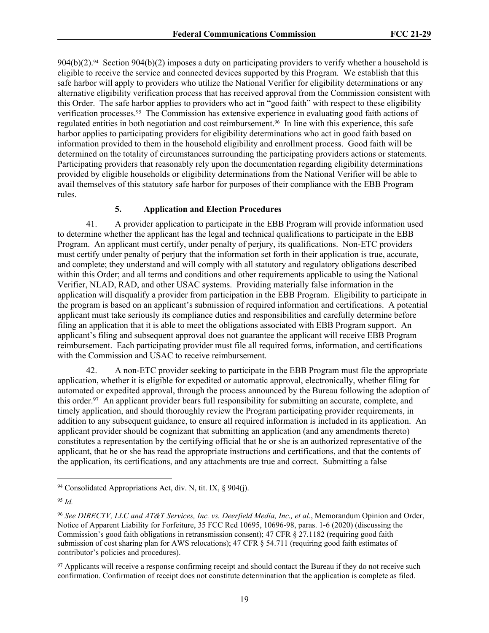$904(b)(2)$ .<sup>94</sup> Section  $904(b)(2)$  imposes a duty on participating providers to verify whether a household is eligible to receive the service and connected devices supported by this Program. We establish that this safe harbor will apply to providers who utilize the National Verifier for eligibility determinations or any alternative eligibility verification process that has received approval from the Commission consistent with this Order. The safe harbor applies to providers who act in "good faith" with respect to these eligibility verification processes.95 The Commission has extensive experience in evaluating good faith actions of regulated entities in both negotiation and cost reimbursement.96 In line with this experience, this safe harbor applies to participating providers for eligibility determinations who act in good faith based on information provided to them in the household eligibility and enrollment process. Good faith will be determined on the totality of circumstances surrounding the participating providers actions or statements. Participating providers that reasonably rely upon the documentation regarding eligibility determinations provided by eligible households or eligibility determinations from the National Verifier will be able to avail themselves of this statutory safe harbor for purposes of their compliance with the EBB Program rules.

## **5. Application and Election Procedures**

41. A provider application to participate in the EBB Program will provide information used to determine whether the applicant has the legal and technical qualifications to participate in the EBB Program. An applicant must certify, under penalty of perjury, its qualifications. Non-ETC providers must certify under penalty of perjury that the information set forth in their application is true, accurate, and complete; they understand and will comply with all statutory and regulatory obligations described within this Order; and all terms and conditions and other requirements applicable to using the National Verifier, NLAD, RAD, and other USAC systems. Providing materially false information in the application will disqualify a provider from participation in the EBB Program. Eligibility to participate in the program is based on an applicant's submission of required information and certifications. A potential applicant must take seriously its compliance duties and responsibilities and carefully determine before filing an application that it is able to meet the obligations associated with EBB Program support. An applicant's filing and subsequent approval does not guarantee the applicant will receive EBB Program reimbursement. Each participating provider must file all required forms, information, and certifications with the Commission and USAC to receive reimbursement.

42. A non-ETC provider seeking to participate in the EBB Program must file the appropriate application, whether it is eligible for expedited or automatic approval, electronically, whether filing for automated or expedited approval, through the process announced by the Bureau following the adoption of this order.<sup>97</sup> An applicant provider bears full responsibility for submitting an accurate, complete, and timely application, and should thoroughly review the Program participating provider requirements, in addition to any subsequent guidance, to ensure all required information is included in its application. An applicant provider should be cognizant that submitting an application (and any amendments thereto) constitutes a representation by the certifying official that he or she is an authorized representative of the applicant, that he or she has read the appropriate instructions and certifications, and that the contents of the application, its certifications, and any attachments are true and correct. Submitting a false

<sup>&</sup>lt;sup>94</sup> Consolidated Appropriations Act, div. N, tit. IX,  $\&$  904(j).

<sup>95</sup> *Id.*

<sup>96</sup> *See DIRECTV, LLC and AT&T Services, Inc. vs. Deerfield Media, Inc., et al.*, Memorandum Opinion and Order, Notice of Apparent Liability for Forfeiture, 35 FCC Rcd 10695, 10696-98, paras. 1-6 (2020) (discussing the Commission's good faith obligations in retransmission consent); 47 CFR § 27.1182 (requiring good faith submission of cost sharing plan for AWS relocations); 47 CFR § 54.711 (requiring good faith estimates of contributor's policies and procedures).

<sup>97</sup> Applicants will receive a response confirming receipt and should contact the Bureau if they do not receive such confirmation. Confirmation of receipt does not constitute determination that the application is complete as filed.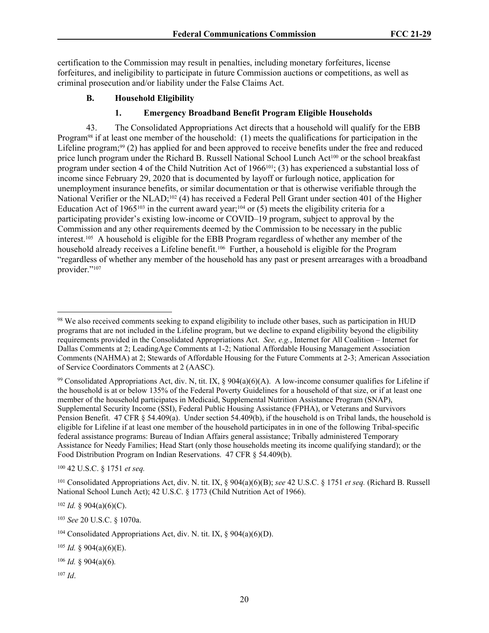certification to the Commission may result in penalties, including monetary forfeitures, license forfeitures, and ineligibility to participate in future Commission auctions or competitions, as well as criminal prosecution and/or liability under the False Claims Act.

# **B. Household Eligibility**

# **1. Emergency Broadband Benefit Program Eligible Households**

43. The Consolidated Appropriations Act directs that a household will qualify for the EBB Program98 if at least one member of the household: (1) meets the qualifications for participation in the Lifeline program;<sup>99</sup> (2) has applied for and been approved to receive benefits under the free and reduced price lunch program under the Richard B. Russell National School Lunch Act100 or the school breakfast program under section 4 of the Child Nutrition Act of 1966101; (3) has experienced a substantial loss of income since February 29, 2020 that is documented by layoff or furlough notice, application for unemployment insurance benefits, or similar documentation or that is otherwise verifiable through the National Verifier or the NLAD;<sup>102</sup> (4) has received a Federal Pell Grant under section 401 of the Higher Education Act of 1965<sup>103</sup> in the current award year;<sup>104</sup> or (5) meets the eligibility criteria for a participating provider's existing low-income or COVID–19 program, subject to approval by the Commission and any other requirements deemed by the Commission to be necessary in the public interest.105 A household is eligible for the EBB Program regardless of whether any member of the household already receives a Lifeline benefit.<sup>106</sup> Further, a household is eligible for the Program "regardless of whether any member of the household has any past or present arrearages with a broadband provider."<sup>107</sup>

<sup>100</sup> 42 U.S.C. § 1751 *et seq.*

<sup>101</sup> Consolidated Appropriations Act, div. N. tit. IX, § 904(a)(6)(B); *see* 42 U.S.C. § 1751 *et seq.* (Richard B. Russell National School Lunch Act); 42 U.S.C. § 1773 (Child Nutrition Act of 1966).

 $102$  *Id.* § 904(a)(6)(C).

<sup>103</sup> *See* 20 U.S.C. § 1070a.

<sup>104</sup> Consolidated Appropriations Act, div. N. tit. IX,  $\S$  904(a)(6)(D).

 $105$  *Id.* § 904(a)(6)(E).

<sup>106</sup> *Id.* § 904(a)(6)*.*

<sup>107</sup> *Id*.

<sup>&</sup>lt;sup>98</sup> We also received comments seeking to expand eligibility to include other bases, such as participation in HUD programs that are not included in the Lifeline program, but we decline to expand eligibility beyond the eligibility requirements provided in the Consolidated Appropriations Act. *See, e.g.*, Internet for All Coalition – Internet for Dallas Comments at 2; LeadingAge Comments at 1-2; National Affordable Housing Management Association Comments (NAHMA) at 2; Stewards of Affordable Housing for the Future Comments at 2-3; American Association of Service Coordinators Comments at 2 (AASC).

<sup>&</sup>lt;sup>99</sup> Consolidated Appropriations Act, div. N, tit. IX,  $\S 904(a)(6)(A)$ . A low-income consumer qualifies for Lifeline if the household is at or below 135% of the Federal Poverty Guidelines for a household of that size, or if at least one member of the household participates in Medicaid, Supplemental Nutrition Assistance Program (SNAP), Supplemental Security Income (SSI), Federal Public Housing Assistance (FPHA), or Veterans and Survivors Pension Benefit. 47 CFR § 54.409(a). Under section 54.409(b), if the household is on Tribal lands, the household is eligible for Lifeline if at least one member of the household participates in in one of the following Tribal-specific federal assistance programs: Bureau of Indian Affairs general assistance; Tribally administered Temporary Assistance for Needy Families; Head Start (only those households meeting its income qualifying standard); or the Food Distribution Program on Indian Reservations. 47 CFR § 54.409(b).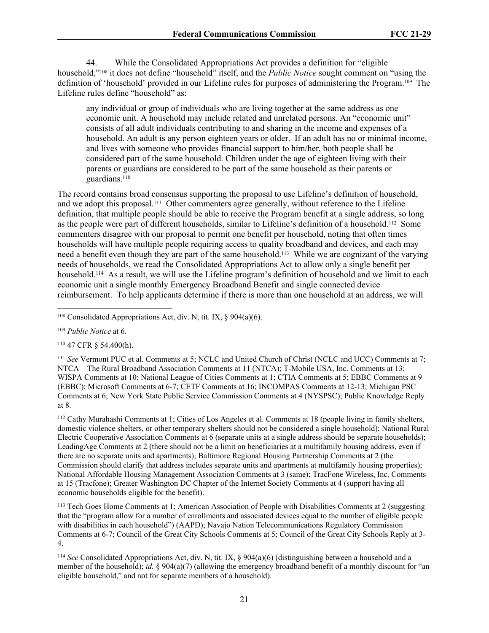44. While the Consolidated Appropriations Act provides a definition for "eligible household,"108 it does not define "household" itself, and the *Public Notice* sought comment on "using the definition of 'household' provided in our Lifeline rules for purposes of administering the Program.109 The Lifeline rules define "household" as:

any individual or group of individuals who are living together at the same address as one economic unit. A household may include related and unrelated persons. An "economic unit" consists of all adult individuals contributing to and sharing in the income and expenses of a household. An adult is any person eighteen years or older. If an adult has no or minimal income, and lives with someone who provides financial support to him/her, both people shall be considered part of the same household. Children under the age of eighteen living with their parents or guardians are considered to be part of the same household as their parents or guardians.<sup>110</sup>

The record contains broad consensus supporting the proposal to use Lifeline's definition of household, and we adopt this proposal.111 Other commenters agree generally, without reference to the Lifeline definition, that multiple people should be able to receive the Program benefit at a single address, so long as the people were part of different households, similar to Lifeline's definition of a household.112 Some commenters disagree with our proposal to permit one benefit per household, noting that often times households will have multiple people requiring access to quality broadband and devices, and each may need a benefit even though they are part of the same household.<sup>113</sup> While we are cognizant of the varying needs of households, we read the Consolidated Appropriations Act to allow only a single benefit per household.<sup>114</sup> As a result, we will use the Lifeline program's definition of household and we limit to each economic unit a single monthly Emergency Broadband Benefit and single connected device reimbursement. To help applicants determine if there is more than one household at an address, we will

<sup>111</sup> *See* Vermont PUC et al. Comments at 5; NCLC and United Church of Christ (NCLC and UCC) Comments at 7; NTCA – The Rural Broadband Association Comments at 11 (NTCA); T-Mobile USA, Inc. Comments at 13; WISPA Comments at 10; National League of Cities Comments at 1; CTIA Comments at 5; EBBC Comments at 9 (EBBC); Microsoft Comments at 6-7; CETF Comments at 16; INCOMPAS Comments at 12-13; Michigan PSC Comments at 6; New York State Public Service Commission Comments at 4 (NYSPSC); Public Knowledge Reply at 8.

<sup>112</sup> Cathy Murahashi Comments at 1; Cities of Los Angeles et al. Comments at 18 (people living in family shelters, domestic violence shelters, or other temporary shelters should not be considered a single household); National Rural Electric Cooperative Association Comments at 6 (separate units at a single address should be separate households); LeadingAge Comments at 2 (there should not be a limit on beneficiaries at a multifamily housing address, even if there are no separate units and apartments); Baltimore Regional Housing Partnership Comments at 2 (the Commission should clarify that address includes separate units and apartments at multifamily housing properties); National Affordable Housing Management Association Comments at 3 (same); TracFone Wireless, Inc. Comments at 15 (Tracfone); Greater Washington DC Chapter of the Internet Society Comments at 4 (support having all economic households eligible for the benefit).

<sup>113</sup> Tech Goes Home Comments at 1; American Association of People with Disabilities Comments at 2 (suggesting that the "program allow for a number of enrollments and associated devices equal to the number of eligible people with disabilities in each household") (AAPD); Navajo Nation Telecommunications Regulatory Commission Comments at 6-7; Council of the Great City Schools Comments at 5; Council of the Great City Schools Reply at 3- 4.

<sup>114</sup> *See* Consolidated Appropriations Act, div. N, tit. IX,  $\frac{8}{904(a)(6)}$  (distinguishing between a household and a member of the household); *id.* § 904(a)(7) (allowing the emergency broadband benefit of a monthly discount for "an eligible household," and not for separate members of a household).

<sup>108</sup> Consolidated Appropriations Act, div. N, tit. IX, § 904(a)(6).

<sup>109</sup> *Public Notice* at 6.

<sup>110</sup> 47 CFR § 54.400(h).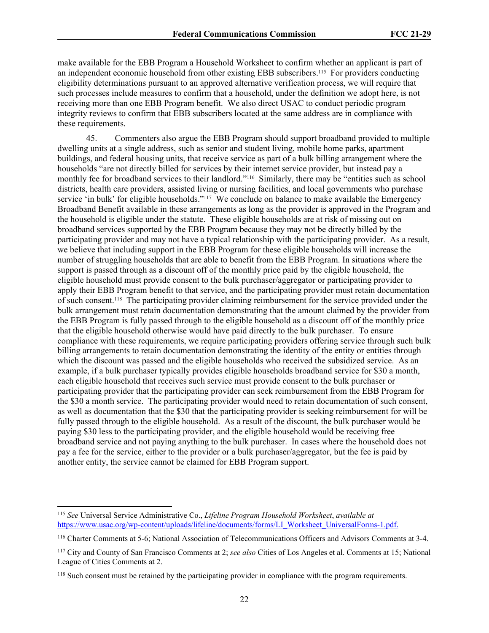make available for the EBB Program a Household Worksheet to confirm whether an applicant is part of an independent economic household from other existing EBB subscribers.115 For providers conducting eligibility determinations pursuant to an approved alternative verification process, we will require that such processes include measures to confirm that a household, under the definition we adopt here, is not receiving more than one EBB Program benefit. We also direct USAC to conduct periodic program integrity reviews to confirm that EBB subscribers located at the same address are in compliance with these requirements.

45. Commenters also argue the EBB Program should support broadband provided to multiple dwelling units at a single address, such as senior and student living, mobile home parks, apartment buildings, and federal housing units, that receive service as part of a bulk billing arrangement where the households "are not directly billed for services by their internet service provider, but instead pay a monthly fee for broadband services to their landlord."116 Similarly, there may be "entities such as school districts, health care providers, assisted living or nursing facilities, and local governments who purchase service 'in bulk' for eligible households."<sup>117</sup> We conclude on balance to make available the Emergency Broadband Benefit available in these arrangements as long as the provider is approved in the Program and the household is eligible under the statute. These eligible households are at risk of missing out on broadband services supported by the EBB Program because they may not be directly billed by the participating provider and may not have a typical relationship with the participating provider. As a result, we believe that including support in the EBB Program for these eligible households will increase the number of struggling households that are able to benefit from the EBB Program. In situations where the support is passed through as a discount off of the monthly price paid by the eligible household, the eligible household must provide consent to the bulk purchaser/aggregator or participating provider to apply their EBB Program benefit to that service, and the participating provider must retain documentation of such consent.118 The participating provider claiming reimbursement for the service provided under the bulk arrangement must retain documentation demonstrating that the amount claimed by the provider from the EBB Program is fully passed through to the eligible household as a discount off of the monthly price that the eligible household otherwise would have paid directly to the bulk purchaser. To ensure compliance with these requirements, we require participating providers offering service through such bulk billing arrangements to retain documentation demonstrating the identity of the entity or entities through which the discount was passed and the eligible households who received the subsidized service. As an example, if a bulk purchaser typically provides eligible households broadband service for \$30 a month, each eligible household that receives such service must provide consent to the bulk purchaser or participating provider that the participating provider can seek reimbursement from the EBB Program for the \$30 a month service. The participating provider would need to retain documentation of such consent, as well as documentation that the \$30 that the participating provider is seeking reimbursement for will be fully passed through to the eligible household. As a result of the discount, the bulk purchaser would be paying \$30 less to the participating provider, and the eligible household would be receiving free broadband service and not paying anything to the bulk purchaser. In cases where the household does not pay a fee for the service, either to the provider or a bulk purchaser/aggregator, but the fee is paid by another entity, the service cannot be claimed for EBB Program support.

<sup>115</sup> *See* Universal Service Administrative Co., *Lifeline Program Household Worksheet*, *available at*  [https://www.usac.org/wp-content/uploads/lifeline/documents/forms/LI\\_Worksheet\\_UniversalForms-1.pdf.](https://www.usac.org/wp-content/uploads/lifeline/documents/forms/LI_Worksheet_UniversalForms-1.pdf)

<sup>116</sup> Charter Comments at 5-6; National Association of Telecommunications Officers and Advisors Comments at 3-4.

<sup>117</sup> City and County of San Francisco Comments at 2; *see also* Cities of Los Angeles et al. Comments at 15; National League of Cities Comments at 2.

<sup>&</sup>lt;sup>118</sup> Such consent must be retained by the participating provider in compliance with the program requirements.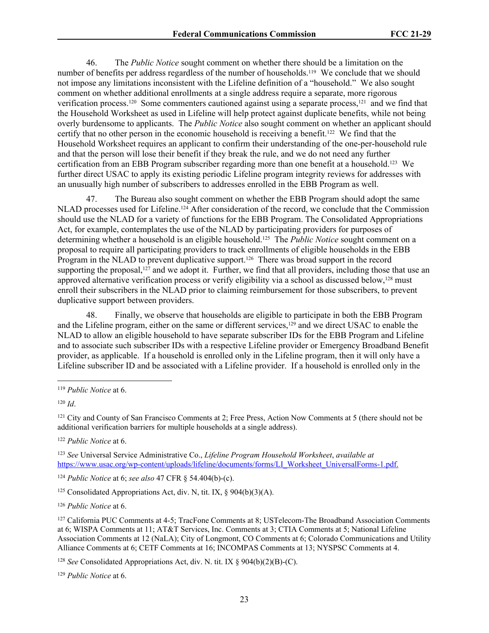46. The *Public Notice* sought comment on whether there should be a limitation on the number of benefits per address regardless of the number of households.<sup>119</sup> We conclude that we should not impose any limitations inconsistent with the Lifeline definition of a "household." We also sought comment on whether additional enrollments at a single address require a separate, more rigorous verification process.<sup>120</sup> Some commenters cautioned against using a separate process,<sup>121</sup> and we find that the Household Worksheet as used in Lifeline will help protect against duplicate benefits, while not being overly burdensome to applicants. The *Public Notice* also sought comment on whether an applicant should certify that no other person in the economic household is receiving a benefit.<sup>122</sup> We find that the Household Worksheet requires an applicant to confirm their understanding of the one-per-household rule and that the person will lose their benefit if they break the rule, and we do not need any further certification from an EBB Program subscriber regarding more than one benefit at a household.123 We further direct USAC to apply its existing periodic Lifeline program integrity reviews for addresses with an unusually high number of subscribers to addresses enrolled in the EBB Program as well.

47. The Bureau also sought comment on whether the EBB Program should adopt the same NLAD processes used for Lifeline.124 After consideration of the record, we conclude that the Commission should use the NLAD for a variety of functions for the EBB Program. The Consolidated Appropriations Act, for example, contemplates the use of the NLAD by participating providers for purposes of determining whether a household is an eligible household.125 The *Public Notice* sought comment on a proposal to require all participating providers to track enrollments of eligible households in the EBB Program in the NLAD to prevent duplicative support.<sup>126</sup> There was broad support in the record supporting the proposal,<sup>127</sup> and we adopt it. Further, we find that all providers, including those that use an approved alternative verification process or verify eligibility via a school as discussed below,<sup>128</sup> must enroll their subscribers in the NLAD prior to claiming reimbursement for those subscribers, to prevent duplicative support between providers.

48. Finally, we observe that households are eligible to participate in both the EBB Program and the Lifeline program, either on the same or different services,<sup>129</sup> and we direct USAC to enable the NLAD to allow an eligible household to have separate subscriber IDs for the EBB Program and Lifeline and to associate such subscriber IDs with a respective Lifeline provider or Emergency Broadband Benefit provider, as applicable. If a household is enrolled only in the Lifeline program, then it will only have a Lifeline subscriber ID and be associated with a Lifeline provider. If a household is enrolled only in the

<sup>121</sup> City and County of San Francisco Comments at 2; Free Press, Action Now Comments at 5 (there should not be additional verification barriers for multiple households at a single address).

<sup>122</sup> *Public Notice* at 6.

<sup>123</sup> *See* Universal Service Administrative Co., *Lifeline Program Household Worksheet*, *available at*  [https://www.usac.org/wp-content/uploads/lifeline/documents/forms/LI\\_Worksheet\\_UniversalForms-1.pdf.](https://www.usac.org/wp-content/uploads/lifeline/documents/forms/LI_Worksheet_UniversalForms-1.pdf)

<sup>124</sup> *Public Notice* at 6; *see also* 47 CFR § 54.404(b)-(c).

<sup>125</sup> Consolidated Appropriations Act, div. N, tit. IX, § 904(b)(3)(A).

<sup>126</sup> *Public Notice* at 6.

<sup>127</sup> California PUC Comments at 4-5; TracFone Comments at 8; USTelecom-The Broadband Association Comments at 6; WISPA Comments at 11; AT&T Services, Inc. Comments at 3; CTIA Comments at 5; National Lifeline Association Comments at 12 (NaLA); City of Longmont, CO Comments at 6; Colorado Communications and Utility Alliance Comments at 6; CETF Comments at 16; INCOMPAS Comments at 13; NYSPSC Comments at 4.

<sup>128</sup> *See* Consolidated Appropriations Act, div. N. tit. IX § 904(b)(2)(B)-(C).

<sup>129</sup> *Public Notice* at 6.

<sup>119</sup> *Public Notice* at 6.

<sup>120</sup> *Id*.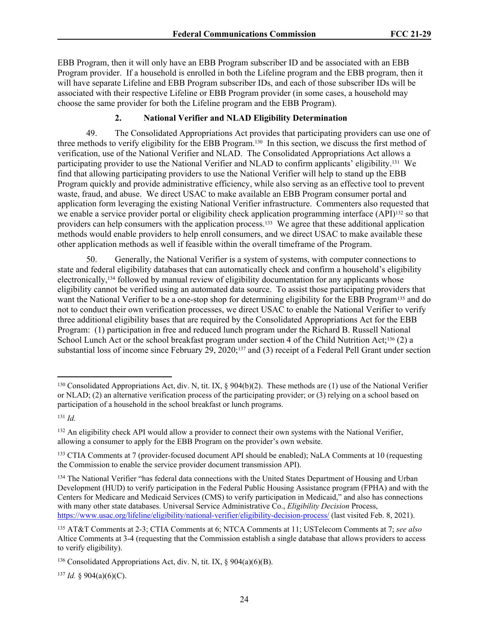EBB Program, then it will only have an EBB Program subscriber ID and be associated with an EBB Program provider. If a household is enrolled in both the Lifeline program and the EBB program, then it will have separate Lifeline and EBB Program subscriber IDs, and each of those subscriber IDs will be associated with their respective Lifeline or EBB Program provider (in some cases, a household may choose the same provider for both the Lifeline program and the EBB Program).

# <span id="page-23-0"></span>**2. National Verifier and NLAD Eligibility Determination**

<span id="page-23-1"></span>49. The Consolidated Appropriations Act provides that participating providers can use one of three methods to verify eligibility for the EBB Program.130 In this section, we discuss the first method of verification, use of the National Verifier and NLAD. The Consolidated Appropriations Act allows a participating provider to use the National Verifier and NLAD to confirm applicants' eligibility.131 We find that allowing participating providers to use the National Verifier will help to stand up the EBB Program quickly and provide administrative efficiency, while also serving as an effective tool to prevent waste, fraud, and abuse. We direct USAC to make available an EBB Program consumer portal and application form leveraging the existing National Verifier infrastructure. Commenters also requested that we enable a service provider portal or eligibility check application programming interface (API)<sup>132</sup> so that providers can help consumers with the application process.<sup>133</sup> We agree that these additional application methods would enable providers to help enroll consumers, and we direct USAC to make available these other application methods as well if feasible within the overall timeframe of the Program.

50. Generally, the National Verifier is a system of systems, with computer connections to state and federal eligibility databases that can automatically check and confirm a household's eligibility electronically,134 followed by manual review of eligibility documentation for any applicants whose eligibility cannot be verified using an automated data source. To assist those participating providers that want the National Verifier to be a one-stop shop for determining eligibility for the EBB Program<sup>135</sup> and do not to conduct their own verification processes, we direct USAC to enable the National Verifier to verify three additional eligibility bases that are required by the Consolidated Appropriations Act for the EBB Program: (1) participation in free and reduced lunch program under the Richard B. Russell National School Lunch Act or the school breakfast program under section 4 of the Child Nutrition Act;<sup>136</sup> (2) a substantial loss of income since February 29, 2020;<sup>137</sup> and (3) receipt of a Federal Pell Grant under section

<sup>&</sup>lt;sup>130</sup> Consolidated Appropriations Act, div. N, tit. IX,  $\S 904(b)(2)$ . These methods are (1) use of the National Verifier or NLAD; (2) an alternative verification process of the participating provider; or (3) relying on a school based on participation of a household in the school breakfast or lunch programs.

<sup>131</sup> *Id.*

<sup>&</sup>lt;sup>132</sup> An eligibility check API would allow a provider to connect their own systems with the National Verifier, allowing a consumer to apply for the EBB Program on the provider's own website.

<sup>&</sup>lt;sup>133</sup> CTIA Comments at 7 (provider-focused document API should be enabled); NaLA Comments at 10 (requesting the Commission to enable the service provider document transmission API).

<sup>&</sup>lt;sup>134</sup> The National Verifier "has federal data connections with the United States Department of Housing and Urban Development (HUD) to verify participation in the Federal Public Housing Assistance program (FPHA) and with the Centers for Medicare and Medicaid Services (CMS) to verify participation in Medicaid," and also has connections with many other state databases. Universal Service Administrative Co., *Eligibility Decision* Process, <https://www.usac.org/lifeline/eligibility/national-verifier/eligibility-decision-process/> (last visited Feb. 8, 2021).

<sup>135</sup> AT&T Comments at 2-3; CTIA Comments at 6; NTCA Comments at 11; USTelecom Comments at 7; *see also* Altice Comments at 3-4 (requesting that the Commission establish a single database that allows providers to access to verify eligibility).

<sup>136</sup> Consolidated Appropriations Act, div. N, tit. IX, § 904(a)(6)(B).

 $137$  *Id.* § 904(a)(6)(C).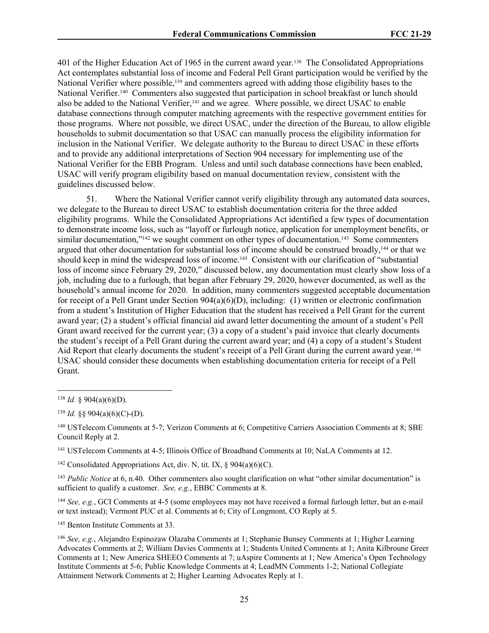401 of the Higher Education Act of 1965 in the current award year.138 The Consolidated Appropriations Act contemplates substantial loss of income and Federal Pell Grant participation would be verified by the National Verifier where possible,<sup>139</sup> and commenters agreed with adding those eligibility bases to the National Verifier.<sup>140</sup> Commenters also suggested that participation in school breakfast or lunch should also be added to the National Verifier,<sup>141</sup> and we agree. Where possible, we direct USAC to enable database connections through computer matching agreements with the respective government entities for those programs. Where not possible, we direct USAC, under the direction of the Bureau, to allow eligible households to submit documentation so that USAC can manually process the eligibility information for inclusion in the National Verifier. We delegate authority to the Bureau to direct USAC in these efforts and to provide any additional interpretations of Section 904 necessary for implementing use of the National Verifier for the EBB Program. Unless and until such database connections have been enabled, USAC will verify program eligibility based on manual documentation review, consistent with the guidelines discussed below.

51. Where the National Verifier cannot verify eligibility through any automated data sources, we delegate to the Bureau to direct USAC to establish documentation criteria for the three added eligibility programs. While the Consolidated Appropriations Act identified a few types of documentation to demonstrate income loss, such as "layoff or furlough notice, application for unemployment benefits, or similar documentation,"<sup>142</sup> we sought comment on other types of documentation.<sup>143</sup> Some commenters argued that other documentation for substantial loss of income should be construed broadly,<sup>144</sup> or that we should keep in mind the widespread loss of income.<sup>145</sup> Consistent with our clarification of "substantial" loss of income since February 29, 2020," discussed below, any documentation must clearly show loss of a job, including due to a furlough, that began after February 29, 2020, however documented, as well as the household's annual income for 2020. In addition, many commenters suggested acceptable documentation for receipt of a Pell Grant under Section 904(a)(6)(D), including: (1) written or electronic confirmation from a student's Institution of Higher Education that the student has received a Pell Grant for the current award year; (2) a student's official financial aid award letter documenting the amount of a student's Pell Grant award received for the current year; (3) a copy of a student's paid invoice that clearly documents the student's receipt of a Pell Grant during the current award year; and (4) a copy of a student's Student Aid Report that clearly documents the student's receipt of a Pell Grant during the current award year.<sup>146</sup> USAC should consider these documents when establishing documentation criteria for receipt of a Pell Grant.

<sup>141</sup> USTelecom Comments at 4-5; Illinois Office of Broadband Comments at 10; NaLA Comments at 12.

<sup>142</sup> Consolidated Appropriations Act, div. N, tit. IX,  $\S$  904(a)(6)(C).

<sup>143</sup> *Public Notice* at 6, n.40. Other commenters also sought clarification on what "other similar documentation" is sufficient to qualify a customer. *See, e.g.*, EBBC Comments at 8.

<sup>144</sup> *See, e.g.*, GCI Comments at 4-5 (some employees may not have received a formal furlough letter, but an e-mail or text instead); Vermont PUC et al. Comments at 6; City of Longmont, CO Reply at 5.

<sup>145</sup> Benton Institute Comments at 33.

 $138$  *Id.* § 904(a)(6)(D).

 $139$  *Id.* §§ 904(a)(6)(C)-(D).

<sup>140</sup> USTelecom Comments at 5-7; Verizon Comments at 6; Competitive Carriers Association Comments at 8; SBE Council Reply at 2.

<sup>146</sup> *See, e.g.*, Alejandro Espinozaw Olazaba Comments at 1; Stephanie Bunsey Comments at 1; Higher Learning Advocates Comments at 2; William Davies Comments at 1; Students United Comments at 1; Anita Kilbroune Greer Comments at 1; New America SHEEO Comments at 7; uAspire Comments at 1; New America's Open Technology Institute Comments at 5-6; Public Knowledge Comments at 4; LeadMN Comments 1-2; National Collegiate Attainment Network Comments at 2; Higher Learning Advocates Reply at 1.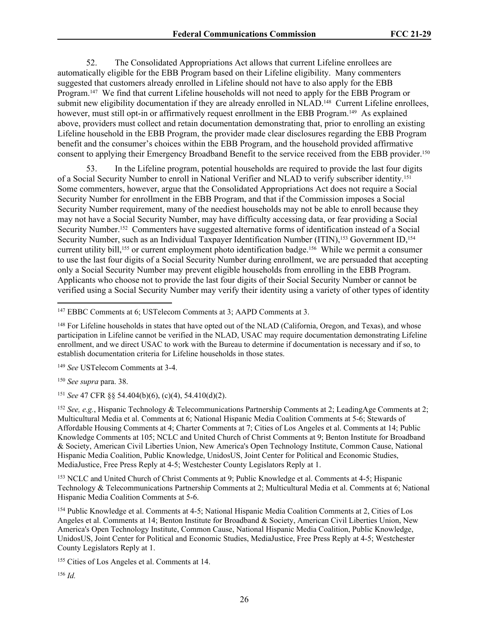52. The Consolidated Appropriations Act allows that current Lifeline enrollees are automatically eligible for the EBB Program based on their Lifeline eligibility. Many commenters suggested that customers already enrolled in Lifeline should not have to also apply for the EBB Program.147 We find that current Lifeline households will not need to apply for the EBB Program or submit new eligibility documentation if they are already enrolled in NLAD.<sup>148</sup> Current Lifeline enrollees, however, must still opt-in or affirmatively request enrollment in the EBB Program.<sup>149</sup> As explained above, providers must collect and retain documentation demonstrating that, prior to enrolling an existing Lifeline household in the EBB Program, the provider made clear disclosures regarding the EBB Program benefit and the consumer's choices within the EBB Program, and the household provided affirmative consent to applying their Emergency Broadband Benefit to the service received from the EBB provider.<sup>150</sup>

53. In the Lifeline program, potential households are required to provide the last four digits of a Social Security Number to enroll in National Verifier and NLAD to verify subscriber identity.<sup>151</sup> Some commenters, however, argue that the Consolidated Appropriations Act does not require a Social Security Number for enrollment in the EBB Program, and that if the Commission imposes a Social Security Number requirement, many of the neediest households may not be able to enroll because they may not have a Social Security Number, may have difficulty accessing data, or fear providing a Social Security Number.<sup>152</sup> Commenters have suggested alternative forms of identification instead of a Social Security Number, such as an Individual Taxpayer Identification Number (ITIN),<sup>153</sup> Government ID,<sup>154</sup> current utility bill,<sup>155</sup> or current employment photo identification badge.<sup>156</sup> While we permit a consumer to use the last four digits of a Social Security Number during enrollment, we are persuaded that accepting only a Social Security Number may prevent eligible households from enrolling in the EBB Program. Applicants who choose not to provide the last four digits of their Social Security Number or cannot be verified using a Social Security Number may verify their identity using a variety of other types of identity

<sup>149</sup> *See* USTelecom Comments at 3-4.

<sup>150</sup> *See supra* para. 38.

<sup>151</sup> *See* 47 CFR §§ 54.404(b)(6), (c)(4), 54.410(d)(2).

<sup>152</sup> *See, e.g.*, Hispanic Technology & Telecommunications Partnership Comments at 2; LeadingAge Comments at 2; Multicultural Media et al. Comments at 6; National Hispanic Media Coalition Comments at 5-6; Stewards of Affordable Housing Comments at 4; Charter Comments at 7; Cities of Los Angeles et al. Comments at 14; Public Knowledge Comments at 105; NCLC and United Church of Christ Comments at 9; Benton Institute for Broadband & Society, American Civil Liberties Union, New America's Open Technology Institute, Common Cause, National Hispanic Media Coalition, Public Knowledge, UnidosUS, Joint Center for Political and Economic Studies, MediaJustice, Free Press Reply at 4-5; Westchester County Legislators Reply at 1.

<sup>153</sup> NCLC and United Church of Christ Comments at 9; Public Knowledge et al. Comments at 4-5; Hispanic Technology & Telecommunications Partnership Comments at 2; Multicultural Media et al. Comments at 6; National Hispanic Media Coalition Comments at 5-6.

<sup>154</sup> Public Knowledge et al. Comments at 4-5; National Hispanic Media Coalition Comments at 2, Cities of Los Angeles et al. Comments at 14; Benton Institute for Broadband & Society, American Civil Liberties Union, New America's Open Technology Institute, Common Cause, National Hispanic Media Coalition, Public Knowledge, UnidosUS, Joint Center for Political and Economic Studies, MediaJustice, Free Press Reply at 4-5; Westchester County Legislators Reply at 1.

<sup>155</sup> Cities of Los Angeles et al. Comments at 14.

<sup>156</sup> *Id.*

<sup>147</sup> EBBC Comments at 6; USTelecom Comments at 3; AAPD Comments at 3.

<sup>&</sup>lt;sup>148</sup> For Lifeline households in states that have opted out of the NLAD (California, Oregon, and Texas), and whose participation in Lifeline cannot be verified in the NLAD, USAC may require documentation demonstrating Lifeline enrollment, and we direct USAC to work with the Bureau to determine if documentation is necessary and if so, to establish documentation criteria for Lifeline households in those states.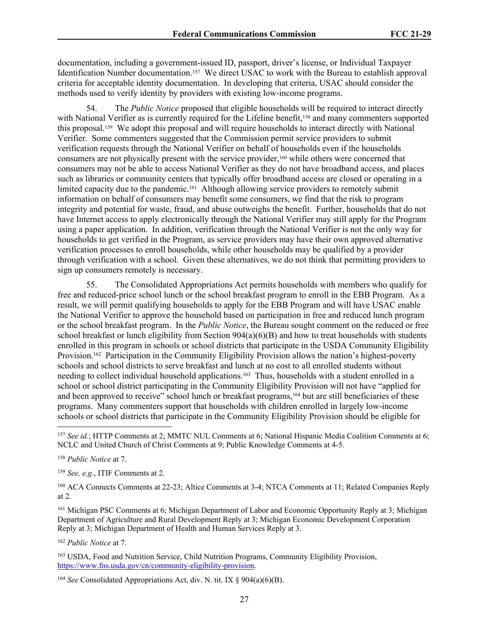documentation, including a government-issued ID, passport, driver's license, or Individual Taxpayer Identification Number documentation.157 We direct USAC to work with the Bureau to establish approval criteria for acceptable identity documentation. In developing that criteria, USAC should consider the methods used to verify identity by providers with existing low-income programs.

54. The *Public Notice* proposed that eligible households will be required to interact directly with National Verifier as is currently required for the Lifeline benefit,<sup>158</sup> and many commenters supported this proposal.159 We adopt this proposal and will require households to interact directly with National Verifier. Some commenters suggested that the Commission permit service providers to submit verification requests through the National Verifier on behalf of households even if the households consumers are not physically present with the service provider,<sup>160</sup> while others were concerned that consumers may not be able to access National Verifier as they do not have broadband access, and places such as libraries or community centers that typically offer broadband access are closed or operating in a limited capacity due to the pandemic.<sup>161</sup> Although allowing service providers to remotely submit information on behalf of consumers may benefit some consumers, we find that the risk to program integrity and potential for waste, fraud, and abuse outweighs the benefit. Further, households that do not have Internet access to apply electronically through the National Verifier may still apply for the Program using a paper application. In addition, verification through the National Verifier is not the only way for households to get verified in the Program, as service providers may have their own approved alternative verification processes to enroll households, while other households may be qualified by a provider through verification with a school. Given these alternatives, we do not think that permitting providers to sign up consumers remotely is necessary.

55. The Consolidated Appropriations Act permits households with members who qualify for free and reduced-price school lunch or the school breakfast program to enroll in the EBB Program. As a result, we will permit qualifying households to apply for the EBB Program and will have USAC enable the National Verifier to approve the household based on participation in free and reduced lunch program or the school breakfast program. In the *Public Notice*, the Bureau sought comment on the reduced or free school breakfast or lunch eligibility from Section  $904(a)(6)(B)$  and how to treat households with students enrolled in this program in schools or school districts that participate in the USDA Community Eligibility Provision.162 Participation in the Community Eligibility Provision allows the nation's highest-poverty schools and school districts to serve breakfast and lunch at no cost to all enrolled students without needing to collect individual household applications.163 Thus, households with a student enrolled in a school or school district participating in the Community Eligibility Provision will not have "applied for and been approved to receive" school lunch or breakfast programs,<sup>164</sup> but are still beneficiaries of these programs. Many commenters support that households with children enrolled in largely low-income schools or school districts that participate in the Community Eligibility Provision should be eligible for

<sup>159</sup> *See, e.g.*, ITIF Comments at 2.

<sup>160</sup> ACA Connects Comments at 22-23; Altice Comments at 3-4; NTCA Comments at 11; Related Companies Reply at 2.

<sup>161</sup> Michigan PSC Comments at 6; Michigan Department of Labor and Economic Opportunity Reply at 3; Michigan Department of Agriculture and Rural Development Reply at 3; Michigan Economic Development Corporation Reply at 3; Michigan Department of Health and Human Services Reply at 3.

<sup>162</sup> *Public Notice* at 7.

<sup>163</sup> USDA, Food and Nutrition Service, Child Nutrition Programs, Community Eligibility Provision, <https://www.fns.usda.gov/cn/community-eligibility-provision>.

<sup>164</sup> *See* Consolidated Appropriations Act, div. N. tit. IX § 904(a)(6)(B).

<sup>&</sup>lt;sup>157</sup> See id.; HTTP Comments at 2; MMTC NUL Comments at 6; National Hispanic Media Coalition Comments at 6; NCLC and United Church of Christ Comments at 9; Public Knowledge Comments at 4-5.

<sup>158</sup> *Public Notice* at 7.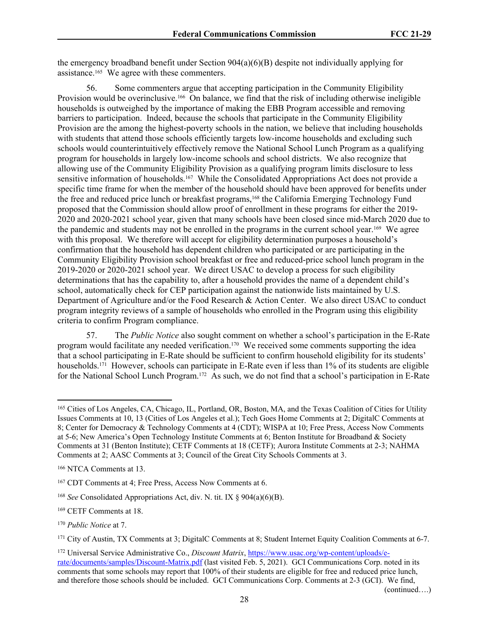the emergency broadband benefit under Section  $904(a)(6)(B)$  despite not individually applying for assistance.165 We agree with these commenters.

56. Some commenters argue that accepting participation in the Community Eligibility Provision would be overinclusive.166 On balance, we find that the risk of including otherwise ineligible households is outweighed by the importance of making the EBB Program accessible and removing barriers to participation. Indeed, because the schools that participate in the Community Eligibility Provision are the among the highest-poverty schools in the nation, we believe that including households with students that attend those schools efficiently targets low-income households and excluding such schools would counterintuitively effectively remove the National School Lunch Program as a qualifying program for households in largely low-income schools and school districts. We also recognize that allowing use of the Community Eligibility Provision as a qualifying program limits disclosure to less sensitive information of households.167 While the Consolidated Appropriations Act does not provide a specific time frame for when the member of the household should have been approved for benefits under the free and reduced price lunch or breakfast programs,168 the California Emerging Technology Fund proposed that the Commission should allow proof of enrollment in these programs for either the 2019- 2020 and 2020-2021 school year, given that many schools have been closed since mid-March 2020 due to the pandemic and students may not be enrolled in the programs in the current school year.169 We agree with this proposal. We therefore will accept for eligibility determination purposes a household's confirmation that the household has dependent children who participated or are participating in the Community Eligibility Provision school breakfast or free and reduced-price school lunch program in the 2019-2020 or 2020-2021 school year. We direct USAC to develop a process for such eligibility determinations that has the capability to, after a household provides the name of a dependent child's school, automatically check for CEP participation against the nationwide lists maintained by U.S. Department of Agriculture and/or the Food Research & Action Center. We also direct USAC to conduct program integrity reviews of a sample of households who enrolled in the Program using this eligibility criteria to confirm Program compliance.

57. The *Public Notice* also sought comment on whether a school's participation in the E-Rate program would facilitate any needed verification.170 We received some comments supporting the idea that a school participating in E-Rate should be sufficient to confirm household eligibility for its students' households.<sup>171</sup> However, schools can participate in E-Rate even if less than 1% of its students are eligible for the National School Lunch Program.172 As such, we do not find that a school's participation in E-Rate

(continued….)

<sup>165</sup> Cities of Los Angeles, CA, Chicago, IL, Portland, OR, Boston, MA, and the Texas Coalition of Cities for Utility Issues Comments at 10, 13 (Cities of Los Angeles et al.); Tech Goes Home Comments at 2; DigitalC Comments at 8; Center for Democracy & Technology Comments at 4 (CDT); WISPA at 10; Free Press, Access Now Comments at 5-6; New America's Open Technology Institute Comments at 6; Benton Institute for Broadband & Society Comments at 31 (Benton Institute); CETF Comments at 18 (CETF); Aurora Institute Comments at 2-3; NAHMA Comments at 2; AASC Comments at 3; Council of the Great City Schools Comments at 3.

<sup>166</sup> NTCA Comments at 13.

<sup>167</sup> CDT Comments at 4; Free Press, Access Now Comments at 6.

<sup>168</sup> *See* Consolidated Appropriations Act, div. N. tit. IX § 904(a)(6)(B).

<sup>169</sup> CETF Comments at 18.

<sup>170</sup> *Public Notice* at 7.

<sup>171</sup> City of Austin, TX Comments at 3; DigitalC Comments at 8; Student Internet Equity Coalition Comments at 6-7.

<sup>172</sup> Universal Service Administrative Co., *Discount Matrix*, [https://www.usac.org/wp-content/uploads/e](https://www.usac.org/wp-content/uploads/e-rate/documents/samples/Discount-Matrix.pdf)[rate/documents/samples/Discount-Matrix.pdf](https://www.usac.org/wp-content/uploads/e-rate/documents/samples/Discount-Matrix.pdf) (last visited Feb. 5, 2021). GCI Communications Corp. noted in its comments that some schools may report that 100% of their students are eligible for free and reduced price lunch, and therefore those schools should be included. GCI Communications Corp. Comments at 2-3 (GCI). We find,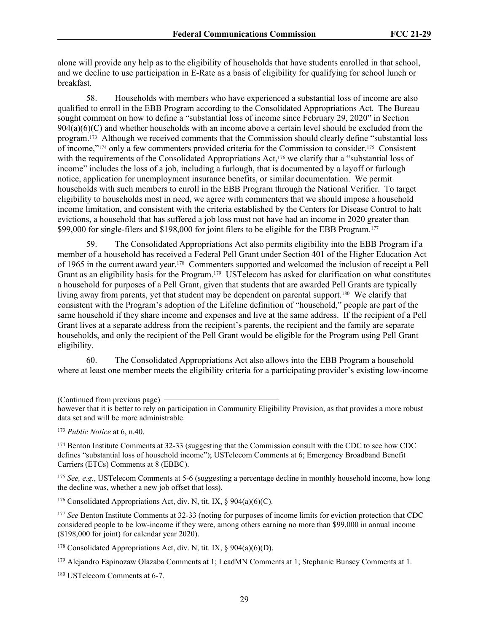alone will provide any help as to the eligibility of households that have students enrolled in that school, and we decline to use participation in E-Rate as a basis of eligibility for qualifying for school lunch or breakfast.

58. Households with members who have experienced a substantial loss of income are also qualified to enroll in the EBB Program according to the Consolidated Appropriations Act. The Bureau sought comment on how to define a "substantial loss of income since February 29, 2020" in Section  $904(a)(6)(C)$  and whether households with an income above a certain level should be excluded from the program.173 Although we received comments that the Commission should clearly define "substantial loss of income,"174 only a few commenters provided criteria for the Commission to consider.175 Consistent with the requirements of the Consolidated Appropriations Act,<sup>176</sup> we clarify that a "substantial loss of income" includes the loss of a job, including a furlough, that is documented by a layoff or furlough notice, application for unemployment insurance benefits, or similar documentation. We permit households with such members to enroll in the EBB Program through the National Verifier. To target eligibility to households most in need, we agree with commenters that we should impose a household income limitation, and consistent with the criteria established by the Centers for Disease Control to halt evictions, a household that has suffered a job loss must not have had an income in 2020 greater than \$99,000 for single-filers and \$198,000 for joint filers to be eligible for the EBB Program.<sup>177</sup>

59. The Consolidated Appropriations Act also permits eligibility into the EBB Program if a member of a household has received a Federal Pell Grant under Section 401 of the Higher Education Act of 1965 in the current award year.178 Commenters supported and welcomed the inclusion of receipt a Pell Grant as an eligibility basis for the Program.<sup>179</sup> USTelecom has asked for clarification on what constitutes a household for purposes of a Pell Grant, given that students that are awarded Pell Grants are typically living away from parents, yet that student may be dependent on parental support.<sup>180</sup> We clarify that consistent with the Program's adoption of the Lifeline definition of "household," people are part of the same household if they share income and expenses and live at the same address. If the recipient of a Pell Grant lives at a separate address from the recipient's parents, the recipient and the family are separate households, and only the recipient of the Pell Grant would be eligible for the Program using Pell Grant eligibility.

60. The Consolidated Appropriations Act also allows into the EBB Program a household where at least one member meets the eligibility criteria for a participating provider's existing low-income

(Continued from previous page)

<sup>173</sup> *Public Notice* at 6, n.40.

<sup>174</sup> Benton Institute Comments at 32-33 (suggesting that the Commission consult with the CDC to see how CDC defines "substantial loss of household income"); USTelecom Comments at 6; Emergency Broadband Benefit Carriers (ETCs) Comments at 8 (EBBC).

<sup>175</sup> *See, e.g.*, USTelecom Comments at 5-6 (suggesting a percentage decline in monthly household income, how long the decline was, whether a new job offset that loss).

<sup>176</sup> Consolidated Appropriations Act, div. N, tit. IX, § 904(a)(6)(C).

<sup>177</sup> *See* Benton Institute Comments at 32-33 (noting for purposes of income limits for eviction protection that CDC considered people to be low-income if they were, among others earning no more than \$99,000 in annual income (\$198,000 for joint) for calendar year 2020).

<sup>178</sup> Consolidated Appropriations Act, div. N, tit. IX,  $\frac{6}{904(a)(6)(D)}$ .

<sup>179</sup> Alejandro Espinozaw Olazaba Comments at 1; LeadMN Comments at 1; Stephanie Bunsey Comments at 1.

180 USTelecom Comments at 6-7.

however that it is better to rely on participation in Community Eligibility Provision, as that provides a more robust data set and will be more administrable.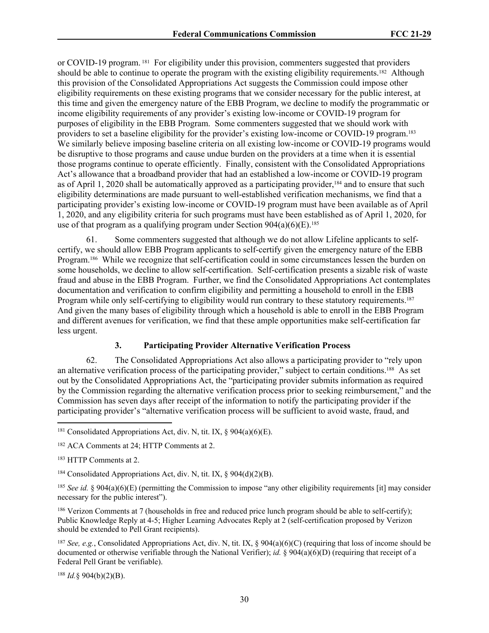or COVID-19 program. 181 For eligibility under this provision, commenters suggested that providers should be able to continue to operate the program with the existing eligibility requirements.<sup>182</sup> Although this provision of the Consolidated Appropriations Act suggests the Commission could impose other eligibility requirements on these existing programs that we consider necessary for the public interest, at this time and given the emergency nature of the EBB Program, we decline to modify the programmatic or income eligibility requirements of any provider's existing low-income or COVID-19 program for purposes of eligibility in the EBB Program. Some commenters suggested that we should work with providers to set a baseline eligibility for the provider's existing low-income or COVID-19 program.<sup>183</sup> We similarly believe imposing baseline criteria on all existing low-income or COVID-19 programs would be disruptive to those programs and cause undue burden on the providers at a time when it is essential those programs continue to operate efficiently. Finally, consistent with the Consolidated Appropriations Act's allowance that a broadband provider that had an established a low-income or COVID-19 program as of April 1, 2020 shall be automatically approved as a participating provider,184 and to ensure that such eligibility determinations are made pursuant to well-established verification mechanisms, we find that a participating provider's existing low-income or COVID-19 program must have been available as of April 1, 2020, and any eligibility criteria for such programs must have been established as of April 1, 2020, for use of that program as a qualifying program under Section  $904(a)(6)(E)$ .<sup>185</sup>

61. Some commenters suggested that although we do not allow Lifeline applicants to selfcertify, we should allow EBB Program applicants to self-certify given the emergency nature of the EBB Program.186 While we recognize that self-certification could in some circumstances lessen the burden on some households, we decline to allow self-certification. Self-certification presents a sizable risk of waste fraud and abuse in the EBB Program. Further, we find the Consolidated Appropriations Act contemplates documentation and verification to confirm eligibility and permitting a household to enroll in the EBB Program while only self-certifying to eligibility would run contrary to these statutory requirements.<sup>187</sup> And given the many bases of eligibility through which a household is able to enroll in the EBB Program and different avenues for verification, we find that these ample opportunities make self-certification far less urgent.

## **3. Participating Provider Alternative Verification Process**

<span id="page-29-0"></span>62. The Consolidated Appropriations Act also allows a participating provider to "rely upon an alternative verification process of the participating provider," subject to certain conditions.188 As set out by the Consolidated Appropriations Act, the "participating provider submits information as required by the Commission regarding the alternative verification process prior to seeking reimbursement," and the Commission has seven days after receipt of the information to notify the participating provider if the participating provider's "alternative verification process will be sufficient to avoid waste, fraud, and

<sup>186</sup> Verizon Comments at 7 (households in free and reduced price lunch program should be able to self-certify); Public Knowledge Reply at 4-5; Higher Learning Advocates Reply at 2 (self-certification proposed by Verizon should be extended to Pell Grant recipients).

<sup>187</sup> *See, e.g.*, Consolidated Appropriations Act, div. N, tit. IX, § 904(a)(6)(C) (requiring that loss of income should be documented or otherwise verifiable through the National Verifier); *id.* § 904(a)(6)(D) (requiring that receipt of a Federal Pell Grant be verifiable).

<sup>188</sup> *Id.*§ 904(b)(2)(B).

<sup>&</sup>lt;sup>181</sup> Consolidated Appropriations Act, div. N, tit. IX,  $\S$  904(a)(6)(E).

<sup>182</sup> ACA Comments at 24; HTTP Comments at 2.

<sup>183</sup> HTTP Comments at 2.

<sup>&</sup>lt;sup>184</sup> Consolidated Appropriations Act, div. N, tit. IX,  $\S$  904(d)(2)(B).

<sup>185</sup> *See id.* § 904(a)(6)(E) (permitting the Commission to impose "any other eligibility requirements [it] may consider necessary for the public interest").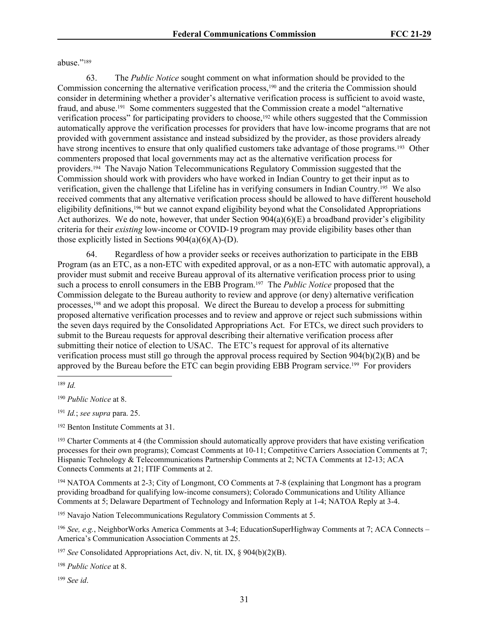abuse."<sup>189</sup>

63. The *Public Notice* sought comment on what information should be provided to the Commission concerning the alternative verification process,<sup>190</sup> and the criteria the Commission should consider in determining whether a provider's alternative verification process is sufficient to avoid waste, fraud, and abuse.191 Some commenters suggested that the Commission create a model "alternative verification process" for participating providers to choose,<sup>192</sup> while others suggested that the Commission automatically approve the verification processes for providers that have low-income programs that are not provided with government assistance and instead subsidized by the provider, as those providers already have strong incentives to ensure that only qualified customers take advantage of those programs.<sup>193</sup> Other commenters proposed that local governments may act as the alternative verification process for providers.194 The Navajo Nation Telecommunications Regulatory Commission suggested that the Commission should work with providers who have worked in Indian Country to get their input as to verification, given the challenge that Lifeline has in verifying consumers in Indian Country.195 We also received comments that any alternative verification process should be allowed to have different household eligibility definitions,196 but we cannot expand eligibility beyond what the Consolidated Appropriations Act authorizes. We do note, however, that under Section  $904(a)(6)(E)$  a broadband provider's eligibility criteria for their *existing* low-income or COVID-19 program may provide eligibility bases other than those explicitly listed in Sections  $904(a)(6)(A)$ -(D).

64. Regardless of how a provider seeks or receives authorization to participate in the EBB Program (as an ETC, as a non-ETC with expedited approval, or as a non-ETC with automatic approval), a provider must submit and receive Bureau approval of its alternative verification process prior to using such a process to enroll consumers in the EBB Program.197 The *Public Notice* proposed that the Commission delegate to the Bureau authority to review and approve (or deny) alternative verification processes,198 and we adopt this proposal. We direct the Bureau to develop a process for submitting proposed alternative verification processes and to review and approve or reject such submissions within the seven days required by the Consolidated Appropriations Act. For ETCs, we direct such providers to submit to the Bureau requests for approval describing their alternative verification process after submitting their notice of election to USAC. The ETC's request for approval of its alternative verification process must still go through the approval process required by Section 904(b)(2)(B) and be approved by the Bureau before the ETC can begin providing EBB Program service.199 For providers

<sup>194</sup> NATOA Comments at 2-3; City of Longmont, CO Comments at 7-8 (explaining that Longmont has a program providing broadband for qualifying low-income consumers); Colorado Communications and Utility Alliance Comments at 5; Delaware Department of Technology and Information Reply at 1-4; NATOA Reply at 3-4.

<sup>195</sup> Navajo Nation Telecommunications Regulatory Commission Comments at 5.

<sup>196</sup> *See, e.g.*, NeighborWorks America Comments at 3-4; EducationSuperHighway Comments at 7; ACA Connects – America's Communication Association Comments at 25.

<sup>197</sup> *See* Consolidated Appropriations Act, div. N, tit. IX, § 904(b)(2)(B).

<sup>198</sup> *Public Notice* at 8.

<sup>199</sup> *See id*.

<sup>189</sup> *Id.*

<sup>190</sup> *Public Notice* at 8.

<sup>191</sup> *Id.*; *see supra* para. [25](#page-12-0).

<sup>192</sup> Benton Institute Comments at 31.

<sup>&</sup>lt;sup>193</sup> Charter Comments at 4 (the Commission should automatically approve providers that have existing verification processes for their own programs); Comcast Comments at 10-11; Competitive Carriers Association Comments at 7; Hispanic Technology & Telecommunications Partnership Comments at 2; NCTA Comments at 12-13; ACA Connects Comments at 21; ITIF Comments at 2.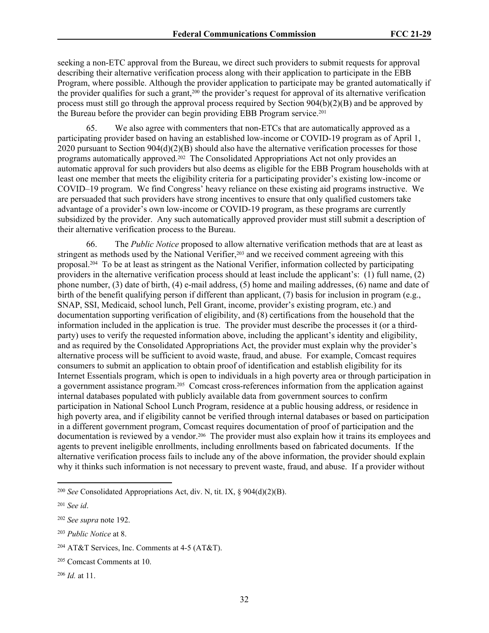seeking a non-ETC approval from the Bureau, we direct such providers to submit requests for approval describing their alternative verification process along with their application to participate in the EBB Program, where possible. Although the provider application to participate may be granted automatically if the provider qualifies for such a grant,<sup>200</sup> the provider's request for approval of its alternative verification process must still go through the approval process required by Section 904(b)(2)(B) and be approved by the Bureau before the provider can begin providing EBB Program service.<sup>201</sup>

65. We also agree with commenters that non-ETCs that are automatically approved as a participating provider based on having an established low-income or COVID-19 program as of April 1, 2020 pursuant to Section 904(d)(2)(B) should also have the alternative verification processes for those programs automatically approved.202 The Consolidated Appropriations Act not only provides an automatic approval for such providers but also deems as eligible for the EBB Program households with at least one member that meets the eligibility criteria for a participating provider's existing low-income or COVID–19 program. We find Congress' heavy reliance on these existing aid programs instructive. We are persuaded that such providers have strong incentives to ensure that only qualified customers take advantage of a provider's own low-income or COVID-19 program, as these programs are currently subsidized by the provider. Any such automatically approved provider must still submit a description of their alternative verification process to the Bureau.

66. The *Public Notice* proposed to allow alternative verification methods that are at least as stringent as methods used by the National Verifier,<sup>203</sup> and we received comment agreeing with this proposal.204 To be at least as stringent as the National Verifier, information collected by participating providers in the alternative verification process should at least include the applicant's: (1) full name, (2) phone number, (3) date of birth, (4) e-mail address, (5) home and mailing addresses, (6) name and date of birth of the benefit qualifying person if different than applicant, (7) basis for inclusion in program (e.g., SNAP, SSI, Medicaid, school lunch, Pell Grant, income, provider's existing program, etc.) and documentation supporting verification of eligibility, and (8) certifications from the household that the information included in the application is true. The provider must describe the processes it (or a thirdparty) uses to verify the requested information above, including the applicant's identity and eligibility, and as required by the Consolidated Appropriations Act, the provider must explain why the provider's alternative process will be sufficient to avoid waste, fraud, and abuse. For example, Comcast requires consumers to submit an application to obtain proof of identification and establish eligibility for its Internet Essentials program, which is open to individuals in a high poverty area or through participation in a government assistance program.205 Comcast cross-references information from the application against internal databases populated with publicly available data from government sources to confirm participation in National School Lunch Program, residence at a public housing address, or residence in high poverty area, and if eligibility cannot be verified through internal databases or based on participation in a different government program, Comcast requires documentation of proof of participation and the documentation is reviewed by a vendor.206 The provider must also explain how it trains its employees and agents to prevent ineligible enrollments, including enrollments based on fabricated documents. If the alternative verification process fails to include any of the above information, the provider should explain why it thinks such information is not necessary to prevent waste, fraud, and abuse. If a provider without

<sup>200</sup> *See* Consolidated Appropriations Act, div. N, tit. IX, § 904(d)(2)(B).

<sup>201</sup> *See id*.

<sup>202</sup> *See supra* note 192.

<sup>203</sup> *Public Notice* at 8.

<sup>204</sup> AT&T Services, Inc. Comments at 4-5 (AT&T).

<sup>205</sup> Comcast Comments at 10.

<sup>206</sup> *Id.* at 11.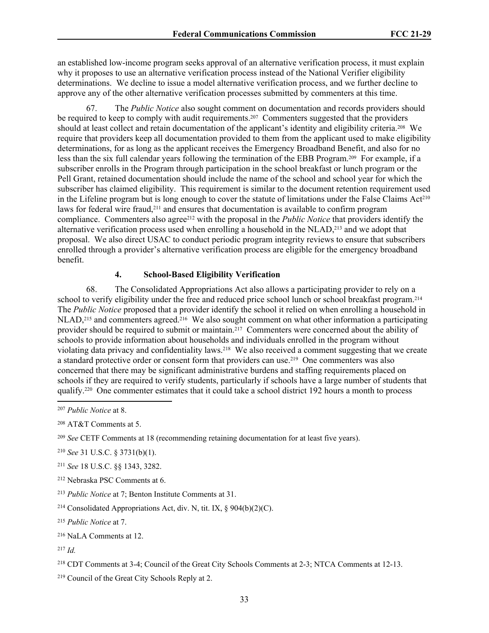an established low-income program seeks approval of an alternative verification process, it must explain why it proposes to use an alternative verification process instead of the National Verifier eligibility determinations. We decline to issue a model alternative verification process, and we further decline to approve any of the other alternative verification processes submitted by commenters at this time.

<span id="page-32-0"></span>67. The *Public Notice* also sought comment on documentation and records providers should be required to keep to comply with audit requirements.<sup>207</sup> Commenters suggested that the providers should at least collect and retain documentation of the applicant's identity and eligibility criteria.208 We require that providers keep all documentation provided to them from the applicant used to make eligibility determinations, for as long as the applicant receives the Emergency Broadband Benefit, and also for no less than the six full calendar years following the termination of the EBB Program.209 For example, if a subscriber enrolls in the Program through participation in the school breakfast or lunch program or the Pell Grant, retained documentation should include the name of the school and school year for which the subscriber has claimed eligibility. This requirement is similar to the document retention requirement used in the Lifeline program but is long enough to cover the statute of limitations under the False Claims Act<sup>210</sup> laws for federal wire fraud,211 and ensures that documentation is available to confirm program compliance. Commenters also agree212 with the proposal in the *Public Notice* that providers identify the alternative verification process used when enrolling a household in the NLAD,213 and we adopt that proposal. We also direct USAC to conduct periodic program integrity reviews to ensure that subscribers enrolled through a provider's alternative verification process are eligible for the emergency broadband benefit.

## **4. School-Based Eligibility Verification**

68. The Consolidated Appropriations Act also allows a participating provider to rely on a school to verify eligibility under the free and reduced price school lunch or school breakfast program.<sup>214</sup> The *Public Notice* proposed that a provider identify the school it relied on when enrolling a household in NLAD,<sup>215</sup> and commenters agreed.<sup>216</sup> We also sought comment on what other information a participating provider should be required to submit or maintain.<sup>217</sup> Commenters were concerned about the ability of schools to provide information about households and individuals enrolled in the program without violating data privacy and confidentiality laws.218 We also received a comment suggesting that we create a standard protective order or consent form that providers can use.219 One commenters was also concerned that there may be significant administrative burdens and staffing requirements placed on schools if they are required to verify students, particularly if schools have a large number of students that qualify.220 One commenter estimates that it could take a school district 192 hours a month to process

<sup>212</sup> Nebraska PSC Comments at 6.

<sup>207</sup> *Public Notice* at 8.

<sup>208</sup> AT&T Comments at 5.

<sup>209</sup> *See* CETF Comments at 18 (recommending retaining documentation for at least five years).

<sup>210</sup> *See* 31 U.S.C. § 3731(b)(1).

<sup>211</sup> *See* 18 U.S.C. §§ 1343, 3282.

<sup>213</sup> *Public Notice* at 7; Benton Institute Comments at 31.

<sup>&</sup>lt;sup>214</sup> Consolidated Appropriations Act, div. N, tit. IX,  $\frac{6}{904(b)(2)(C)}$ .

<sup>215</sup> *Public Notice* at 7.

<sup>216</sup> NaLA Comments at 12.

<sup>217</sup> *Id.*

<sup>218</sup> CDT Comments at 3-4; Council of the Great City Schools Comments at 2-3; NTCA Comments at 12-13.

<sup>219</sup> Council of the Great City Schools Reply at 2.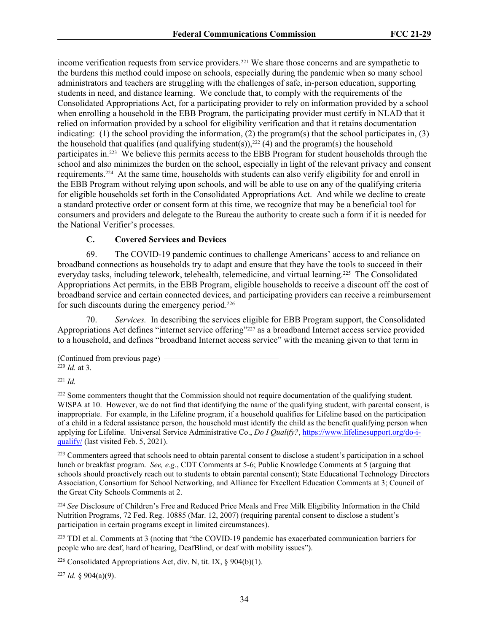income verification requests from service providers.221 We share those concerns and are sympathetic to the burdens this method could impose on schools, especially during the pandemic when so many school administrators and teachers are struggling with the challenges of safe, in-person education, supporting students in need, and distance learning. We conclude that, to comply with the requirements of the Consolidated Appropriations Act, for a participating provider to rely on information provided by a school when enrolling a household in the EBB Program, the participating provider must certify in NLAD that it relied on information provided by a school for eligibility verification and that it retains documentation indicating: (1) the school providing the information, (2) the program(s) that the school participates in,  $(3)$ the household that qualifies (and qualifying student(s)),<sup>222</sup> (4) and the program(s) the household participates in.223 We believe this permits access to the EBB Program for student households through the school and also minimizes the burden on the school, especially in light of the relevant privacy and consent requirements.224 At the same time, households with students can also verify eligibility for and enroll in the EBB Program without relying upon schools, and will be able to use on any of the qualifying criteria for eligible households set forth in the Consolidated Appropriations Act. And while we decline to create a standard protective order or consent form at this time, we recognize that may be a beneficial tool for consumers and providers and delegate to the Bureau the authority to create such a form if it is needed for the National Verifier's processes.

#### **C. Covered Services and Devices**

69. The COVID-19 pandemic continues to challenge Americans' access to and reliance on broadband connections as households try to adapt and ensure that they have the tools to succeed in their everyday tasks, including telework, telehealth, telemedicine, and virtual learning.225 The Consolidated Appropriations Act permits, in the EBB Program, eligible households to receive a discount off the cost of broadband service and certain connected devices, and participating providers can receive a reimbursement for such discounts during the emergency period.<sup>226</sup>

70. *Services.* In describing the services eligible for EBB Program support, the Consolidated Appropriations Act defines "internet service offering"227 as a broadband Internet access service provided to a household, and defines "broadband Internet access service" with the meaning given to that term in

| (Continued from previous page) |  |
|--------------------------------|--|
|                                |  |
| $220$ <i>Id.</i> at 3.         |  |

<sup>221</sup> *Id.*

<sup>222</sup> Some commenters thought that the Commission should not require documentation of the qualifying student. WISPA at 10. However, we do not find that identifying the name of the qualifying student, with parental consent, is inappropriate. For example, in the Lifeline program, if a household qualifies for Lifeline based on the participation of a child in a federal assistance person, the household must identify the child as the benefit qualifying person when applying for Lifeline. Universal Service Administrative Co., *Do I Qualify?*, [https://www.lifelinesupport.org/do-i](https://www.lifelinesupport.org/do-i-qualify/)[qualify/](https://www.lifelinesupport.org/do-i-qualify/) (last visited Feb. 5, 2021).

<sup>223</sup> Commenters agreed that schools need to obtain parental consent to disclose a student's participation in a school lunch or breakfast program. *See, e.g.*, CDT Comments at 5-6; Public Knowledge Comments at 5 (arguing that schools should proactively reach out to students to obtain parental consent); State Educational Technology Directors Association, Consortium for School Networking, and Alliance for Excellent Education Comments at 3; Council of the Great City Schools Comments at 2.

<sup>224</sup> *See* Disclosure of Children's Free and Reduced Price Meals and Free Milk Eligibility Information in the Child Nutrition Programs, 72 Fed. Reg. 10885 (Mar. 12, 2007) (requiring parental consent to disclose a student's participation in certain programs except in limited circumstances).

<sup>225</sup> TDI et al. Comments at 3 (noting that "the COVID-19 pandemic has exacerbated communication barriers for people who are deaf, hard of hearing, DeafBlind, or deaf with mobility issues").

<sup>226</sup> Consolidated Appropriations Act, div. N, tit. IX,  $\S$  904(b)(1).

<sup>227</sup> *Id.* § 904(a)(9).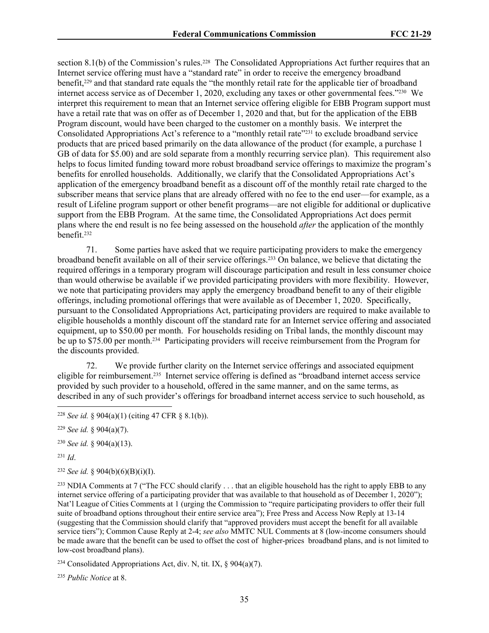section 8.1(b) of the Commission's rules.<sup>228</sup> The Consolidated Appropriations Act further requires that an Internet service offering must have a "standard rate" in order to receive the emergency broadband benefit,229 and that standard rate equals the "the monthly retail rate for the applicable tier of broadband internet access service as of December 1, 2020, excluding any taxes or other governmental fees."230 We interpret this requirement to mean that an Internet service offering eligible for EBB Program support must have a retail rate that was on offer as of December 1, 2020 and that, but for the application of the EBB Program discount, would have been charged to the customer on a monthly basis. We interpret the Consolidated Appropriations Act's reference to a "monthly retail rate"231 to exclude broadband service products that are priced based primarily on the data allowance of the product (for example, a purchase 1 GB of data for \$5.00) and are sold separate from a monthly recurring service plan). This requirement also helps to focus limited funding toward more robust broadband service offerings to maximize the program's benefits for enrolled households. Additionally, we clarify that the Consolidated Appropriations Act's application of the emergency broadband benefit as a discount off of the monthly retail rate charged to the subscriber means that service plans that are already offered with no fee to the end user—for example, as a result of Lifeline program support or other benefit programs—are not eligible for additional or duplicative support from the EBB Program. At the same time, the Consolidated Appropriations Act does permit plans where the end result is no fee being assessed on the household *after* the application of the monthly benefit.<sup>232</sup>

71. Some parties have asked that we require participating providers to make the emergency broadband benefit available on all of their service offerings.233 On balance, we believe that dictating the required offerings in a temporary program will discourage participation and result in less consumer choice than would otherwise be available if we provided participating providers with more flexibility. However, we note that participating providers may apply the emergency broadband benefit to any of their eligible offerings, including promotional offerings that were available as of December 1, 2020. Specifically, pursuant to the Consolidated Appropriations Act, participating providers are required to make available to eligible households a monthly discount off the standard rate for an Internet service offering and associated equipment, up to \$50.00 per month. For households residing on Tribal lands, the monthly discount may be up to \$75.00 per month.234 Participating providers will receive reimbursement from the Program for the discounts provided.

72. We provide further clarity on the Internet service offerings and associated equipment eligible for reimbursement.235 Internet service offering is defined as "broadband internet access service provided by such provider to a household, offered in the same manner, and on the same terms, as described in any of such provider's offerings for broadband internet access service to such household, as

<sup>231</sup> *Id*.

<sup>232</sup> *See id.* § 904(b)(6)(B)(i)(I).

<sup>233</sup> NDIA Comments at 7 ("The FCC should clarify . . . that an eligible household has the right to apply EBB to any internet service offering of a participating provider that was available to that household as of December 1, 2020"); Nat'l League of Cities Comments at 1 (urging the Commission to "require participating providers to offer their full suite of broadband options throughout their entire service area"); Free Press and Access Now Reply at 13-14 (suggesting that the Commission should clarify that "approved providers must accept the benefit for all available service tiers"); Common Cause Reply at 2-4; *see also* MMTC NUL Comments at 8 (low-income consumers should be made aware that the benefit can be used to offset the cost of higher-prices broadband plans, and is not limited to low-cost broadband plans).

<sup>234</sup> Consolidated Appropriations Act, div. N, tit. IX,  $\S$  904(a)(7).

<sup>235</sup> *Public Notice* at 8.

<sup>228</sup> *See id.* § 904(a)(1) (citing 47 CFR § 8.1(b)).

<sup>229</sup> *See id.* § 904(a)(7).

<sup>230</sup> *See id.* § 904(a)(13).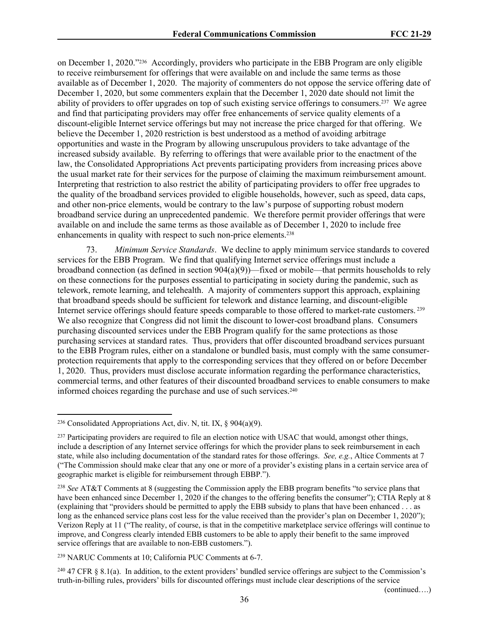on December 1, 2020."236 Accordingly, providers who participate in the EBB Program are only eligible to receive reimbursement for offerings that were available on and include the same terms as those available as of December 1, 2020. The majority of commenters do not oppose the service offering date of December 1, 2020, but some commenters explain that the December 1, 2020 date should not limit the ability of providers to offer upgrades on top of such existing service offerings to consumers.237 We agree and find that participating providers may offer free enhancements of service quality elements of a discount-eligible Internet service offerings but may not increase the price charged for that offering. We believe the December 1, 2020 restriction is best understood as a method of avoiding arbitrage opportunities and waste in the Program by allowing unscrupulous providers to take advantage of the increased subsidy available. By referring to offerings that were available prior to the enactment of the law, the Consolidated Appropriations Act prevents participating providers from increasing prices above the usual market rate for their services for the purpose of claiming the maximum reimbursement amount. Interpreting that restriction to also restrict the ability of participating providers to offer free upgrades to the quality of the broadband services provided to eligible households, however, such as speed, data caps, and other non-price elements, would be contrary to the law's purpose of supporting robust modern broadband service during an unprecedented pandemic. We therefore permit provider offerings that were available on and include the same terms as those available as of December 1, 2020 to include free enhancements in quality with respect to such non-price elements.<sup>238</sup>

73. *Minimum Service Standards*. We decline to apply minimum service standards to covered services for the EBB Program. We find that qualifying Internet service offerings must include a broadband connection (as defined in section 904(a)(9))—fixed or mobile—that permits households to rely on these connections for the purposes essential to participating in society during the pandemic, such as telework, remote learning, and telehealth. A majority of commenters support this approach, explaining that broadband speeds should be sufficient for telework and distance learning, and discount-eligible Internet service offerings should feature speeds comparable to those offered to market-rate customers.<sup>239</sup> We also recognize that Congress did not limit the discount to lower-cost broadband plans. Consumers purchasing discounted services under the EBB Program qualify for the same protections as those purchasing services at standard rates. Thus, providers that offer discounted broadband services pursuant to the EBB Program rules, either on a standalone or bundled basis, must comply with the same consumerprotection requirements that apply to the corresponding services that they offered on or before December 1, 2020. Thus, providers must disclose accurate information regarding the performance characteristics, commercial terms, and other features of their discounted broadband services to enable consumers to make informed choices regarding the purchase and use of such services.<sup>240</sup>

(continued….)

<sup>&</sup>lt;sup>236</sup> Consolidated Appropriations Act, div. N, tit. IX,  $\S$  904(a)(9).

<sup>&</sup>lt;sup>237</sup> Participating providers are required to file an election notice with USAC that would, amongst other things, include a description of any Internet service offerings for which the provider plans to seek reimbursement in each state, while also including documentation of the standard rates for those offerings. *See, e.g.*, Altice Comments at 7 ("The Commission should make clear that any one or more of a provider's existing plans in a certain service area of geographic market is eligible for reimbursement through EBBP.").

<sup>238</sup> *See* AT&T Comments at 8 (suggesting the Commission apply the EBB program benefits "to service plans that have been enhanced since December 1, 2020 if the changes to the offering benefits the consumer"); CTIA Reply at 8 (explaining that "providers should be permitted to apply the EBB subsidy to plans that have been enhanced . . . as long as the enhanced service plans cost less for the value received than the provider's plan on December 1, 2020"); Verizon Reply at 11 ("The reality, of course, is that in the competitive marketplace service offerings will continue to improve, and Congress clearly intended EBB customers to be able to apply their benefit to the same improved service offerings that are available to non-EBB customers.").

<sup>239</sup> NARUC Comments at 10; California PUC Comments at 6-7.

<sup>&</sup>lt;sup>240</sup> 47 CFR § 8.1(a). In addition, to the extent providers' bundled service offerings are subject to the Commission's truth-in-billing rules, providers' bills for discounted offerings must include clear descriptions of the service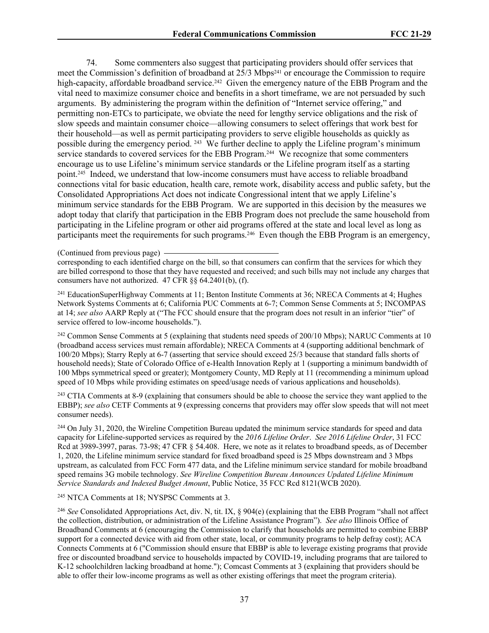74. Some commenters also suggest that participating providers should offer services that meet the Commission's definition of broadband at 25/3 Mbps<sup>241</sup> or encourage the Commission to require high-capacity, affordable broadband service.<sup>242</sup> Given the emergency nature of the EBB Program and the vital need to maximize consumer choice and benefits in a short timeframe, we are not persuaded by such arguments. By administering the program within the definition of "Internet service offering," and permitting non-ETCs to participate, we obviate the need for lengthy service obligations and the risk of slow speeds and maintain consumer choice—allowing consumers to select offerings that work best for their household—as well as permit participating providers to serve eligible households as quickly as possible during the emergency period. 243 We further decline to apply the Lifeline program's minimum service standards to covered services for the EBB Program.<sup>244</sup> We recognize that some commenters encourage us to use Lifeline's minimum service standards or the Lifeline program itself as a starting point.245 Indeed, we understand that low-income consumers must have access to reliable broadband connections vital for basic education, health care, remote work, disability access and public safety, but the Consolidated Appropriations Act does not indicate Congressional intent that we apply Lifeline's minimum service standards for the EBB Program. We are supported in this decision by the measures we adopt today that clarify that participation in the EBB Program does not preclude the same household from participating in the Lifeline program or other aid programs offered at the state and local level as long as participants meet the requirements for such programs.<sup>246</sup> Even though the EBB Program is an emergency,

(Continued from previous page)

corresponding to each identified charge on the bill, so that consumers can confirm that the services for which they are billed correspond to those that they have requested and received; and such bills may not include any charges that consumers have not authorized. 47 CFR §§ 64.2401(b), (f).

<sup>241</sup> EducationSuperHighway Comments at 11; Benton Institute Comments at 36; NRECA Comments at 4; Hughes Network Systems Comments at 6; California PUC Comments at 6-7; Common Sense Comments at 5; INCOMPAS at 14; *see also* AARP Reply at ("The FCC should ensure that the program does not result in an inferior "tier" of service offered to low-income households.").

<sup>242</sup> Common Sense Comments at 5 (explaining that students need speeds of 200/10 Mbps); NARUC Comments at 10 (broadband access services must remain affordable); NRECA Comments at 4 (supporting additional benchmark of 100/20 Mbps); Starry Reply at 6-7 (asserting that service should exceed 25/3 because that standard falls shorts of household needs); State of Colorado Office of e-Health Innovation Reply at 1 (supporting a minimum bandwidth of 100 Mbps symmetrical speed or greater); Montgomery County, MD Reply at 11 (recommending a minimum upload speed of 10 Mbps while providing estimates on speed/usage needs of various applications and households).

<sup>243</sup> CTIA Comments at 8-9 (explaining that consumers should be able to choose the service they want applied to the EBBP); *see also* CETF Comments at 9 (expressing concerns that providers may offer slow speeds that will not meet consumer needs).

<sup>244</sup> On July 31, 2020, the Wireline Competition Bureau updated the minimum service standards for speed and data capacity for Lifeline-supported services as required by the *2016 Lifeline Order*. *See 2016 Lifeline Order*, 31 FCC Rcd at 3989-3997, paras. 73-98; 47 CFR § 54.408. Here, we note as it relates to broadband speeds, as of December 1, 2020, the Lifeline minimum service standard for fixed broadband speed is 25 Mbps downstream and 3 Mbps upstream, as calculated from FCC Form 477 data, and the Lifeline minimum service standard for mobile broadband speed remains 3G mobile technology. *See Wireline Competition Bureau Announces Updated Lifeline Minimum Service Standards and Indexed Budget Amount*, Public Notice, 35 FCC Rcd 8121(WCB 2020).

<sup>245</sup> NTCA Comments at 18; NYSPSC Comments at 3.

<sup>246</sup> *See* Consolidated Appropriations Act, div. N, tit. IX, § 904(e) (explaining that the EBB Program "shall not affect the collection, distribution, or administration of the Lifeline Assistance Program"). *See also* Illinois Office of Broadband Comments at 6 (encouraging the Commission to clarify that households are permitted to combine EBBP support for a connected device with aid from other state, local, or community programs to help defray cost); ACA Connects Comments at 6 ("Commission should ensure that EBBP is able to leverage existing programs that provide free or discounted broadband service to households impacted by COVID-19, including programs that are tailored to K-12 schoolchildren lacking broadband at home."); Comcast Comments at 3 (explaining that providers should be able to offer their low-income programs as well as other existing offerings that meet the program criteria).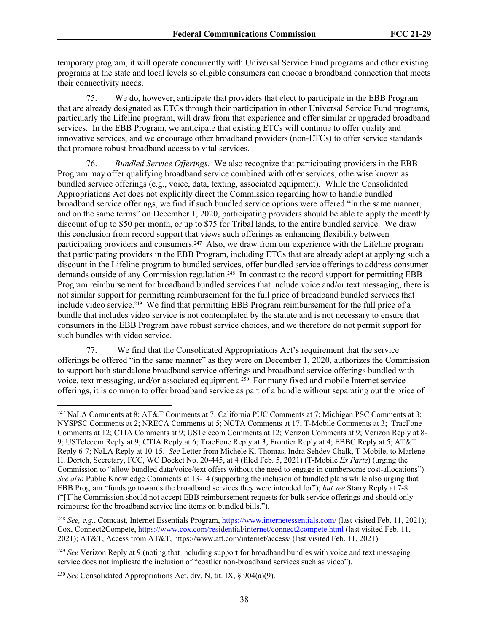temporary program, it will operate concurrently with Universal Service Fund programs and other existing programs at the state and local levels so eligible consumers can choose a broadband connection that meets their connectivity needs.

75. We do, however, anticipate that providers that elect to participate in the EBB Program that are already designated as ETCs through their participation in other Universal Service Fund programs, particularly the Lifeline program, will draw from that experience and offer similar or upgraded broadband services. In the EBB Program, we anticipate that existing ETCs will continue to offer quality and innovative services, and we encourage other broadband providers (non-ETCs) to offer service standards that promote robust broadband access to vital services.

76. *Bundled Service Offerings*. We also recognize that participating providers in the EBB Program may offer qualifying broadband service combined with other services, otherwise known as bundled service offerings (e.g., voice, data, texting, associated equipment). While the Consolidated Appropriations Act does not explicitly direct the Commission regarding how to handle bundled broadband service offerings, we find if such bundled service options were offered "in the same manner, and on the same terms" on December 1, 2020, participating providers should be able to apply the monthly discount of up to \$50 per month, or up to \$75 for Tribal lands, to the entire bundled service. We draw this conclusion from record support that views such offerings as enhancing flexibility between participating providers and consumers.<sup>247</sup> Also, we draw from our experience with the Lifeline program that participating providers in the EBB Program, including ETCs that are already adept at applying such a discount in the Lifeline program to bundled services, offer bundled service offerings to address consumer demands outside of any Commission regulation.<sup>248</sup> In contrast to the record support for permitting EBB Program reimbursement for broadband bundled services that include voice and/or text messaging, there is not similar support for permitting reimbursement for the full price of broadband bundled services that include video service.249 We find that permitting EBB Program reimbursement for the full price of a bundle that includes video service is not contemplated by the statute and is not necessary to ensure that consumers in the EBB Program have robust service choices, and we therefore do not permit support for such bundles with video service.

77. We find that the Consolidated Appropriations Act's requirement that the service offerings be offered "in the same manner" as they were on December 1, 2020, authorizes the Commission to support both standalone broadband service offerings and broadband service offerings bundled with voice, text messaging, and/or associated equipment. 250 For many fixed and mobile Internet service offerings, it is common to offer broadband service as part of a bundle without separating out the price of

<sup>247</sup> NaLA Comments at 8; AT&T Comments at 7; California PUC Comments at 7; Michigan PSC Comments at 3; NYSPSC Comments at 2; NRECA Comments at 5; NCTA Comments at 17; T-Mobile Comments at 3; TracFone Comments at 12; CTIA Comments at 9; USTelecom Comments at 12; Verizon Comments at 9; Verizon Reply at 8- 9; USTelecom Reply at 9; CTIA Reply at 6; TracFone Reply at 3; Frontier Reply at 4; EBBC Reply at 5; AT&T Reply 6-7; NaLA Reply at 10-15. *See* Letter from Michele K. Thomas, Indra Sehdev Chalk, T-Mobile, to Marlene H. Dortch, Secretary, FCC, WC Docket No. 20-445, at 4 (filed Feb. 5, 2021) (T-Mobile *Ex Parte*) (urging the Commission to "allow bundled data/voice/text offers without the need to engage in cumbersome cost-allocations"). *See also* Public Knowledge Comments at 13-14 (supporting the inclusion of bundled plans while also urging that EBB Program "funds go towards the broadband services they were intended for"); *but see* Starry Reply at 7-8 ("[T]he Commission should not accept EBB reimbursement requests for bulk service offerings and should only reimburse for the broadband service line items on bundled bills.").

<sup>248</sup> *See, e.g.*, Comcast, Internet Essentials Program,<https://www.internetessentials.com/> (last visited Feb. 11, 2021); Cox, Connect2Compete,<https://www.cox.com/residential/internet/connect2compete.html>(last visited Feb. 11, 2021); AT&T, Access from AT&T, https://www.att.com/internet/access/ (last visited Feb. 11, 2021).

<sup>249</sup> *See* Verizon Reply at 9 (noting that including support for broadband bundles with voice and text messaging service does not implicate the inclusion of "costlier non-broadband services such as video").

<sup>250</sup> *See* Consolidated Appropriations Act, div. N, tit. IX, § 904(a)(9).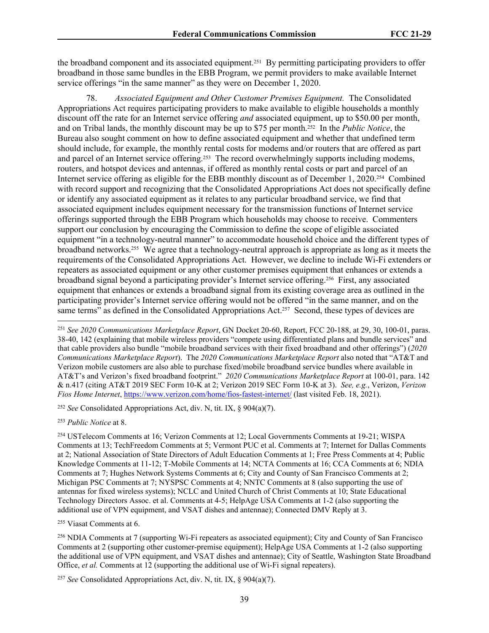the broadband component and its associated equipment.251 By permitting participating providers to offer broadband in those same bundles in the EBB Program, we permit providers to make available Internet service offerings "in the same manner" as they were on December 1, 2020.

78. *Associated Equipment and Other Customer Premises Equipment.* The Consolidated Appropriations Act requires participating providers to make available to eligible households a monthly discount off the rate for an Internet service offering *and* associated equipment, up to \$50.00 per month, and on Tribal lands, the monthly discount may be up to \$75 per month.252 In the *Public Notice*, the Bureau also sought comment on how to define associated equipment and whether that undefined term should include, for example, the monthly rental costs for modems and/or routers that are offered as part and parcel of an Internet service offering.<sup>253</sup> The record overwhelmingly supports including modems, routers, and hotspot devices and antennas, if offered as monthly rental costs or part and parcel of an Internet service offering as eligible for the EBB monthly discount as of December 1, 2020.254 Combined with record support and recognizing that the Consolidated Appropriations Act does not specifically define or identify any associated equipment as it relates to any particular broadband service, we find that associated equipment includes equipment necessary for the transmission functions of Internet service offerings supported through the EBB Program which households may choose to receive. Commenters support our conclusion by encouraging the Commission to define the scope of eligible associated equipment "in a technology-neutral manner" to accommodate household choice and the different types of broadband networks.255 We agree that a technology-neutral approach is appropriate as long as it meets the requirements of the Consolidated Appropriations Act. However, we decline to include Wi-Fi extenders or repeaters as associated equipment or any other customer premises equipment that enhances or extends a broadband signal beyond a participating provider's Internet service offering.256 First, any associated equipment that enhances or extends a broadband signal from its existing coverage area as outlined in the participating provider's Internet service offering would not be offered "in the same manner, and on the same terms" as defined in the Consolidated Appropriations Act.<sup>257</sup> Second, these types of devices are

<sup>252</sup> *See* Consolidated Appropriations Act, div. N, tit. IX, § 904(a)(7).

<sup>253</sup> *Public Notice* at 8.

<sup>254</sup> USTelecom Comments at 16; Verizon Comments at 12; Local Governments Comments at 19-21; WISPA Comments at 13; TechFreedom Comments at 5; Vermont PUC et al. Comments at 7; Internet for Dallas Comments at 2; National Association of State Directors of Adult Education Comments at 1; Free Press Comments at 4; Public Knowledge Comments at 11-12; T-Mobile Comments at 14; NCTA Comments at 16; CCA Comments at 6; NDIA Comments at 7; Hughes Network Systems Comments at 6; City and County of San Francisco Comments at 2; Michigan PSC Comments at 7; NYSPSC Comments at 4; NNTC Comments at 8 (also supporting the use of antennas for fixed wireless systems); NCLC and United Church of Christ Comments at 10; State Educational Technology Directors Assoc. et al. Comments at 4-5; HelpAge USA Comments at 1-2 (also supporting the additional use of VPN equipment, and VSAT dishes and antennae); Connected DMV Reply at 3.

<sup>255</sup> Viasat Comments at 6.

<sup>256</sup> NDIA Comments at 7 (supporting Wi-Fi repeaters as associated equipment); City and County of San Francisco Comments at 2 (supporting other customer-premise equipment); HelpAge USA Comments at 1-2 (also supporting the additional use of VPN equipment, and VSAT dishes and antennae); City of Seattle, Washington State Broadband Office, *et al.* Comments at 12 (supporting the additional use of Wi-Fi signal repeaters).

<sup>257</sup> *See* Consolidated Appropriations Act, div. N, tit. IX, § 904(a)(7).

<sup>251</sup> *See 2020 Communications Marketplace Report*, GN Docket 20-60, Report, FCC 20-188, at 29, 30, 100-01, paras. 38-40, 142 (explaining that mobile wireless providers "compete using differentiated plans and bundle services" and that cable providers also bundle "mobile broadband services with their fixed broadband and other offerings") (*2020 Communications Marketplace Report*).The *2020 Communications Marketplace Report* also noted that "AT&T and Verizon mobile customers are also able to purchase fixed/mobile broadband service bundles where available in AT&T's and Verizon's fixed broadband footprint." *2020 Communications Marketplace Report* at 100-01, para. 142 & n.417 (citing AT&T 2019 SEC Form 10-K at 2; Verizon 2019 SEC Form 10-K at 3). *See, e.g.*, Verizon, *Verizon Fios Home Internet*,<https://www.verizon.com/home/fios-fastest-internet/> (last visited Feb. 18, 2021).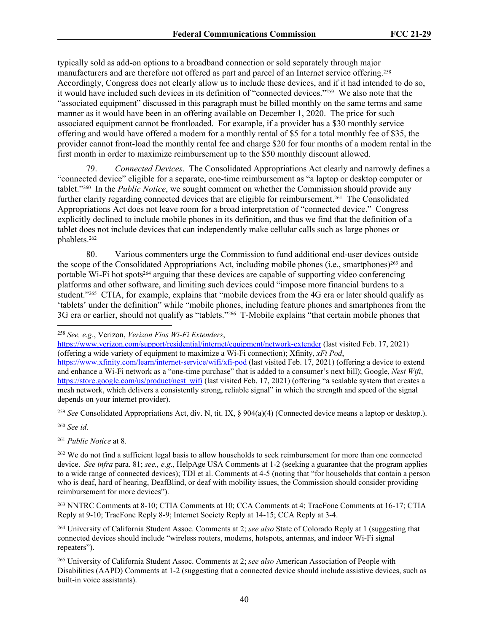typically sold as add-on options to a broadband connection or sold separately through major manufacturers and are therefore not offered as part and parcel of an Internet service offering.<sup>258</sup> Accordingly, Congress does not clearly allow us to include these devices, and if it had intended to do so, it would have included such devices in its definition of "connected devices."259 We also note that the "associated equipment" discussed in this paragraph must be billed monthly on the same terms and same manner as it would have been in an offering available on December 1, 2020. The price for such associated equipment cannot be frontloaded. For example, if a provider has a \$30 monthly service offering and would have offered a modem for a monthly rental of \$5 for a total monthly fee of \$35, the provider cannot front-load the monthly rental fee and charge \$20 for four months of a modem rental in the first month in order to maximize reimbursement up to the \$50 monthly discount allowed.

79. *Connected Devices*. The Consolidated Appropriations Act clearly and narrowly defines a "connected device" eligible for a separate, one-time reimbursement as "a laptop or desktop computer or tablet."260 In the *Public Notice*, we sought comment on whether the Commission should provide any further clarity regarding connected devices that are eligible for reimbursement.<sup>261</sup> The Consolidated Appropriations Act does not leave room for a broad interpretation of "connected device." Congress explicitly declined to include mobile phones in its definition, and thus we find that the definition of a tablet does not include devices that can independently make cellular calls such as large phones or phablets.<sup>262</sup>

80. Various commenters urge the Commission to fund additional end-user devices outside the scope of the Consolidated Appropriations Act, including mobile phones (i.e., smartphones)<sup>263</sup> and portable Wi-Fi hot spots264 arguing that these devices are capable of supporting video conferencing platforms and other software, and limiting such devices could "impose more financial burdens to a student."265 CTIA, for example, explains that "mobile devices from the 4G era or later should qualify as 'tablets' under the definition" while "mobile phones, including feature phones and smartphones from the 3G era or earlier, should not qualify as "tablets."266 T-Mobile explains "that certain mobile phones that

<https://www.verizon.com/support/residential/internet/equipment/network-extender> (last visited Feb. 17, 2021) (offering a wide variety of equipment to maximize a Wi-Fi connection); Xfinity, *xFi Pod*,

<sup>259</sup> *See* Consolidated Appropriations Act, div. N, tit. IX, § 904(a)(4) (Connected device means a laptop or desktop.).

<sup>260</sup> *See id*.

<sup>261</sup> *Public Notice* at 8.

<sup>262</sup> We do not find a sufficient legal basis to allow households to seek reimbursement for more than one connected device. *See infra* para. 81; *see., e.g*., HelpAge USA Comments at 1-2 (seeking a guarantee that the program applies to a wide range of connected devices); TDI et al. Comments at 4-5 (noting that "for households that contain a person who is deaf, hard of hearing, DeafBlind, or deaf with mobility issues, the Commission should consider providing reimbursement for more devices").

<sup>263</sup> NNTRC Comments at 8-10; CTIA Comments at 10; CCA Comments at 4; TracFone Comments at 16-17; CTIA Reply at 9-10; TracFone Reply 8-9; Internet Society Reply at 14-15; CCA Reply at 3-4.

<sup>264</sup> University of California Student Assoc. Comments at 2; *see also* State of Colorado Reply at 1 (suggesting that connected devices should include "wireless routers, modems, hotspots, antennas, and indoor Wi-Fi signal repeaters").

<sup>258</sup> *See, e.g*., Verizon, *Verizon Fios Wi-Fi Extenders*,

<https://www.xfinity.com/learn/internet-service/wifi/xfi-pod> (last visited Feb. 17, 2021) (offering a device to extend and enhance a Wi-Fi network as a "one-time purchase" that is added to a consumer's next bill); Google, *Nest Wifi*, [https://store.google.com/us/product/nest\\_wifi](https://store.google.com/us/product/nest_wifi) (last visited Feb. 17, 2021) (offering "a scalable system that creates a mesh network, which delivers a consistently strong, reliable signal" in which the strength and speed of the signal depends on your internet provider).

<sup>265</sup> University of California Student Assoc. Comments at 2; *see also* American Association of People with Disabilities (AAPD) Comments at 1-2 (suggesting that a connected device should include assistive devices, such as built-in voice assistants).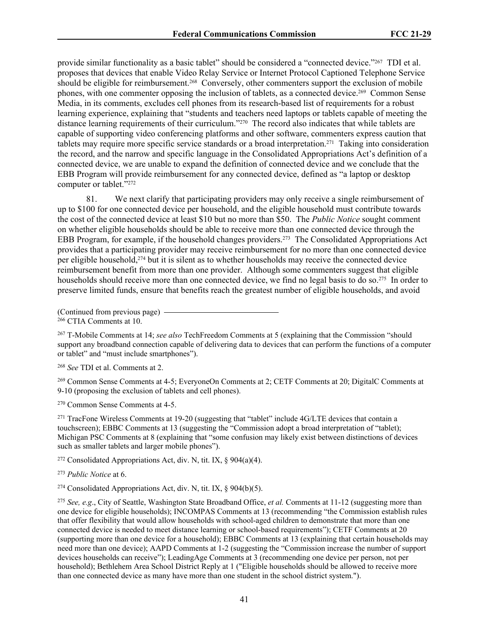provide similar functionality as a basic tablet" should be considered a "connected device."267 TDI et al. proposes that devices that enable Video Relay Service or Internet Protocol Captioned Telephone Service should be eligible for reimbursement.268 Conversely, other commenters support the exclusion of mobile phones, with one commenter opposing the inclusion of tablets, as a connected device.269 Common Sense Media, in its comments, excludes cell phones from its research-based list of requirements for a robust learning experience, explaining that "students and teachers need laptops or tablets capable of meeting the distance learning requirements of their curriculum."<sup>270</sup> The record also indicates that while tablets are capable of supporting video conferencing platforms and other software, commenters express caution that tablets may require more specific service standards or a broad interpretation.271 Taking into consideration the record, and the narrow and specific language in the Consolidated Appropriations Act's definition of a connected device, we are unable to expand the definition of connected device and we conclude that the EBB Program will provide reimbursement for any connected device, defined as "a laptop or desktop computer or tablet."<sup>272</sup>

81. We next clarify that participating providers may only receive a single reimbursement of up to \$100 for one connected device per household, and the eligible household must contribute towards the cost of the connected device at least \$10 but no more than \$50. The *Public Notice* sought comment on whether eligible households should be able to receive more than one connected device through the EBB Program, for example, if the household changes providers.<sup>273</sup> The Consolidated Appropriations Act provides that a participating provider may receive reimbursement for no more than one connected device per eligible household,274 but it is silent as to whether households may receive the connected device reimbursement benefit from more than one provider. Although some commenters suggest that eligible households should receive more than one connected device, we find no legal basis to do so.<sup>275</sup> In order to preserve limited funds, ensure that benefits reach the greatest number of eligible households, and avoid

<sup>267</sup> T-Mobile Comments at 14; *see also* TechFreedom Comments at 5 (explaining that the Commission "should support any broadband connection capable of delivering data to devices that can perform the functions of a computer or tablet" and "must include smartphones").

<sup>268</sup> *See* TDI et al. Comments at 2.

<sup>269</sup> Common Sense Comments at 4-5; EveryoneOn Comments at 2; CETF Comments at 20; DigitalC Comments at 9-10 (proposing the exclusion of tablets and cell phones).

<sup>270</sup> Common Sense Comments at 4-5.

<sup>271</sup> TracFone Wireless Comments at 19-20 (suggesting that "tablet" include 4G/LTE devices that contain a touchscreen); EBBC Comments at 13 (suggesting the "Commission adopt a broad interpretation of "tablet); Michigan PSC Comments at 8 (explaining that "some confusion may likely exist between distinctions of devices such as smaller tablets and larger mobile phones").

<sup>272</sup> Consolidated Appropriations Act, div. N, tit. IX,  $\frac{8}{904(a)(4)}$ .

<sup>273</sup> *Public Notice* at 6.

<sup>274</sup> Consolidated Appropriations Act, div. N, tit. IX,  $\S$  904(b)(5).

<sup>275</sup> *See, e.g*., City of Seattle, Washington State Broadband Office, *et al.* Comments at 11-12 (suggesting more than one device for eligible households); INCOMPAS Comments at 13 (recommending "the Commission establish rules that offer flexibility that would allow households with school-aged children to demonstrate that more than one connected device is needed to meet distance learning or school-based requirements"); CETF Comments at 20 (supporting more than one device for a household); EBBC Comments at 13 (explaining that certain households may need more than one device); AAPD Comments at 1-2 (suggesting the "Commission increase the number of support devices households can receive"); LeadingAge Comments at 3 (recommending one device per person, not per household); Bethlehem Area School District Reply at 1 ("Eligible households should be allowed to receive more than one connected device as many have more than one student in the school district system.").

<sup>(</sup>Continued from previous page) <sup>266</sup> CTIA Comments at 10.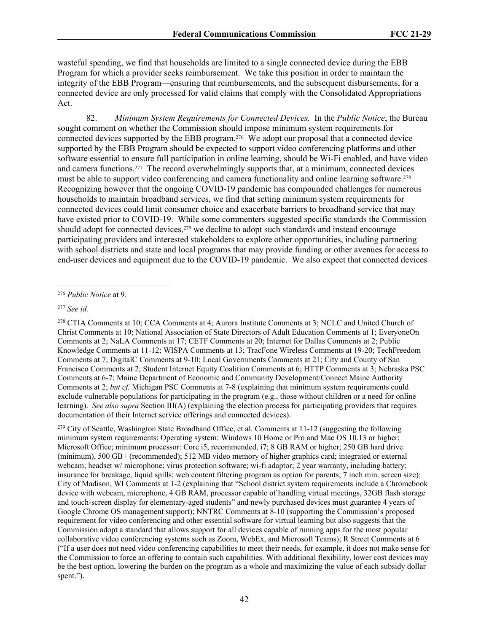wasteful spending, we find that households are limited to a single connected device during the EBB Program for which a provider seeks reimbursement. We take this position in order to maintain the integrity of the EBB Program—ensuring that reimbursements, and the subsequent disbursements, for a connected device are only processed for valid claims that comply with the Consolidated Appropriations Act.

82. *Minimum System Requirements for Connected Devices.* In the *Public Notice*, the Bureau sought comment on whether the Commission should impose minimum system requirements for connected devices supported by the EBB program.276 We adopt our proposal that a connected device supported by the EBB Program should be expected to support video conferencing platforms and other software essential to ensure full participation in online learning, should be Wi-Fi enabled, and have video and camera functions.277 The record overwhelmingly supports that, at a minimum, connected devices must be able to support video conferencing and camera functionality and online learning software.<sup>278</sup> Recognizing however that the ongoing COVID-19 pandemic has compounded challenges for numerous households to maintain broadband services, we find that setting minimum system requirements for connected devices could limit consumer choice and exacerbate barriers to broadband service that may have existed prior to COVID-19. While some commenters suggested specific standards the Commission should adopt for connected devices,<sup>279</sup> we decline to adopt such standards and instead encourage participating providers and interested stakeholders to explore other opportunities, including partnering with school districts and state and local programs that may provide funding or other avenues for access to end-user devices and equipment due to the COVID-19 pandemic. We also expect that connected devices

<sup>279</sup> City of Seattle, Washington State Broadband Office, et al*.* Comments at 11-12 (suggesting the following minimum system requirements: Operating system: Windows 10 Home or Pro and Mac OS 10.13 or higher; Microsoft Office; minimum processor: Core i5, recommended, i7; 8 GB RAM or higher; 250 GB hard drive (minimum), 500 GB+ (recommended); 512 MB video memory of higher graphics card; integrated or external webcam; headset w/ microphone; virus protection software; wi-fi adaptor; 2 year warranty, including battery; insurance for breakage, liquid spills; web content filtering program as option for parents; 7 inch min. screen size); City of Madison, WI Comments at 1-2 (explaining that "School district system requirements include a Chromebook device with webcam, microphone, 4 GB RAM, processor capable of handling virtual meetings, 32GB flash storage and touch-screen display for elementary-aged students" and newly purchased devices must guarantee 4 years of Google Chrome OS management support); NNTRC Comments at 8-10 (supporting the Commission's proposed requirement for video conferencing and other essential software for virtual learning but also suggests that the Commission adopt a standard that allows support for all devices capable of running apps for the most popular collaborative video conferencing systems such as Zoom, WebEx, and Microsoft Teams); R Street Comments at 6 ("If a user does not need video conferencing capabilities to meet their needs, for example, it does not make sense for the Commission to force an offering to contain such capabilities. With additional flexibility, lower cost devices may be the best option, lowering the burden on the program as a whole and maximizing the value of each subsidy dollar spent.").

<sup>276</sup> *Public Notice* at 9.

<sup>277</sup> *See id.*

<sup>278</sup> CTIA Comments at 10; CCA Comments at 4; Aurora Institute Comments at 3; NCLC and United Church of Christ Comments at 10; National Association of State Directors of Adult Education Comments at 1; EveryoneOn Comments at 2; NaLA Comments at 17; CETF Comments at 20; Internet for Dallas Comments at 2; Public Knowledge Comments at 11-12; WISPA Comments at 13; TracFone Wireless Comments at 19-20; TechFreedom Comments at 7; DigitalC Comments at 9-10; Local Governments Comments at 21; City and County of San Francisco Comments at 2; Student Internet Equity Coalition Comments at 6; HTTP Comments at 3; Nebraska PSC Comments at 6-7; Maine Department of Economic and Community Development/Connect Maine Authority Comments at 2; *but cf.* Michigan PSC Comments at 7-8 (explaining that minimum system requirements could exclude vulnerable populations for participating in the program (e.g., those without children or a need for online learning). *See also supra* Section III(A) (explaining the election process for participating providers that requires documentation of their Internet service offerings and connected devices).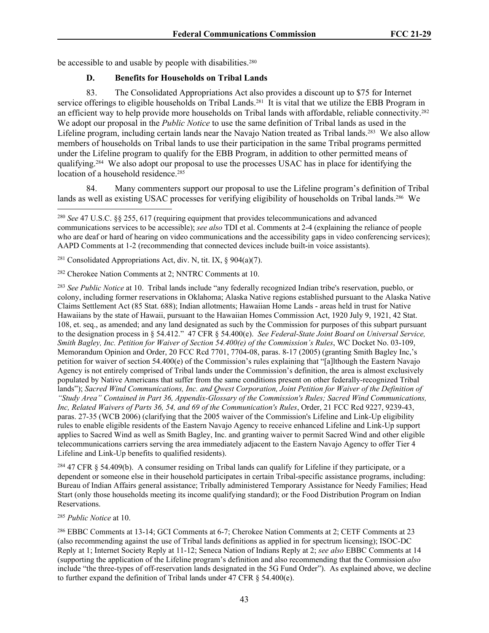be accessible to and usable by people with disabilities.<sup>280</sup>

## **D. Benefits for Households on Tribal Lands**

83. The Consolidated Appropriations Act also provides a discount up to \$75 for Internet service offerings to eligible households on Tribal Lands.<sup>281</sup> It is vital that we utilize the EBB Program in an efficient way to help provide more households on Tribal lands with affordable, reliable connectivity.<sup>282</sup> We adopt our proposal in the *Public Notice* to use the same definition of Tribal lands as used in the Lifeline program, including certain lands near the Navajo Nation treated as Tribal lands.<sup>283</sup> We also allow members of households on Tribal lands to use their participation in the same Tribal programs permitted under the Lifeline program to qualify for the EBB Program, in addition to other permitted means of qualifying.284 We also adopt our proposal to use the processes USAC has in place for identifying the location of a household residence.<sup>285</sup>

84. Many commenters support our proposal to use the Lifeline program's definition of Tribal lands as well as existing USAC processes for verifying eligibility of households on Tribal lands.<sup>286</sup> We

<sup>281</sup> Consolidated Appropriations Act, div. N, tit. IX,  $\S$  904(a)(7).

<sup>282</sup> Cherokee Nation Comments at 2; NNTRC Comments at 10.

<sup>283</sup> *See Public Notice* at 10. Tribal lands include "any federally recognized Indian tribe's reservation, pueblo, or colony, including former reservations in Oklahoma; Alaska Native regions established pursuant to the Alaska Native Claims Settlement Act (85 Stat. 688); Indian allotments; Hawaiian Home Lands - areas held in trust for Native Hawaiians by the state of Hawaii, pursuant to the Hawaiian Homes Commission Act, 1920 July 9, 1921, 42 Stat. 108, et. seq., as amended; and any land designated as such by the Commission for purposes of this subpart pursuant to the designation process in § 54.412." 47 CFR § 54.400(e). *See Federal-State Joint Board on Universal Service, Smith Bagley, Inc. Petition for Waiver of Section 54.400(e) of the Commission's Rules*, WC Docket No. 03-109, Memorandum Opinion and Order, 20 FCC Rcd 7701, 7704-08, paras. 8-17 (2005) (granting Smith Bagley Inc,'s petition for waiver of section 54.400(e) of the Commission's rules explaining that "[a]lthough the Eastern Navajo Agency is not entirely comprised of Tribal lands under the Commission's definition, the area is almost exclusively populated by Native Americans that suffer from the same conditions present on other federally-recognized Tribal lands"); *Sacred Wind Communications, Inc. and Qwest Corporation, Joint Petition for Waiver of the Definition of "Study Area" Contained in Part 36, Appendix-Glossary of the Commission's Rules; Sacred Wind Communications, Inc, Related Waivers of Parts 36, 54, and 69 of the Communication's Rules*, Order, [21 FCC Rcd 9227, 9239-43,](https://1.next.westlaw.com/Link/Document/FullText?findType=Y&serNum=2009794727&pubNum=0004493&originatingDoc=I613d12a11c4711eb9c47daf1c707eb33&refType=CA&fi=co_pp_sp_4493_9239&originationContext=document&transitionType=DocumentItem&contextData=(sc.Keycite)#co_pp_sp_4493_9239)  [paras. 27-35 \(WCB 2006\)](https://1.next.westlaw.com/Link/Document/FullText?findType=Y&serNum=2009794727&pubNum=0004493&originatingDoc=I613d12a11c4711eb9c47daf1c707eb33&refType=CA&fi=co_pp_sp_4493_9239&originationContext=document&transitionType=DocumentItem&contextData=(sc.Keycite)#co_pp_sp_4493_9239) (clarifying that the 2005 waiver of the Commission's Lifeline and Link-Up eligibility rules to enable eligible residents of the Eastern Navajo Agency to receive enhanced Lifeline and Link-Up support applies to Sacred Wind as well as Smith Bagley, Inc. and granting waiver to permit Sacred Wind and other eligible telecommunications carriers serving the area immediately adjacent to the Eastern Navajo Agency to offer Tier 4 Lifeline and Link-Up benefits to qualified residents).

<sup>284</sup> 47 CFR § 54.409(b). A consumer residing on Tribal lands can qualify for Lifeline if they participate, or a dependent or someone else in their household participates in certain Tribal-specific assistance programs, including: Bureau of Indian Affairs general assistance; Tribally administered Temporary Assistance for Needy Families; Head Start (only those households meeting its income qualifying standard); or the Food Distribution Program on Indian Reservations.

# <sup>285</sup> *Public Notice* at 10.

<sup>286</sup> EBBC Comments at 13-14; GCI Comments at 6-7; Cherokee Nation Comments at 2; CETF Comments at 23 (also recommending against the use of Tribal lands definitions as applied in for spectrum licensing); ISOC-DC Reply at 1; Internet Society Reply at 11-12; Seneca Nation of Indians Reply at 2; *see also* EBBC Comments at 14 (supporting the application of the Lifeline program's definition and also recommending that the Commission *also*  include "the three-types of off-reservation lands designated in the 5G Fund Order"). As explained above, we decline to further expand the definition of Tribal lands under 47 CFR § 54.400(e).

<sup>280</sup> *See* 47 U.S.C. §§ 255, 617 (requiring equipment that provides telecommunications and advanced communications services to be accessible); *see also* TDI et al. Comments at 2-4 (explaining the reliance of people who are deaf or hard of hearing on video communications and the accessibility gaps in video conferencing services); AAPD Comments at 1-2 (recommending that connected devices include built-in voice assistants).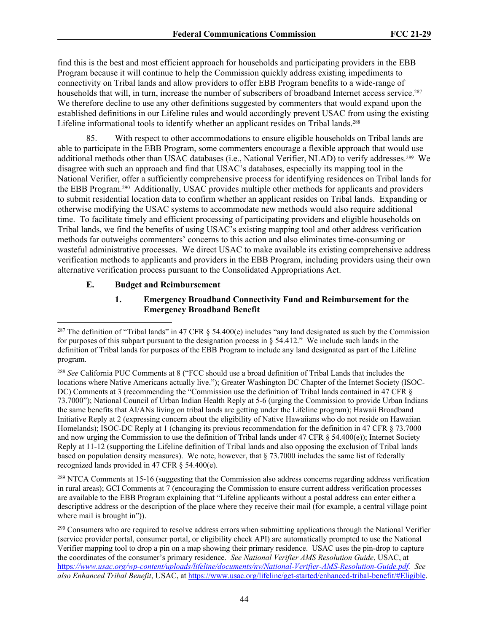find this is the best and most efficient approach for households and participating providers in the EBB Program because it will continue to help the Commission quickly address existing impediments to connectivity on Tribal lands and allow providers to offer EBB Program benefits to a wide-range of households that will, in turn, increase the number of subscribers of broadband Internet access service.<sup>287</sup> We therefore decline to use any other definitions suggested by commenters that would expand upon the established definitions in our Lifeline rules and would accordingly prevent USAC from using the existing Lifeline informational tools to identify whether an applicant resides on Tribal lands.<sup>288</sup>

85. With respect to other accommodations to ensure eligible households on Tribal lands are able to participate in the EBB Program, some commenters encourage a flexible approach that would use additional methods other than USAC databases (i.e., National Verifier, NLAD) to verify addresses.289 We disagree with such an approach and find that USAC's databases, especially its mapping tool in the National Verifier, offer a sufficiently comprehensive process for identifying residences on Tribal lands for the EBB Program.290 Additionally, USAC provides multiple other methods for applicants and providers to submit residential location data to confirm whether an applicant resides on Tribal lands. Expanding or otherwise modifying the USAC systems to accommodate new methods would also require additional time. To facilitate timely and efficient processing of participating providers and eligible households on Tribal lands, we find the benefits of using USAC's existing mapping tool and other address verification methods far outweighs commenters' concerns to this action and also eliminates time-consuming or wasteful administrative processes. We direct USAC to make available its existing comprehensive address verification methods to applicants and providers in the EBB Program, including providers using their own alternative verification process pursuant to the Consolidated Appropriations Act.

#### **E. Budget and Reimbursement**

### **1. Emergency Broadband Connectivity Fund and Reimbursement for the Emergency Broadband Benefit**

<sup>289</sup> NTCA Comments at 15-16 (suggesting that the Commission also address concerns regarding address verification in rural areas); GCI Comments at 7 (encouraging the Commission to ensure current address verification processes are available to the EBB Program explaining that "Lifeline applicants without a postal address can enter either a descriptive address or the description of the place where they receive their mail (for example, a central village point where mail is brought in")).

<sup>&</sup>lt;sup>287</sup> The definition of "Tribal lands" in 47 CFR  $\S$  54.400(e) includes "any land designated as such by the Commission for purposes of this subpart pursuant to the designation process in  $\S$  54.412." We include such lands in the definition of Tribal lands for purposes of the EBB Program to include any land designated as part of the Lifeline program.

<sup>288</sup> *See* California PUC Comments at 8 ("FCC should use a broad definition of Tribal Lands that includes the locations where Native Americans actually live."); Greater Washington DC Chapter of the Internet Society (ISOC-DC) Comments at 3 (recommending the "Commission use the definition of Tribal lands contained in 47 CFR § 73.7000"); National Council of Urban Indian Health Reply at 5-6 (urging the Commission to provide Urban Indians the same benefits that AI/ANs living on tribal lands are getting under the Lifeline program); Hawaii Broadband Initiative Reply at 2 (expressing concern about the eligibility of Native Hawaiians who do not reside on Hawaiian Homelands); ISOC-DC Reply at 1 (changing its previous recommendation for the definition in 47 CFR § 73.7000 and now urging the Commission to use the definition of Tribal lands under 47 CFR § 54.400(e)); Internet Society Reply at 11-12 (supporting the Lifeline definition of Tribal lands and also opposing the exclusion of Tribal lands based on population density measures). We note, however, that § 73.7000 includes the same list of federally recognized lands provided in 47 CFR § 54.400(e).

<sup>&</sup>lt;sup>290</sup> Consumers who are required to resolve address errors when submitting applications through the National Verifier (service provider portal, consumer portal, or eligibility check API) are automatically prompted to use the National Verifier mapping tool to drop a pin on a map showing their primary residence. USAC uses the pin-drop to capture the coordinates of the consumer's primary residence. *See National Verifier AMS Resolution Guide*, USAC, at https*[://www.usac.org/wp-content/uploads/lifeline/documents/nv/National-Verifier-AMS-Resolution-Guide.pdf.](https://www.usac.org/wp-content/uploads/lifeline/documents/nv/National-Verifier-AMS-Resolution-Guide.pdf) See also Enhanced Tribal Benefit*, USAC, at [https://www.usac.org/lifeline/get-started/enhanced-tribal-benefit/#Eligible.](https://www.usac.org/lifeline/get-started/enhanced-tribal-benefit/#Eligible)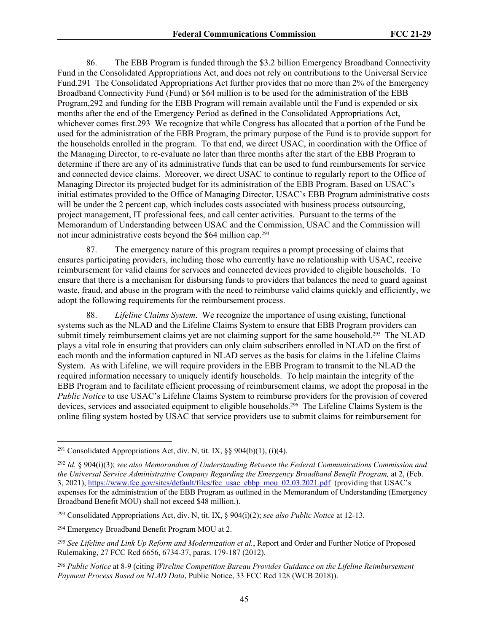86. The EBB Program is funded through the \$3.2 billion Emergency Broadband Connectivity Fund in the Consolidated Appropriations Act, and does not rely on contributions to the Universal Service Fund.291 The Consolidated Appropriations Act further provides that no more than 2% of the Emergency Broadband Connectivity Fund (Fund) or \$64 million is to be used for the administration of the EBB Program,292 and funding for the EBB Program will remain available until the Fund is expended or six months after the end of the Emergency Period as defined in the Consolidated Appropriations Act, whichever comes first.293 We recognize that while Congress has allocated that a portion of the Fund be used for the administration of the EBB Program, the primary purpose of the Fund is to provide support for the households enrolled in the program. To that end, we direct USAC, in coordination with the Office of the Managing Director, to re-evaluate no later than three months after the start of the EBB Program to determine if there are any of its administrative funds that can be used to fund reimbursements for service and connected device claims. Moreover, we direct USAC to continue to regularly report to the Office of Managing Director its projected budget for its administration of the EBB Program. Based on USAC's initial estimates provided to the Office of Managing Director, USAC's EBB Program administrative costs will be under the 2 percent cap, which includes costs associated with business process outsourcing. project management, IT professional fees, and call center activities. Pursuant to the terms of the Memorandum of Understanding between USAC and the Commission, USAC and the Commission will not incur administrative costs beyond the \$64 million cap.<sup>294</sup>

87. The emergency nature of this program requires a prompt processing of claims that ensures participating providers, including those who currently have no relationship with USAC, receive reimbursement for valid claims for services and connected devices provided to eligible households. To ensure that there is a mechanism for disbursing funds to providers that balances the need to guard against waste, fraud, and abuse in the program with the need to reimburse valid claims quickly and efficiently, we adopt the following requirements for the reimbursement process.

88. *Lifeline Claims System*. We recognize the importance of using existing, functional systems such as the NLAD and the Lifeline Claims System to ensure that EBB Program providers can submit timely reimbursement claims yet are not claiming support for the same household.<sup>295</sup> The NLAD plays a vital role in ensuring that providers can only claim subscribers enrolled in NLAD on the first of each month and the information captured in NLAD serves as the basis for claims in the Lifeline Claims System. As with Lifeline, we will require providers in the EBB Program to transmit to the NLAD the required information necessary to uniquely identify households. To help maintain the integrity of the EBB Program and to facilitate efficient processing of reimbursement claims, we adopt the proposal in the *Public Notice* to use USAC's Lifeline Claims System to reimburse providers for the provision of covered devices, services and associated equipment to eligible households.296 The Lifeline Claims System is the online filing system hosted by USAC that service providers use to submit claims for reimbursement for

<sup>296</sup> *Public Notice* at 8-9 (citing *Wireline Competition Bureau Provides Guidance on the Lifeline Reimbursement Payment Process Based on NLAD Data*, Public Notice, 33 FCC Rcd 128 (WCB 2018)).

<sup>&</sup>lt;sup>291</sup> Consolidated Appropriations Act, div. N, tit. IX,  $\frac{8}{9}$  904(b)(1), (i)(4).

<sup>292</sup> *Id.* § 904(i)(3); *see also Memorandum of Understanding Between the Federal Communications Commission and the Uni*v*ersal Service Administrative Company Regarding the Emergency Broadband Benefit Program,* at 2, (Feb. 3, 2021), [https://www.fcc.gov/sites/default/files/fcc\\_usac\\_ebbp\\_mou\\_02.03.2021.pdf](https://www.fcc.gov/sites/default/files/fcc_usac_ebbp_mou_02.03.2021.pdf) (providing that USAC's expenses for the administration of the EBB Program as outlined in the Memorandum of Understanding (Emergency Broadband Benefit MOU) shall not exceed \$48 million.).

<sup>293</sup> Consolidated Appropriations Act, div. N, tit. IX, § 904(i)(2); *see also Public Notice* at 12-13.

<sup>294</sup> Emergency Broadband Benefit Program MOU at 2.

<sup>295</sup> *See Lifeline and Link Up Reform and Modernization et al.*, Report and Order and Further Notice of Proposed Rulemaking, 27 FCC Rcd 6656, 6734-37, paras. 179-187 (2012).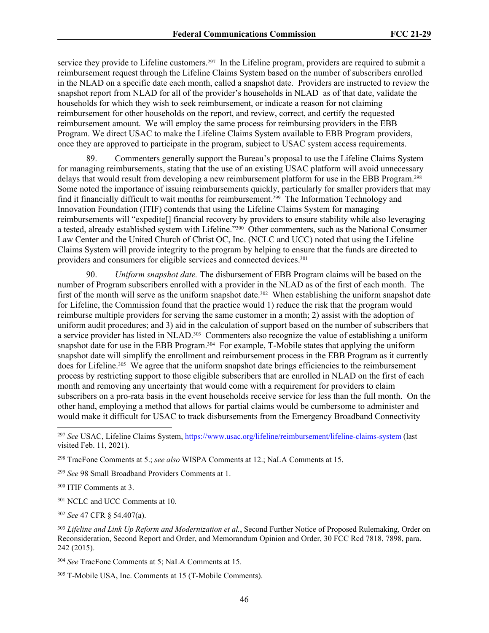service they provide to Lifeline customers.<sup>297</sup> In the Lifeline program, providers are required to submit a reimbursement request through the Lifeline Claims System based on the number of subscribers enrolled in the NLAD on a specific date each month, called a snapshot date. Providers are instructed to review the snapshot report from NLAD for all of the provider's households in NLAD as of that date, validate the households for which they wish to seek reimbursement, or indicate a reason for not claiming reimbursement for other households on the report, and review, correct, and certify the requested reimbursement amount. We will employ the same process for reimbursing providers in the EBB Program. We direct USAC to make the Lifeline Claims System available to EBB Program providers, once they are approved to participate in the program, subject to USAC system access requirements.

89. Commenters generally support the Bureau's proposal to use the Lifeline Claims System for managing reimbursements, stating that the use of an existing USAC platform will avoid unnecessary delays that would result from developing a new reimbursement platform for use in the EBB Program.<sup>298</sup> Some noted the importance of issuing reimbursements quickly, particularly for smaller providers that may find it financially difficult to wait months for reimbursement.299 The Information Technology and Innovation Foundation (ITIF) contends that using the Lifeline Claims System for managing reimbursements will "expedite[] financial recovery by providers to ensure stability while also leveraging a tested, already established system with Lifeline."300 Other commenters, such as the National Consumer Law Center and the United Church of Christ OC, Inc. (NCLC and UCC) noted that using the Lifeline Claims System will provide integrity to the program by helping to ensure that the funds are directed to providers and consumers for eligible services and connected devices.<sup>301</sup>

90. *Uniform snapshot date.* The disbursement of EBB Program claims will be based on the number of Program subscribers enrolled with a provider in the NLAD as of the first of each month. The first of the month will serve as the uniform snapshot date.<sup>302</sup> When establishing the uniform snapshot date for Lifeline, the Commission found that the practice would 1) reduce the risk that the program would reimburse multiple providers for serving the same customer in a month; 2) assist with the adoption of uniform audit procedures; and 3) aid in the calculation of support based on the number of subscribers that a service provider has listed in NLAD.303 Commenters also recognize the value of establishing a uniform snapshot date for use in the EBB Program.<sup>304</sup> For example, T-Mobile states that applying the uniform snapshot date will simplify the enrollment and reimbursement process in the EBB Program as it currently does for Lifeline.<sup>305</sup> We agree that the uniform snapshot date brings efficiencies to the reimbursement process by restricting support to those eligible subscribers that are enrolled in NLAD on the first of each month and removing any uncertainty that would come with a requirement for providers to claim subscribers on a pro-rata basis in the event households receive service for less than the full month. On the other hand, employing a method that allows for partial claims would be cumbersome to administer and would make it difficult for USAC to track disbursements from the Emergency Broadband Connectivity

<sup>299</sup> *See* 98 Small Broadband Providers Comments at 1.

<sup>300</sup> ITIF Comments at 3.

<sup>301</sup> NCLC and UCC Comments at 10.

<sup>302</sup> *See* 47 CFR § 54.407(a).

<sup>303</sup> *Lifeline and Link Up Reform and Modernization et al.*, Second Further Notice of Proposed Rulemaking, Order on Reconsideration, Second Report and Order, and Memorandum Opinion and Order, 30 FCC Rcd 7818, 7898, para. 242 (2015).

<sup>304</sup> *See* TracFone Comments at 5; NaLA Comments at 15.

305 T-Mobile USA, Inc. Comments at 15 (T-Mobile Comments).

<sup>297</sup> *See* USAC, Lifeline Claims System, <https://www.usac.org/lifeline/reimbursement/lifeline-claims-system>(last visited Feb. 11, 2021).

<sup>298</sup> TracFone Comments at 5.; *see also* WISPA Comments at 12.; NaLA Comments at 15.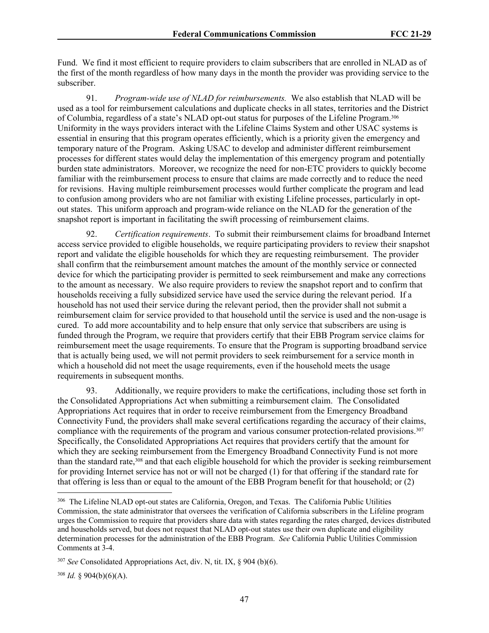Fund. We find it most efficient to require providers to claim subscribers that are enrolled in NLAD as of the first of the month regardless of how many days in the month the provider was providing service to the subscriber.

91. *Program-wide use of NLAD for reimbursements.* We also establish that NLAD will be used as a tool for reimbursement calculations and duplicate checks in all states, territories and the District of Columbia, regardless of a state's NLAD opt-out status for purposes of the Lifeline Program.<sup>306</sup> Uniformity in the ways providers interact with the Lifeline Claims System and other USAC systems is essential in ensuring that this program operates efficiently, which is a priority given the emergency and temporary nature of the Program. Asking USAC to develop and administer different reimbursement processes for different states would delay the implementation of this emergency program and potentially burden state administrators. Moreover, we recognize the need for non-ETC providers to quickly become familiar with the reimbursement process to ensure that claims are made correctly and to reduce the need for revisions. Having multiple reimbursement processes would further complicate the program and lead to confusion among providers who are not familiar with existing Lifeline processes, particularly in optout states. This uniform approach and program-wide reliance on the NLAD for the generation of the snapshot report is important in facilitating the swift processing of reimbursement claims.

92. *Certification requirements*. To submit their reimbursement claims for broadband Internet access service provided to eligible households, we require participating providers to review their snapshot report and validate the eligible households for which they are requesting reimbursement. The provider shall confirm that the reimbursement amount matches the amount of the monthly service or connected device for which the participating provider is permitted to seek reimbursement and make any corrections to the amount as necessary. We also require providers to review the snapshot report and to confirm that households receiving a fully subsidized service have used the service during the relevant period. If a household has not used their service during the relevant period, then the provider shall not submit a reimbursement claim for service provided to that household until the service is used and the non-usage is cured. To add more accountability and to help ensure that only service that subscribers are using is funded through the Program, we require that providers certify that their EBB Program service claims for reimbursement meet the usage requirements. To ensure that the Program is supporting broadband service that is actually being used, we will not permit providers to seek reimbursement for a service month in which a household did not meet the usage requirements, even if the household meets the usage requirements in subsequent months.

93. Additionally, we require providers to make the certifications, including those set forth in the Consolidated Appropriations Act when submitting a reimbursement claim. The Consolidated Appropriations Act requires that in order to receive reimbursement from the Emergency Broadband Connectivity Fund, the providers shall make several certifications regarding the accuracy of their claims, compliance with the requirements of the program and various consumer protection-related provisions.<sup>307</sup> Specifically, the Consolidated Appropriations Act requires that providers certify that the amount for which they are seeking reimbursement from the Emergency Broadband Connectivity Fund is not more than the standard rate,308 and that each eligible household for which the provider is seeking reimbursement for providing Internet service has not or will not be charged (1) for that offering if the standard rate for that offering is less than or equal to the amount of the EBB Program benefit for that household; or (2)

<sup>308</sup> *Id.* § 904(b)(6)(A).

<sup>306</sup> The Lifeline NLAD opt-out states are California, Oregon, and Texas. The California Public Utilities Commission, the state administrator that oversees the verification of California subscribers in the Lifeline program urges the Commission to require that providers share data with states regarding the rates charged, devices distributed and households served, but does not request that NLAD opt-out states use their own duplicate and eligibility determination processes for the administration of the EBB Program. *See* California Public Utilities Commission Comments at 3-4.

<sup>307</sup> *See* Consolidated Appropriations Act, div. N, tit. IX, § 904 (b)(6).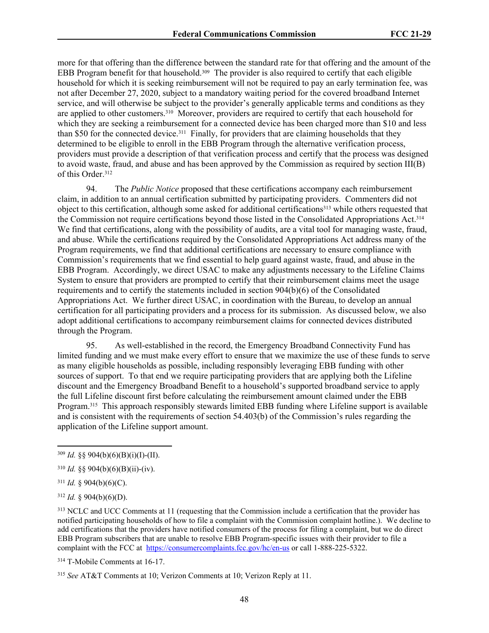more for that offering than the difference between the standard rate for that offering and the amount of the EBB Program benefit for that household.309 The provider is also required to certify that each eligible household for which it is seeking reimbursement will not be required to pay an early termination fee, was not after December 27, 2020, subject to a mandatory waiting period for the covered broadband Internet service, and will otherwise be subject to the provider's generally applicable terms and conditions as they are applied to other customers.310 Moreover, providers are required to certify that each household for which they are seeking a reimbursement for a connected device has been charged more than \$10 and less than \$50 for the connected device.<sup>311</sup> Finally, for providers that are claiming households that they determined to be eligible to enroll in the EBB Program through the alternative verification process, providers must provide a description of that verification process and certify that the process was designed to avoid waste, fraud, and abuse and has been approved by the Commission as required by section III(B) of this Order.<sup>312</sup>

94. The *Public Notice* proposed that these certifications accompany each reimbursement claim, in addition to an annual certification submitted by participating providers. Commenters did not object to this certification, although some asked for additional certifications313 while others requested that the Commission not require certifications beyond those listed in the Consolidated Appropriations Act.<sup>314</sup> We find that certifications, along with the possibility of audits, are a vital tool for managing waste, fraud, and abuse. While the certifications required by the Consolidated Appropriations Act address many of the Program requirements, we find that additional certifications are necessary to ensure compliance with Commission's requirements that we find essential to help guard against waste, fraud, and abuse in the EBB Program. Accordingly, we direct USAC to make any adjustments necessary to the Lifeline Claims System to ensure that providers are prompted to certify that their reimbursement claims meet the usage requirements and to certify the statements included in section 904(b)(6) of the Consolidated Appropriations Act. We further direct USAC, in coordination with the Bureau, to develop an annual certification for all participating providers and a process for its submission. As discussed below, we also adopt additional certifications to accompany reimbursement claims for connected devices distributed through the Program.

95. As well-established in the record, the Emergency Broadband Connectivity Fund has limited funding and we must make every effort to ensure that we maximize the use of these funds to serve as many eligible households as possible, including responsibly leveraging EBB funding with other sources of support. To that end we require participating providers that are applying both the Lifeline discount and the Emergency Broadband Benefit to a household's supported broadband service to apply the full Lifeline discount first before calculating the reimbursement amount claimed under the EBB Program.315 This approach responsibly stewards limited EBB funding where Lifeline support is available and is consistent with the requirements of section 54.403(b) of the Commission's rules regarding the application of the Lifeline support amount.

<sup>309</sup> *Id.* §§ 904(b)(6)(B)(i)(I)-(II).

 $310$  *Id.* §§ 904(b)(6)(B)(ii)-(iv).

<sup>311</sup> *Id.* § 904(b)(6)(C).

<sup>312</sup> *Id.* § 904(b)(6)(D).

<sup>&</sup>lt;sup>313</sup> NCLC and UCC Comments at 11 (requesting that the Commission include a certification that the provider has notified participating households of how to file a complaint with the Commission complaint hotline.). We decline to add certifications that the providers have notified consumers of the process for filing a complaint, but we do direct EBB Program subscribers that are unable to resolve EBB Program-specific issues with their provider to file a complaint with the FCC at [https://consumercomplaints.fcc.gov/hc/en-us](https://consumercomplaints.fcc.gov/hc/en-us%20) or call 1-888-225-5322.

<sup>314</sup> T-Mobile Comments at 16-17.

<sup>315</sup> *See* AT&T Comments at 10; Verizon Comments at 10; Verizon Reply at 11.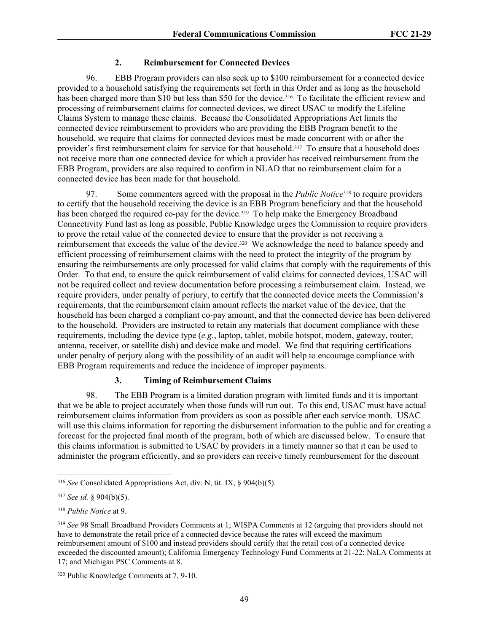## **2. Reimbursement for Connected Devices**

96. EBB Program providers can also seek up to \$100 reimbursement for a connected device provided to a household satisfying the requirements set forth in this Order and as long as the household has been charged more than \$10 but less than \$50 for the device.<sup>316</sup> To facilitate the efficient review and processing of reimbursement claims for connected devices, we direct USAC to modify the Lifeline Claims System to manage these claims. Because the Consolidated Appropriations Act limits the connected device reimbursement to providers who are providing the EBB Program benefit to the household, we require that claims for connected devices must be made concurrent with or after the provider's first reimbursement claim for service for that household.317 To ensure that a household does not receive more than one connected device for which a provider has received reimbursement from the EBB Program, providers are also required to confirm in NLAD that no reimbursement claim for a connected device has been made for that household.

97. Some commenters agreed with the proposal in the *Public Notice*318 to require providers to certify that the household receiving the device is an EBB Program beneficiary and that the household has been charged the required co-pay for the device.<sup>319</sup> To help make the Emergency Broadband Connectivity Fund last as long as possible, Public Knowledge urges the Commission to require providers to prove the retail value of the connected device to ensure that the provider is not receiving a reimbursement that exceeds the value of the device.320 We acknowledge the need to balance speedy and efficient processing of reimbursement claims with the need to protect the integrity of the program by ensuring the reimbursements are only processed for valid claims that comply with the requirements of this Order. To that end, to ensure the quick reimbursement of valid claims for connected devices, USAC will not be required collect and review documentation before processing a reimbursement claim. Instead, we require providers, under penalty of perjury, to certify that the connected device meets the Commission's requirements, that the reimbursement claim amount reflects the market value of the device, that the household has been charged a compliant co-pay amount, and that the connected device has been delivered to the household. Providers are instructed to retain any materials that document compliance with these requirements, including the device type (*e.g.*, laptop, tablet, mobile hotspot, modem, gateway, router, antenna, receiver, or satellite dish) and device make and model. We find that requiring certifications under penalty of perjury along with the possibility of an audit will help to encourage compliance with EBB Program requirements and reduce the incidence of improper payments.

## **3. Timing of Reimbursement Claims**

98. The EBB Program is a limited duration program with limited funds and it is important that we be able to project accurately when those funds will run out. To this end, USAC must have actual reimbursement claims information from providers as soon as possible after each service month. USAC will use this claims information for reporting the disbursement information to the public and for creating a forecast for the projected final month of the program, both of which are discussed below. To ensure that this claims information is submitted to USAC by providers in a timely manner so that it can be used to administer the program efficiently, and so providers can receive timely reimbursement for the discount

<sup>316</sup> *See* Consolidated Appropriations Act, div. N, tit. IX, § 904(b)(5).

<sup>317</sup> *See id.* § 904(b)(5).

<sup>318</sup> *Public Notice* at 9.

<sup>319</sup> *See* 98 Small Broadband Providers Comments at 1; WISPA Comments at 12 (arguing that providers should not have to demonstrate the retail price of a connected device because the rates will exceed the maximum reimbursement amount of \$100 and instead providers should certify that the retail cost of a connected device exceeded the discounted amount); California Emergency Technology Fund Comments at 21-22; NaLA Comments at 17; and Michigan PSC Comments at 8.

<sup>320</sup> Public Knowledge Comments at 7, 9-10.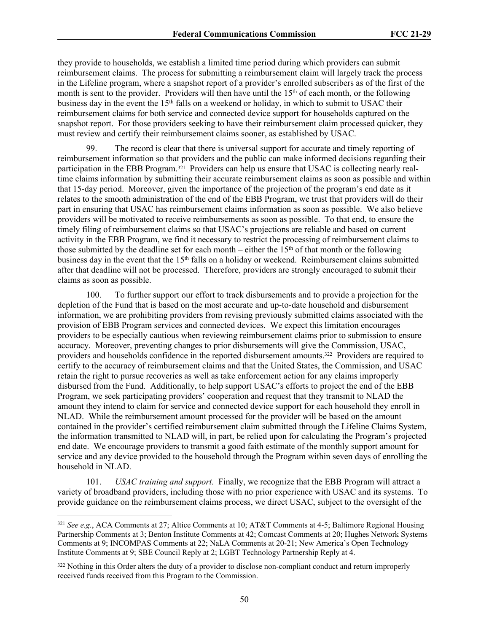they provide to households, we establish a limited time period during which providers can submit reimbursement claims. The process for submitting a reimbursement claim will largely track the process in the Lifeline program, where a snapshot report of a provider's enrolled subscribers as of the first of the month is sent to the provider. Providers will then have until the 15<sup>th</sup> of each month, or the following business day in the event the 15<sup>th</sup> falls on a weekend or holiday, in which to submit to USAC their reimbursement claims for both service and connected device support for households captured on the snapshot report. For those providers seeking to have their reimbursement claim processed quicker, they must review and certify their reimbursement claims sooner, as established by USAC.

99. The record is clear that there is universal support for accurate and timely reporting of reimbursement information so that providers and the public can make informed decisions regarding their participation in the EBB Program.<sup>321</sup> Providers can help us ensure that USAC is collecting nearly realtime claims information by submitting their accurate reimbursement claims as soon as possible and within that 15-day period. Moreover, given the importance of the projection of the program's end date as it relates to the smooth administration of the end of the EBB Program, we trust that providers will do their part in ensuring that USAC has reimbursement claims information as soon as possible. We also believe providers will be motivated to receive reimbursements as soon as possible. To that end, to ensure the timely filing of reimbursement claims so that USAC's projections are reliable and based on current activity in the EBB Program, we find it necessary to restrict the processing of reimbursement claims to those submitted by the deadline set for each month – either the  $15<sup>th</sup>$  of that month or the following business day in the event that the 15<sup>th</sup> falls on a holiday or weekend. Reimbursement claims submitted after that deadline will not be processed. Therefore, providers are strongly encouraged to submit their claims as soon as possible.

100. To further support our effort to track disbursements and to provide a projection for the depletion of the Fund that is based on the most accurate and up-to-date household and disbursement information, we are prohibiting providers from revising previously submitted claims associated with the provision of EBB Program services and connected devices. We expect this limitation encourages providers to be especially cautious when reviewing reimbursement claims prior to submission to ensure accuracy. Moreover, preventing changes to prior disbursements will give the Commission, USAC, providers and households confidence in the reported disbursement amounts.322 Providers are required to certify to the accuracy of reimbursement claims and that the United States, the Commission, and USAC retain the right to pursue recoveries as well as take enforcement action for any claims improperly disbursed from the Fund. Additionally, to help support USAC's efforts to project the end of the EBB Program, we seek participating providers' cooperation and request that they transmit to NLAD the amount they intend to claim for service and connected device support for each household they enroll in NLAD. While the reimbursement amount processed for the provider will be based on the amount contained in the provider's certified reimbursement claim submitted through the Lifeline Claims System, the information transmitted to NLAD will, in part, be relied upon for calculating the Program's projected end date. We encourage providers to transmit a good faith estimate of the monthly support amount for service and any device provided to the household through the Program within seven days of enrolling the household in NLAD.

101. *USAC training and support.* Finally, we recognize that the EBB Program will attract a variety of broadband providers, including those with no prior experience with USAC and its systems. To provide guidance on the reimbursement claims process, we direct USAC, subject to the oversight of the

<sup>321</sup> *See e.g.*, ACA Comments at 27; Altice Comments at 10; AT&T Comments at 4-5; Baltimore Regional Housing Partnership Comments at 3; Benton Institute Comments at 42; Comcast Comments at 20; Hughes Network Systems Comments at 9; INCOMPAS Comments at 22; NaLA Comments at 20-21; New America's Open Technology Institute Comments at 9; SBE Council Reply at 2; LGBT Technology Partnership Reply at 4.

<sup>322</sup> Nothing in this Order alters the duty of a provider to disclose non-compliant conduct and return improperly received funds received from this Program to the Commission.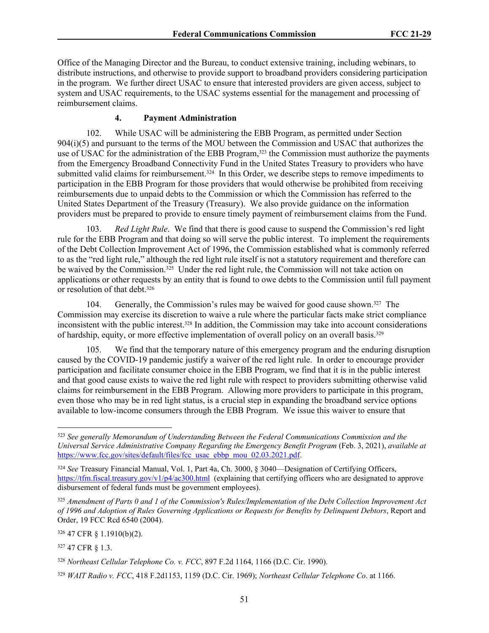Office of the Managing Director and the Bureau, to conduct extensive training, including webinars, to distribute instructions, and otherwise to provide support to broadband providers considering participation in the program. We further direct USAC to ensure that interested providers are given access, subject to system and USAC requirements, to the USAC systems essential for the management and processing of reimbursement claims.

## **4. Payment Administration**

102. While USAC will be administering the EBB Program, as permitted under Section 904(i)(5) and pursuant to the terms of the MOU between the Commission and USAC that authorizes the use of USAC for the administration of the EBB Program,<sup>323</sup> the Commission must authorize the payments from the Emergency Broadband Connectivity Fund in the United States Treasury to providers who have submitted valid claims for reimbursement.<sup>324</sup> In this Order, we describe steps to remove impediments to participation in the EBB Program for those providers that would otherwise be prohibited from receiving reimbursements due to unpaid debts to the Commission or which the Commission has referred to the United States Department of the Treasury (Treasury). We also provide guidance on the information providers must be prepared to provide to ensure timely payment of reimbursement claims from the Fund.

103. *Red Light Rule*. We find that there is good cause to suspend the Commission's red light rule for the EBB Program and that doing so will serve the public interest. To implement the requirements of the Debt Collection Improvement Act of 1996, the Commission established what is commonly referred to as the "red light rule," although the red light rule itself is not a statutory requirement and therefore can be waived by the Commission.<sup>325</sup> Under the red light rule, the Commission will not take action on applications or other requests by an entity that is found to owe debts to the Commission until full payment or resolution of that debt.<sup>326</sup>

104. Generally, the Commission's rules may be waived for good cause shown.327 The Commission may exercise its discretion to waive a rule where the particular facts make strict compliance inconsistent with the public interest.328 In addition, the Commission may take into account considerations of hardship, equity, or more effective implementation of overall policy on an overall basis.<sup>329</sup>

105. We find that the temporary nature of this emergency program and the enduring disruption caused by the COVID-19 pandemic justify a waiver of the red light rule. In order to encourage provider participation and facilitate consumer choice in the EBB Program, we find that it is in the public interest and that good cause exists to waive the red light rule with respect to providers submitting otherwise valid claims for reimbursement in the EBB Program. Allowing more providers to participate in this program, even those who may be in red light status, is a crucial step in expanding the broadband service options available to low-income consumers through the EBB Program. We issue this waiver to ensure that

<sup>327</sup> 47 CFR § 1.3.

<sup>323</sup> *See generally Memorandum of Understanding Between the Federal Communications Commission and the Universal Service Administrative Company Regarding the Emergency Benefit Program* (Feb. 3, 2021), *available at*  [https://www.fcc.gov/sites/default/files/fcc\\_usac\\_ebbp\\_mou\\_02.03.2021.pdf.](https://www.fcc.gov/sites/default/files/fcc_usac_ebbp_mou_02.03.2021.pdf)

<sup>324</sup> *See* Treasury Financial Manual, Vol. 1, Part 4a, Ch. 3000, § 3040—Designation of Certifying Officers, <https://tfm.fiscal.treasury.gov/v1/p4/ac300.html> (explaining that certifying officers who are designated to approve disbursement of federal funds must be government employees).

<sup>325</sup> *Amendment of Parts 0 and 1 of the Commission's Rules/Implementation of the Debt Collection Improvement Act of 1996 and Adoption of Rules Governing Applications or Requests for Benefits by Delinquent Debtors*, Report and Order, 19 FCC Rcd 6540 (2004).

<sup>326</sup> 47 CFR § 1.1910(b)(2).

<sup>328</sup> *Northeast Cellular Telephone Co. v. FCC*, 897 F.2d 1164, 1166 (D.C. Cir. 1990).

<sup>329</sup> *WAIT Radio v. FCC*, 418 F.2d1153, 1159 (D.C. Cir. 1969); *Northeast Cellular Telephone Co*. at 1166.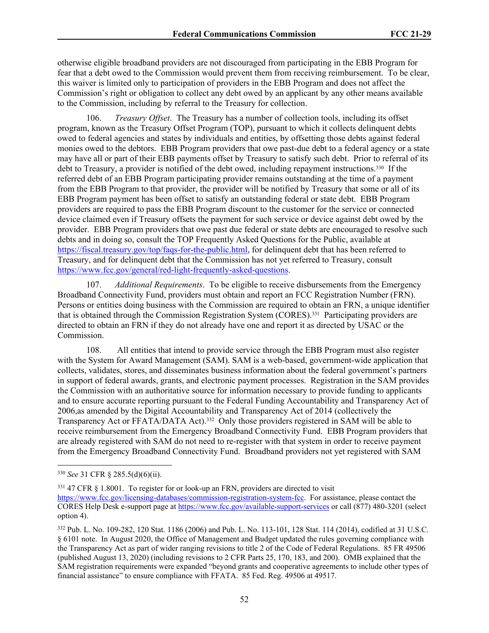otherwise eligible broadband providers are not discouraged from participating in the EBB Program for fear that a debt owed to the Commission would prevent them from receiving reimbursement. To be clear, this waiver is limited only to participation of providers in the EBB Program and does not affect the Commission's right or obligation to collect any debt owed by an applicant by any other means available to the Commission, including by referral to the Treasury for collection.

106. *Treasury Offset*. The Treasury has a number of collection tools, including its offset program, known as the Treasury Offset Program (TOP), pursuant to which it collects delinquent debts owed to federal agencies and states by individuals and entities, by offsetting those debts against federal monies owed to the debtors. EBB Program providers that owe past-due debt to a federal agency or a state may have all or part of their EBB payments offset by Treasury to satisfy such debt. Prior to referral of its debt to Treasury, a provider is notified of the debt owed, including repayment instructions.330 If the referred debt of an EBB Program participating provider remains outstanding at the time of a payment from the EBB Program to that provider, the provider will be notified by Treasury that some or all of its EBB Program payment has been offset to satisfy an outstanding federal or state debt. EBB Program providers are required to pass the EBB Program discount to the customer for the service or connected device claimed even if Treasury offsets the payment for such service or device against debt owed by the provider. EBB Program providers that owe past due federal or state debts are encouraged to resolve such debts and in doing so, consult the TOP Frequently Asked Questions for the Public, available at [https://fiscal.treasury.gov/top/faqs-for-the-public.html,](https://fiscal.treasury.gov/top/faqs-for-the-public.html) for delinquent debt that has been referred to Treasury, and for delinquent debt that the Commission has not yet referred to Treasury, consult [https://www.fcc.gov/general/red-light-frequently-asked-questions.](https://www.fcc.gov/general/red-light-frequently-asked-questions)

107. *Additional Requirements*. To be eligible to receive disbursements from the Emergency Broadband Connectivity Fund, providers must obtain and report an FCC Registration Number (FRN). Persons or entities doing business with the Commission are required to obtain an FRN, a unique identifier that is obtained through the Commission Registration System (CORES).331 Participating providers are directed to obtain an FRN if they do not already have one and report it as directed by USAC or the Commission.

108. All entities that intend to provide service through the EBB Program must also register with the System for Award Management (SAM). SAM is a web-based, government-wide application that collects, validates, stores, and disseminates business information about the federal government's partners in support of federal awards, grants, and electronic payment processes. Registration in the SAM provides the Commission with an authoritative source for information necessary to provide funding to applicants and to ensure accurate reporting pursuant to the Federal Funding Accountability and Transparency Act of 2006,as amended by the Digital Accountability and Transparency Act of 2014 (collectively the Transparency Act or FFATA/DATA Act).332 Only those providers registered in SAM will be able to receive reimbursement from the Emergency Broadband Connectivity Fund. EBB Program providers that are already registered with SAM do not need to re-register with that system in order to receive payment from the Emergency Broadband Connectivity Fund. Broadband providers not yet registered with SAM

<sup>331</sup> 47 CFR § 1.8001. To register for or look-up an FRN, providers are directed to visit [https://www.fcc.gov/licensing-databases/commission-registration-system-fcc.](https://www.fcc.gov/licensing-databases/commission-registration-system-fcc) For assistance, please contact the CORES Help Desk e-support page at<https://www.fcc.gov/available-support-services> or call (877) 480-3201 (select option 4).

<sup>330</sup> *See* 31 CFR § 285.5(d)(6)(ii).

<sup>332</sup> Pub. L. No. 109-282, 120 Stat. 1186 (2006) and Pub. L. No. 113-101, 128 Stat. 114 (2014), codified at 31 U.S.C. § 6101 note. In August 2020, the Office of Management and Budget updated the rules governing compliance with the Transparency Act as part of wider ranging revisions to title 2 of the Code of Federal Regulations. 85 FR 49506 (published August 13, 2020) (including revisions to 2 CFR Parts 25, 170, 183, and 200). OMB explained that the SAM registration requirements were expanded "beyond grants and cooperative agreements to include other types of financial assistance" to ensure compliance with FFATA. 85 Fed. Reg. 49506 at 49517.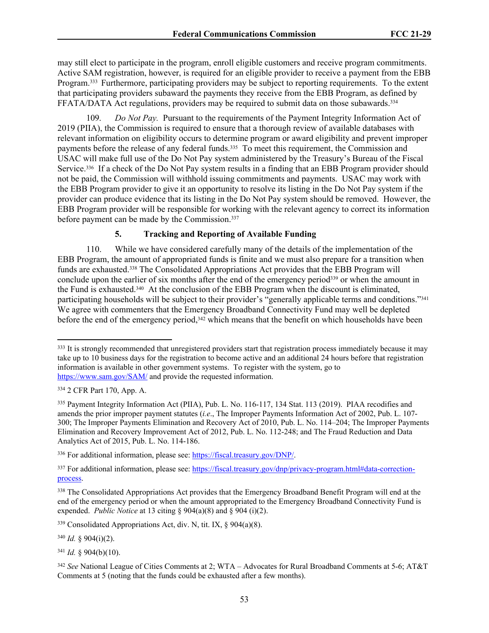may still elect to participate in the program, enroll eligible customers and receive program commitments. Active SAM registration, however, is required for an eligible provider to receive a payment from the EBB Program.333 Furthermore, participating providers may be subject to reporting requirements. To the extent that participating providers subaward the payments they receive from the EBB Program, as defined by FFATA/DATA Act regulations, providers may be required to submit data on those subawards.<sup>334</sup>

109. *Do Not Pay.* Pursuant to the requirements of the Payment Integrity Information Act of 2019 (PIIA), the Commission is required to ensure that a thorough review of available databases with relevant information on eligibility occurs to determine program or award eligibility and prevent improper payments before the release of any federal funds.<sup>335</sup> To meet this requirement, the Commission and USAC will make full use of the Do Not Pay system administered by the Treasury's Bureau of the Fiscal Service.<sup>336</sup> If a check of the Do Not Pay system results in a finding that an EBB Program provider should not be paid, the Commission will withhold issuing commitments and payments. USAC may work with the EBB Program provider to give it an opportunity to resolve its listing in the Do Not Pay system if the provider can produce evidence that its listing in the Do Not Pay system should be removed. However, the EBB Program provider will be responsible for working with the relevant agency to correct its information before payment can be made by the Commission.<sup>337</sup>

### **5. Tracking and Reporting of Available Funding**

110. While we have considered carefully many of the details of the implementation of the EBB Program, the amount of appropriated funds is finite and we must also prepare for a transition when funds are exhausted.338 The Consolidated Appropriations Act provides that the EBB Program will conclude upon the earlier of six months after the end of the emergency period<sup>339</sup> or when the amount in the Fund is exhausted.340 At the conclusion of the EBB Program when the discount is eliminated, participating households will be subject to their provider's "generally applicable terms and conditions."<sup>341</sup> We agree with commenters that the Emergency Broadband Connectivity Fund may well be depleted before the end of the emergency period,<sup>342</sup> which means that the benefit on which households have been

<sup>339</sup> Consolidated Appropriations Act, div. N, tit. IX, § 904(a)(8).

<sup>340</sup> *Id.* § 904(i)(2).

<sup>341</sup> *Id.* § 904(b)(10).

<sup>&</sup>lt;sup>333</sup> It is strongly recommended that unregistered providers start that registration process immediately because it may take up to 10 business days for the registration to become active and an additional 24 hours before that registration information is available in other government systems. To register with the system, go to <https://www.sam.gov/SAM/>and provide the requested information.

<sup>334</sup> 2 CFR Part 170, App. A.

<sup>335</sup> Payment Integrity Information Act (PIIA), Pub. L. No. 116-117, 134 Stat. 113 (2019). PIAA recodifies and amends the prior improper payment statutes (*i.e*., The Improper Payments Information Act of 2002, Pub. L. 107- 300; The Improper Payments Elimination and Recovery Act of 2010, Pub. L. No. 114–204; The Improper Payments Elimination and Recovery Improvement Act of 2012, Pub. L. No. 112-248; and The Fraud Reduction and Data Analytics Act of 2015, Pub. L. No. 114-186.

<sup>336</sup> For additional information, please see: <https://fiscal.treasury.gov/DNP/>.

<sup>&</sup>lt;sup>337</sup> For additional information, please see: [https://fiscal.treasury.gov/dnp/privacy-program.html#data-correction](https://fiscal.treasury.gov/dnp/privacy-program.html#data-correction-process)[process.](https://fiscal.treasury.gov/dnp/privacy-program.html#data-correction-process)

<sup>&</sup>lt;sup>338</sup> The Consolidated Appropriations Act provides that the Emergency Broadband Benefit Program will end at the end of the emergency period or when the amount appropriated to the Emergency Broadband Connectivity Fund is expended. *Public Notice* at 13 citing § 904(a)(8) and § 904 (i)(2).

<sup>342</sup> *See* National League of Cities Comments at 2; WTA – Advocates for Rural Broadband Comments at 5-6; AT&T Comments at 5 (noting that the funds could be exhausted after a few months).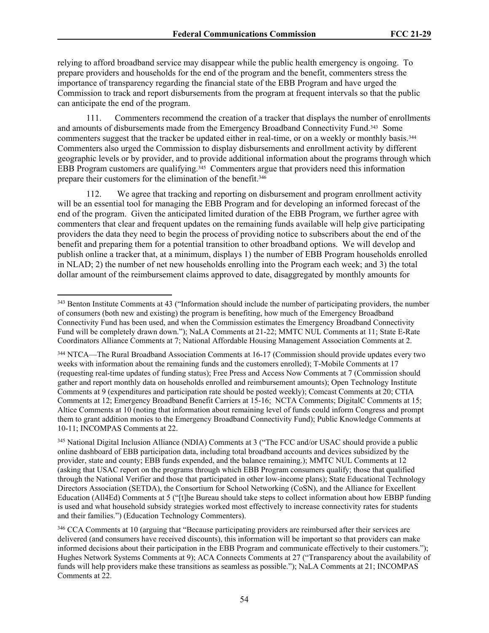relying to afford broadband service may disappear while the public health emergency is ongoing. To prepare providers and households for the end of the program and the benefit, commenters stress the importance of transparency regarding the financial state of the EBB Program and have urged the Commission to track and report disbursements from the program at frequent intervals so that the public can anticipate the end of the program.

111. Commenters recommend the creation of a tracker that displays the number of enrollments and amounts of disbursements made from the Emergency Broadband Connectivity Fund.<sup>343</sup> Some commenters suggest that the tracker be updated either in real-time, or on a weekly or monthly basis.<sup>344</sup> Commenters also urged the Commission to display disbursements and enrollment activity by different geographic levels or by provider, and to provide additional information about the programs through which EBB Program customers are qualifying.<sup>345</sup> Commenters argue that providers need this information prepare their customers for the elimination of the benefit.<sup>346</sup>

112. We agree that tracking and reporting on disbursement and program enrollment activity will be an essential tool for managing the EBB Program and for developing an informed forecast of the end of the program. Given the anticipated limited duration of the EBB Program, we further agree with commenters that clear and frequent updates on the remaining funds available will help give participating providers the data they need to begin the process of providing notice to subscribers about the end of the benefit and preparing them for a potential transition to other broadband options. We will develop and publish online a tracker that, at a minimum, displays 1) the number of EBB Program households enrolled in NLAD; 2) the number of net new households enrolling into the Program each week; and 3) the total dollar amount of the reimbursement claims approved to date, disaggregated by monthly amounts for

<sup>&</sup>lt;sup>343</sup> Benton Institute Comments at 43 ("Information should include the number of participating providers, the number of consumers (both new and existing) the program is benefiting, how much of the Emergency Broadband Connectivity Fund has been used, and when the Commission estimates the Emergency Broadband Connectivity Fund will be completely drawn down."); NaLA Comments at 21-22; MMTC NUL Comments at 11; State E-Rate Coordinators Alliance Comments at 7; National Affordable Housing Management Association Comments at 2.

<sup>&</sup>lt;sup>344</sup> NTCA—The Rural Broadband Association Comments at 16-17 (Commission should provide updates every two weeks with information about the remaining funds and the customers enrolled); T-Mobile Comments at 17 (requesting real-time updates of funding status); Free Press and Access Now Comments at 7 (Commission should gather and report monthly data on households enrolled and reimbursement amounts); Open Technology Institute Comments at 9 (expenditures and participation rate should be posted weekly); Comcast Comments at 20; CTIA Comments at 12; Emergency Broadband Benefit Carriers at 15-16; NCTA Comments; DigitalC Comments at 15; Altice Comments at 10 (noting that information about remaining level of funds could inform Congress and prompt them to grant addition monies to the Emergency Broadband Connectivity Fund); Public Knowledge Comments at 10-11; INCOMPAS Comments at 22.

<sup>345</sup> National Digital Inclusion Alliance (NDIA) Comments at 3 ("The FCC and/or USAC should provide a public online dashboard of EBB participation data, including total broadband accounts and devices subsidized by the provider, state and county; EBB funds expended, and the balance remaining.); MMTC NUL Comments at 12 (asking that USAC report on the programs through which EBB Program consumers qualify; those that qualified through the National Verifier and those that participated in other low-income plans); State Educational Technology Directors Association (SETDA), the Consortium for School Networking (CoSN), and the Alliance for Excellent Education (All4Ed) Comments at 5 ("[t]he Bureau should take steps to collect information about how EBBP funding is used and what household subsidy strategies worked most effectively to increase connectivity rates for students and their families.") (Education Technology Commenters).

<sup>&</sup>lt;sup>346</sup> CCA Comments at 10 (arguing that "Because participating providers are reimbursed after their services are delivered (and consumers have received discounts), this information will be important so that providers can make informed decisions about their participation in the EBB Program and communicate effectively to their customers."); Hughes Network Systems Comments at 9); ACA Connects Comments at 27 ("Transparency about the availability of funds will help providers make these transitions as seamless as possible."); NaLA Comments at 21; INCOMPAS Comments at 22.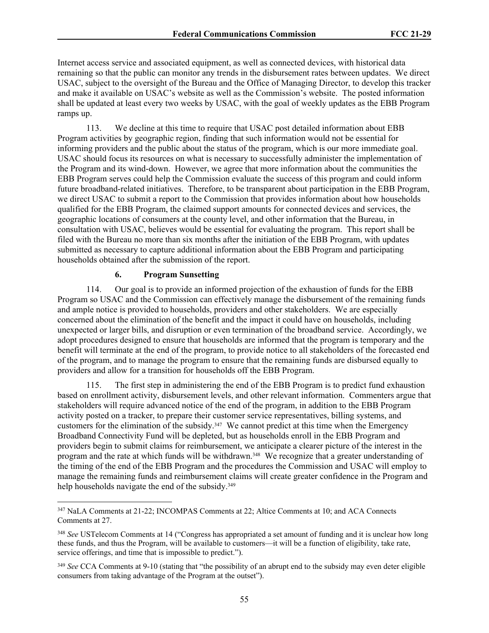Internet access service and associated equipment, as well as connected devices, with historical data remaining so that the public can monitor any trends in the disbursement rates between updates. We direct USAC, subject to the oversight of the Bureau and the Office of Managing Director, to develop this tracker and make it available on USAC's website as well as the Commission's website. The posted information shall be updated at least every two weeks by USAC, with the goal of weekly updates as the EBB Program ramps up.

113. We decline at this time to require that USAC post detailed information about EBB Program activities by geographic region, finding that such information would not be essential for informing providers and the public about the status of the program, which is our more immediate goal. USAC should focus its resources on what is necessary to successfully administer the implementation of the Program and its wind-down. However, we agree that more information about the communities the EBB Program serves could help the Commission evaluate the success of this program and could inform future broadband-related initiatives. Therefore, to be transparent about participation in the EBB Program, we direct USAC to submit a report to the Commission that provides information about how households qualified for the EBB Program, the claimed support amounts for connected devices and services, the geographic locations of consumers at the county level, and other information that the Bureau, in consultation with USAC, believes would be essential for evaluating the program. This report shall be filed with the Bureau no more than six months after the initiation of the EBB Program, with updates submitted as necessary to capture additional information about the EBB Program and participating households obtained after the submission of the report.

## **6. Program Sunsetting**

114. Our goal is to provide an informed projection of the exhaustion of funds for the EBB Program so USAC and the Commission can effectively manage the disbursement of the remaining funds and ample notice is provided to households, providers and other stakeholders. We are especially concerned about the elimination of the benefit and the impact it could have on households, including unexpected or larger bills, and disruption or even termination of the broadband service. Accordingly, we adopt procedures designed to ensure that households are informed that the program is temporary and the benefit will terminate at the end of the program, to provide notice to all stakeholders of the forecasted end of the program, and to manage the program to ensure that the remaining funds are disbursed equally to providers and allow for a transition for households off the EBB Program.

115. The first step in administering the end of the EBB Program is to predict fund exhaustion based on enrollment activity, disbursement levels, and other relevant information. Commenters argue that stakeholders will require advanced notice of the end of the program, in addition to the EBB Program activity posted on a tracker, to prepare their customer service representatives, billing systems, and customers for the elimination of the subsidy.<sup>347</sup> We cannot predict at this time when the Emergency Broadband Connectivity Fund will be depleted, but as households enroll in the EBB Program and providers begin to submit claims for reimbursement, we anticipate a clearer picture of the interest in the program and the rate at which funds will be withdrawn.<sup>348</sup> We recognize that a greater understanding of the timing of the end of the EBB Program and the procedures the Commission and USAC will employ to manage the remaining funds and reimbursement claims will create greater confidence in the Program and help households navigate the end of the subsidy.<sup>349</sup>

<sup>347</sup> NaLA Comments at 21-22; INCOMPAS Comments at 22; Altice Comments at 10; and ACA Connects Comments at 27.

<sup>348</sup> *See* USTelecom Comments at 14 ("Congress has appropriated a set amount of funding and it is unclear how long these funds, and thus the Program, will be available to customers—it will be a function of eligibility, take rate, service offerings, and time that is impossible to predict.").

<sup>349</sup> *See* CCA Comments at 9-10 (stating that "the possibility of an abrupt end to the subsidy may even deter eligible consumers from taking advantage of the Program at the outset").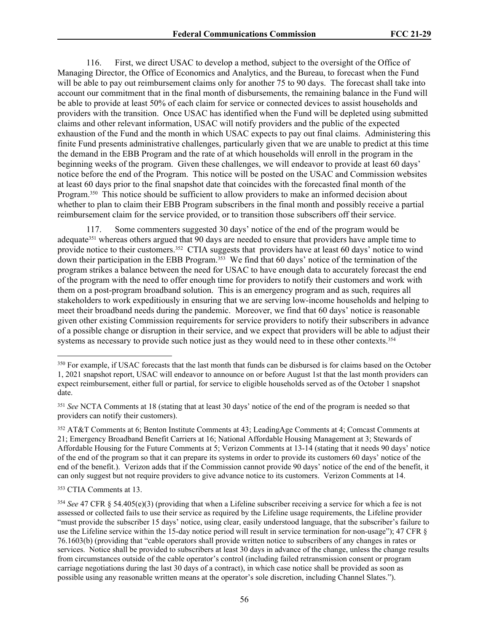116. First, we direct USAC to develop a method, subject to the oversight of the Office of Managing Director, the Office of Economics and Analytics, and the Bureau, to forecast when the Fund will be able to pay out reimbursement claims only for another 75 to 90 days. The forecast shall take into account our commitment that in the final month of disbursements, the remaining balance in the Fund will be able to provide at least 50% of each claim for service or connected devices to assist households and providers with the transition. Once USAC has identified when the Fund will be depleted using submitted claims and other relevant information, USAC will notify providers and the public of the expected exhaustion of the Fund and the month in which USAC expects to pay out final claims. Administering this finite Fund presents administrative challenges, particularly given that we are unable to predict at this time the demand in the EBB Program and the rate of at which households will enroll in the program in the beginning weeks of the program. Given these challenges, we will endeavor to provide at least 60 days' notice before the end of the Program. This notice will be posted on the USAC and Commission websites at least 60 days prior to the final snapshot date that coincides with the forecasted final month of the Program.<sup>350</sup> This notice should be sufficient to allow providers to make an informed decision about whether to plan to claim their EBB Program subscribers in the final month and possibly receive a partial reimbursement claim for the service provided, or to transition those subscribers off their service.

117. Some commenters suggested 30 days' notice of the end of the program would be adequate351 whereas others argued that 90 days are needed to ensure that providers have ample time to provide notice to their customers.<sup>352</sup> CTIA suggests that providers have at least 60 days' notice to wind down their participation in the EBB Program.353 We find that 60 days' notice of the termination of the program strikes a balance between the need for USAC to have enough data to accurately forecast the end of the program with the need to offer enough time for providers to notify their customers and work with them on a post-program broadband solution. This is an emergency program and as such, requires all stakeholders to work expeditiously in ensuring that we are serving low-income households and helping to meet their broadband needs during the pandemic. Moreover, we find that 60 days' notice is reasonable given other existing Commission requirements for service providers to notify their subscribers in advance of a possible change or disruption in their service, and we expect that providers will be able to adjust their systems as necessary to provide such notice just as they would need to in these other contexts.<sup>354</sup>

<sup>350</sup> For example, if USAC forecasts that the last month that funds can be disbursed is for claims based on the October 1, 2021 snapshot report, USAC will endeavor to announce on or before August 1st that the last month providers can expect reimbursement, either full or partial, for service to eligible households served as of the October 1 snapshot date.

<sup>351</sup> *See* NCTA Comments at 18 (stating that at least 30 days' notice of the end of the program is needed so that providers can notify their customers).

<sup>352</sup> AT&T Comments at 6; Benton Institute Comments at 43; LeadingAge Comments at 4; Comcast Comments at 21; Emergency Broadband Benefit Carriers at 16; National Affordable Housing Management at 3; Stewards of Affordable Housing for the Future Comments at 5; Verizon Comments at 13-14 (stating that it needs 90 days' notice of the end of the program so that it can prepare its systems in order to provide its customers 60 days' notice of the end of the benefit.). Verizon adds that if the Commission cannot provide 90 days' notice of the end of the benefit, it can only suggest but not require providers to give advance notice to its customers. Verizon Comments at 14.

<sup>353</sup> CTIA Comments at 13.

<sup>354</sup> *See* 47 CFR § 54.405(e)(3) (providing that when a Lifeline subscriber receiving a service for which a fee is not assessed or collected fails to use their service as required by the Lifeline usage requirements, the Lifeline provider "must provide the subscriber 15 days' notice, using clear, easily understood language, that the subscriber's failure to use the Lifeline service within the 15-day notice period will result in service termination for non-usage"); 47 CFR § 76.1603(b) (providing that "cable operators shall provide written notice to subscribers of any changes in rates or services. Notice shall be provided to subscribers at least 30 days in advance of the change, unless the change results from circumstances outside of the cable operator's control (including failed retransmission consent or program carriage negotiations during the last 30 days of a contract), in which case notice shall be provided as soon as possible using any reasonable written means at the operator's sole discretion, including Channel Slates.").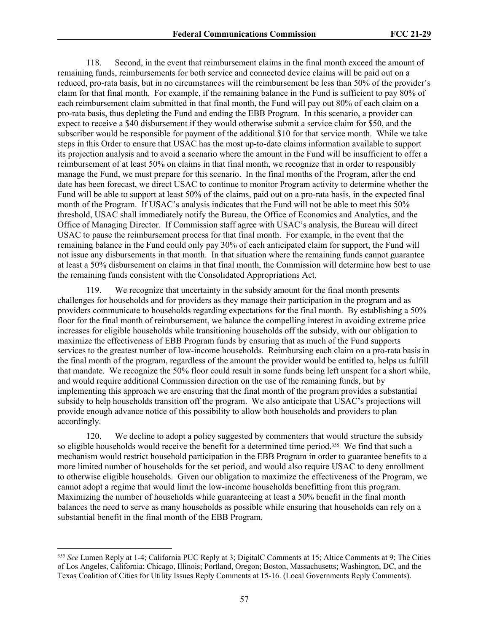118. Second, in the event that reimbursement claims in the final month exceed the amount of remaining funds, reimbursements for both service and connected device claims will be paid out on a reduced, pro-rata basis, but in no circumstances will the reimbursement be less than 50% of the provider's claim for that final month. For example, if the remaining balance in the Fund is sufficient to pay 80% of each reimbursement claim submitted in that final month, the Fund will pay out 80% of each claim on a pro-rata basis, thus depleting the Fund and ending the EBB Program. In this scenario, a provider can expect to receive a \$40 disbursement if they would otherwise submit a service claim for \$50, and the subscriber would be responsible for payment of the additional \$10 for that service month. While we take steps in this Order to ensure that USAC has the most up-to-date claims information available to support its projection analysis and to avoid a scenario where the amount in the Fund will be insufficient to offer a reimbursement of at least 50% on claims in that final month, we recognize that in order to responsibly manage the Fund, we must prepare for this scenario. In the final months of the Program, after the end date has been forecast, we direct USAC to continue to monitor Program activity to determine whether the Fund will be able to support at least 50% of the claims, paid out on a pro-rata basis, in the expected final month of the Program. If USAC's analysis indicates that the Fund will not be able to meet this 50% threshold, USAC shall immediately notify the Bureau, the Office of Economics and Analytics, and the Office of Managing Director. If Commission staff agree with USAC's analysis, the Bureau will direct USAC to pause the reimbursement process for that final month. For example, in the event that the remaining balance in the Fund could only pay 30% of each anticipated claim for support, the Fund will not issue any disbursements in that month. In that situation where the remaining funds cannot guarantee at least a 50% disbursement on claims in that final month, the Commission will determine how best to use the remaining funds consistent with the Consolidated Appropriations Act.

119. We recognize that uncertainty in the subsidy amount for the final month presents challenges for households and for providers as they manage their participation in the program and as providers communicate to households regarding expectations for the final month. By establishing a 50% floor for the final month of reimbursement, we balance the compelling interest in avoiding extreme price increases for eligible households while transitioning households off the subsidy, with our obligation to maximize the effectiveness of EBB Program funds by ensuring that as much of the Fund supports services to the greatest number of low-income households. Reimbursing each claim on a pro-rata basis in the final month of the program, regardless of the amount the provider would be entitled to, helps us fulfill that mandate. We recognize the 50% floor could result in some funds being left unspent for a short while, and would require additional Commission direction on the use of the remaining funds, but by implementing this approach we are ensuring that the final month of the program provides a substantial subsidy to help households transition off the program. We also anticipate that USAC's projections will provide enough advance notice of this possibility to allow both households and providers to plan accordingly.

120. We decline to adopt a policy suggested by commenters that would structure the subsidy so eligible households would receive the benefit for a determined time period.<sup>355</sup> We find that such a mechanism would restrict household participation in the EBB Program in order to guarantee benefits to a more limited number of households for the set period, and would also require USAC to deny enrollment to otherwise eligible households. Given our obligation to maximize the effectiveness of the Program, we cannot adopt a regime that would limit the low-income households benefitting from this program. Maximizing the number of households while guaranteeing at least a 50% benefit in the final month balances the need to serve as many households as possible while ensuring that households can rely on a substantial benefit in the final month of the EBB Program.

<sup>355</sup> *See* Lumen Reply at 1-4; California PUC Reply at 3; DigitalC Comments at 15; Altice Comments at 9; The Cities of Los Angeles, California; Chicago, Illinois; Portland, Oregon; Boston, Massachusetts; Washington, DC, and the Texas Coalition of Cities for Utility Issues Reply Comments at 15-16. (Local Governments Reply Comments).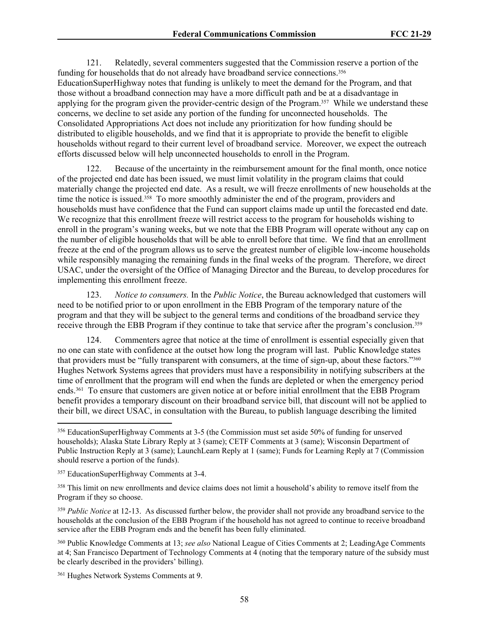121. Relatedly, several commenters suggested that the Commission reserve a portion of the funding for households that do not already have broadband service connections.<sup>356</sup> EducationSuperHighway notes that funding is unlikely to meet the demand for the Program, and that those without a broadband connection may have a more difficult path and be at a disadvantage in applying for the program given the provider-centric design of the Program.357 While we understand these concerns, we decline to set aside any portion of the funding for unconnected households. The Consolidated Appropriations Act does not include any prioritization for how funding should be distributed to eligible households, and we find that it is appropriate to provide the benefit to eligible households without regard to their current level of broadband service. Moreover, we expect the outreach efforts discussed below will help unconnected households to enroll in the Program.

122. Because of the uncertainty in the reimbursement amount for the final month, once notice of the projected end date has been issued, we must limit volatility in the program claims that could materially change the projected end date. As a result, we will freeze enrollments of new households at the time the notice is issued.<sup>358</sup> To more smoothly administer the end of the program, providers and households must have confidence that the Fund can support claims made up until the forecasted end date. We recognize that this enrollment freeze will restrict access to the program for households wishing to enroll in the program's waning weeks, but we note that the EBB Program will operate without any cap on the number of eligible households that will be able to enroll before that time. We find that an enrollment freeze at the end of the program allows us to serve the greatest number of eligible low-income households while responsibly managing the remaining funds in the final weeks of the program. Therefore, we direct USAC, under the oversight of the Office of Managing Director and the Bureau, to develop procedures for implementing this enrollment freeze.

123. *Notice to consumers.* In the *Public Notice*, the Bureau acknowledged that customers will need to be notified prior to or upon enrollment in the EBB Program of the temporary nature of the program and that they will be subject to the general terms and conditions of the broadband service they receive through the EBB Program if they continue to take that service after the program's conclusion.<sup>359</sup>

124. Commenters agree that notice at the time of enrollment is essential especially given that no one can state with confidence at the outset how long the program will last. Public Knowledge states that providers must be "fully transparent with consumers, at the time of sign-up, about these factors."<sup>360</sup> Hughes Network Systems agrees that providers must have a responsibility in notifying subscribers at the time of enrollment that the program will end when the funds are depleted or when the emergency period ends.361 To ensure that customers are given notice at or before initial enrollment that the EBB Program benefit provides a temporary discount on their broadband service bill, that discount will not be applied to their bill, we direct USAC, in consultation with the Bureau, to publish language describing the limited

<sup>359</sup> *Public Notice* at 12-13. As discussed further below, the provider shall not provide any broadband service to the households at the conclusion of the EBB Program if the household has not agreed to continue to receive broadband service after the EBB Program ends and the benefit has been fully eliminated.

<sup>356</sup> EducationSuperHighway Comments at 3-5 (the Commission must set aside 50% of funding for unserved households); Alaska State Library Reply at 3 (same); CETF Comments at 3 (same); Wisconsin Department of Public Instruction Reply at 3 (same); LaunchLearn Reply at 1 (same); Funds for Learning Reply at 7 (Commission should reserve a portion of the funds).

<sup>357</sup> EducationSuperHighway Comments at 3-4.

<sup>&</sup>lt;sup>358</sup> This limit on new enrollments and device claims does not limit a household's ability to remove itself from the Program if they so choose.

<sup>360</sup> Public Knowledge Comments at 13; *see also* National League of Cities Comments at 2; LeadingAge Comments at 4; San Francisco Department of Technology Comments at 4 (noting that the temporary nature of the subsidy must be clearly described in the providers' billing).

<sup>361</sup> Hughes Network Systems Comments at 9.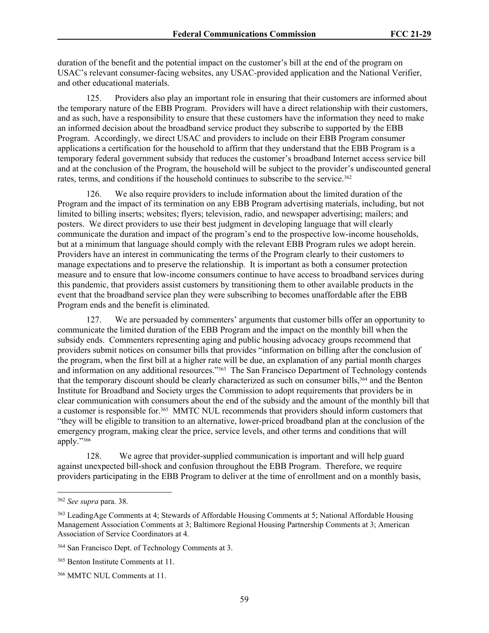duration of the benefit and the potential impact on the customer's bill at the end of the program on USAC's relevant consumer-facing websites, any USAC-provided application and the National Verifier, and other educational materials.

125. Providers also play an important role in ensuring that their customers are informed about the temporary nature of the EBB Program. Providers will have a direct relationship with their customers, and as such, have a responsibility to ensure that these customers have the information they need to make an informed decision about the broadband service product they subscribe to supported by the EBB Program. Accordingly, we direct USAC and providers to include on their EBB Program consumer applications a certification for the household to affirm that they understand that the EBB Program is a temporary federal government subsidy that reduces the customer's broadband Internet access service bill and at the conclusion of the Program, the household will be subject to the provider's undiscounted general rates, terms, and conditions if the household continues to subscribe to the service.<sup>362</sup>

126. We also require providers to include information about the limited duration of the Program and the impact of its termination on any EBB Program advertising materials, including, but not limited to billing inserts; websites; flyers; television, radio, and newspaper advertising; mailers; and posters. We direct providers to use their best judgment in developing language that will clearly communicate the duration and impact of the program's end to the prospective low-income households, but at a minimum that language should comply with the relevant EBB Program rules we adopt herein. Providers have an interest in communicating the terms of the Program clearly to their customers to manage expectations and to preserve the relationship. It is important as both a consumer protection measure and to ensure that low-income consumers continue to have access to broadband services during this pandemic, that providers assist customers by transitioning them to other available products in the event that the broadband service plan they were subscribing to becomes unaffordable after the EBB Program ends and the benefit is eliminated.

127. We are persuaded by commenters' arguments that customer bills offer an opportunity to communicate the limited duration of the EBB Program and the impact on the monthly bill when the subsidy ends. Commenters representing aging and public housing advocacy groups recommend that providers submit notices on consumer bills that provides "information on billing after the conclusion of the program, when the first bill at a higher rate will be due, an explanation of any partial month charges and information on any additional resources."363 The San Francisco Department of Technology contends that the temporary discount should be clearly characterized as such on consumer bills,364 and the Benton Institute for Broadband and Society urges the Commission to adopt requirements that providers be in clear communication with consumers about the end of the subsidy and the amount of the monthly bill that a customer is responsible for.<sup>365</sup> MMTC NUL recommends that providers should inform customers that "they will be eligible to transition to an alternative, lower-priced broadband plan at the conclusion of the emergency program, making clear the price, service levels, and other terms and conditions that will apply."<sup>366</sup>

128. We agree that provider-supplied communication is important and will help guard against unexpected bill-shock and confusion throughout the EBB Program. Therefore, we require providers participating in the EBB Program to deliver at the time of enrollment and on a monthly basis,

<sup>362</sup> *See supra* para. 38.

<sup>363</sup> LeadingAge Comments at 4; Stewards of Affordable Housing Comments at 5; National Affordable Housing Management Association Comments at 3; Baltimore Regional Housing Partnership Comments at 3; American Association of Service Coordinators at 4.

<sup>364</sup> San Francisco Dept. of Technology Comments at 3.

<sup>365</sup> Benton Institute Comments at 11.

<sup>366</sup> MMTC NUL Comments at 11.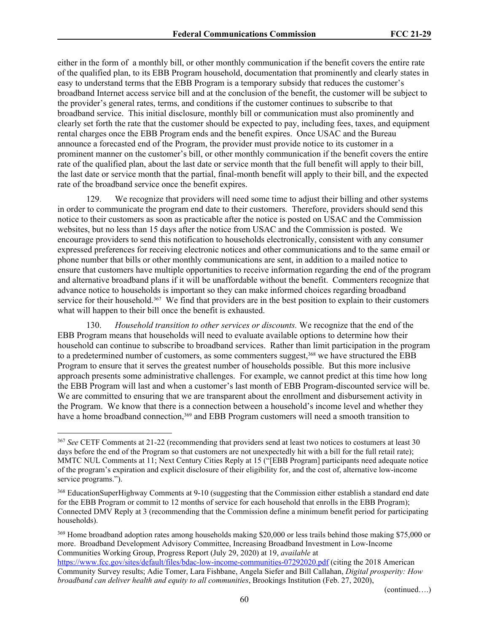either in the form of a monthly bill, or other monthly communication if the benefit covers the entire rate of the qualified plan, to its EBB Program household, documentation that prominently and clearly states in easy to understand terms that the EBB Program is a temporary subsidy that reduces the customer's broadband Internet access service bill and at the conclusion of the benefit, the customer will be subject to the provider's general rates, terms, and conditions if the customer continues to subscribe to that broadband service. This initial disclosure, monthly bill or communication must also prominently and clearly set forth the rate that the customer should be expected to pay, including fees, taxes, and equipment rental charges once the EBB Program ends and the benefit expires. Once USAC and the Bureau announce a forecasted end of the Program, the provider must provide notice to its customer in a prominent manner on the customer's bill, or other monthly communication if the benefit covers the entire rate of the qualified plan, about the last date or service month that the full benefit will apply to their bill, the last date or service month that the partial, final-month benefit will apply to their bill, and the expected rate of the broadband service once the benefit expires.

129. We recognize that providers will need some time to adjust their billing and other systems in order to communicate the program end date to their customers. Therefore, providers should send this notice to their customers as soon as practicable after the notice is posted on USAC and the Commission websites, but no less than 15 days after the notice from USAC and the Commission is posted. We encourage providers to send this notification to households electronically, consistent with any consumer expressed preferences for receiving electronic notices and other communications and to the same email or phone number that bills or other monthly communications are sent, in addition to a mailed notice to ensure that customers have multiple opportunities to receive information regarding the end of the program and alternative broadband plans if it will be unaffordable without the benefit. Commenters recognize that advance notice to households is important so they can make informed choices regarding broadband service for their household.<sup>367</sup> We find that providers are in the best position to explain to their customers what will happen to their bill once the benefit is exhausted.

130. *Household transition to other services or discounts.* We recognize that the end of the EBB Program means that households will need to evaluate available options to determine how their household can continue to subscribe to broadband services. Rather than limit participation in the program to a predetermined number of customers, as some commenters suggest,<sup>368</sup> we have structured the EBB Program to ensure that it serves the greatest number of households possible. But this more inclusive approach presents some administrative challenges. For example, we cannot predict at this time how long the EBB Program will last and when a customer's last month of EBB Program-discounted service will be. We are committed to ensuring that we are transparent about the enrollment and disbursement activity in the Program. We know that there is a connection between a household's income level and whether they have a home broadband connection,<sup>369</sup> and EBB Program customers will need a smooth transition to

(continued….)

<sup>367</sup> *See* CETF Comments at 21-22 (recommending that providers send at least two notices to costumers at least 30 days before the end of the Program so that customers are not unexpectedly hit with a bill for the full retail rate); MMTC NUL Comments at 11; Next Century Cities Reply at 15 ("[EBB Program] participants need adequate notice of the program's expiration and explicit disclosure of their eligibility for, and the cost of, alternative low-income service programs.").

<sup>368</sup> EducationSuperHighway Comments at 9-10 (suggesting that the Commission either establish a standard end date for the EBB Program or commit to 12 months of service for each household that enrolls in the EBB Program); Connected DMV Reply at 3 (recommending that the Commission define a minimum benefit period for participating households).

<sup>&</sup>lt;sup>369</sup> Home broadband adoption rates among households making \$20,000 or less trails behind those making \$75,000 or more. Broadband Development Advisory Committee, Increasing Broadband Investment in Low-Income Communities Working Group, Progress Report (July 29, 2020) at 19, *available* at <https://www.fcc.gov/sites/default/files/bdac-low-income-communities-07292020.pdf>(citing the 2018 American

Community Survey results; Adie Tomer, Lara Fishbane, Angela Siefer and Bill Callahan, *Digital prosperity: How broadband can deliver health and equity to all communities*, Brookings Institution (Feb. 27, 2020),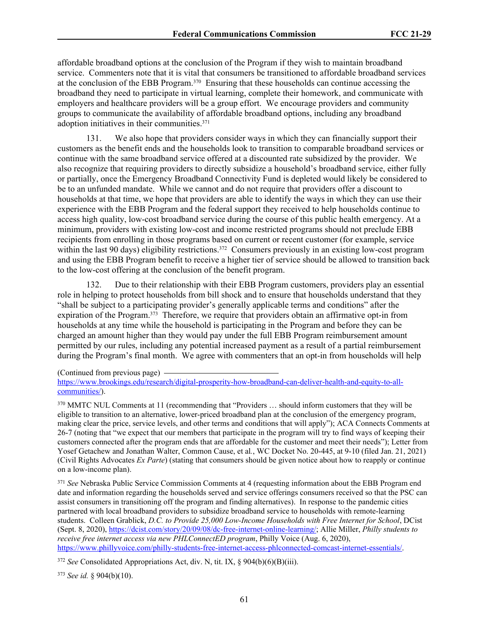affordable broadband options at the conclusion of the Program if they wish to maintain broadband service. Commenters note that it is vital that consumers be transitioned to affordable broadband services at the conclusion of the EBB Program.370 Ensuring that these households can continue accessing the broadband they need to participate in virtual learning, complete their homework, and communicate with employers and healthcare providers will be a group effort. We encourage providers and community groups to communicate the availability of affordable broadband options, including any broadband adoption initiatives in their communities.<sup>371</sup>

131. We also hope that providers consider ways in which they can financially support their customers as the benefit ends and the households look to transition to comparable broadband services or continue with the same broadband service offered at a discounted rate subsidized by the provider. We also recognize that requiring providers to directly subsidize a household's broadband service, either fully or partially, once the Emergency Broadband Connectivity Fund is depleted would likely be considered to be to an unfunded mandate. While we cannot and do not require that providers offer a discount to households at that time, we hope that providers are able to identify the ways in which they can use their experience with the EBB Program and the federal support they received to help households continue to access high quality, low-cost broadband service during the course of this public health emergency. At a minimum, providers with existing low-cost and income restricted programs should not preclude EBB recipients from enrolling in those programs based on current or recent customer (for example, service within the last 90 days) eligibility restrictions.<sup>372</sup> Consumers previously in an existing low-cost program and using the EBB Program benefit to receive a higher tier of service should be allowed to transition back to the low-cost offering at the conclusion of the benefit program.

132. Due to their relationship with their EBB Program customers, providers play an essential role in helping to protect households from bill shock and to ensure that households understand that they "shall be subject to a participating provider's generally applicable terms and conditions" after the expiration of the Program.373 Therefore, we require that providers obtain an affirmative opt-in from households at any time while the household is participating in the Program and before they can be charged an amount higher than they would pay under the full EBB Program reimbursement amount permitted by our rules, including any potential increased payment as a result of a partial reimbursement during the Program's final month. We agree with commenters that an opt-in from households will help

<sup>370</sup> MMTC NUL Comments at 11 (recommending that "Providers … should inform customers that they will be eligible to transition to an alternative, lower-priced broadband plan at the conclusion of the emergency program, making clear the price, service levels, and other terms and conditions that will apply"); ACA Connects Comments at 26-7 (noting that "we expect that our members that participate in the program will try to find ways of keeping their customers connected after the program ends that are affordable for the customer and meet their needs"); Letter from Yosef Getachew and Jonathan Walter, Common Cause, et al*.*, WC Docket No. 20-445, at 9-10 (filed Jan. 21, 2021) (Civil Rights Advocates *Ex Parte*) (stating that consumers should be given notice about how to reapply or continue on a low-income plan).

<sup>371</sup> *See* Nebraska Public Service Commission Comments at 4 (requesting information about the EBB Program end date and information regarding the households served and service offerings consumers received so that the PSC can assist consumers in transitioning off the program and finding alternatives). In response to the pandemic cities partnered with local broadband providers to subsidize broadband service to households with remote-learning students. Colleen Grablick, *D.C. to Provide 25,000 Low-Income Households with Free Internet for School*, DCist (Sept. 8, 2020),<https://dcist.com/story/20/09/08/dc-free-internet-online-learning/>; Allie Miller, *Philly students to receive free internet access via new PHLConnectED program*, Philly Voice (Aug. 6, 2020), [https://www.phillyvoice.com/philly-students-free-internet-access-phlconnected-comcast-internet-essentials/.](https://www.phillyvoice.com/philly-students-free-internet-access-phlconnected-comcast-internet-essentials/)

<sup>372</sup> *See* Consolidated Appropriations Act, div. N, tit. IX, § 904(b)(6)(B)(iii).

<sup>373</sup> *See id.* § 904(b)(10).

<sup>(</sup>Continued from previous page)

[https://www.brookings.edu/research/digital-prosperity-how-broadband-can-deliver-health-and-equity-to-all](https://www.brookings.edu/research/digital-prosperity-how-broadband-can-deliver-health-and-equity-to-all-communities/)[communities/](https://www.brookings.edu/research/digital-prosperity-how-broadband-can-deliver-health-and-equity-to-all-communities/)).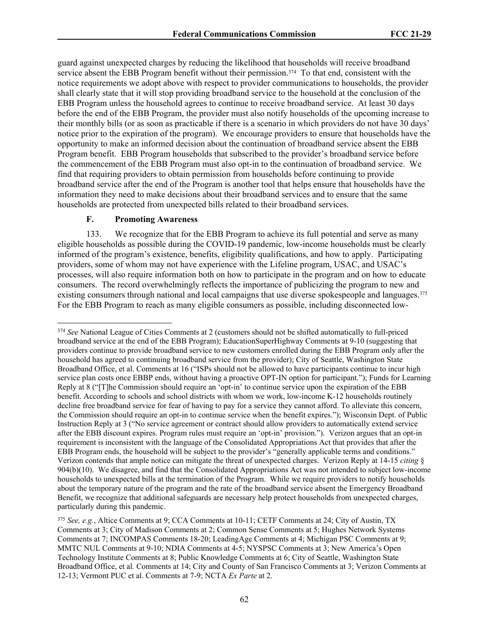guard against unexpected charges by reducing the likelihood that households will receive broadband service absent the EBB Program benefit without their permission.<sup>374</sup> To that end, consistent with the notice requirements we adopt above with respect to provider communications to households, the provider shall clearly state that it will stop providing broadband service to the household at the conclusion of the EBB Program unless the household agrees to continue to receive broadband service. At least 30 days before the end of the EBB Program, the provider must also notify households of the upcoming increase to their monthly bills (or as soon as practicable if there is a scenario in which providers do not have 30 days' notice prior to the expiration of the program). We encourage providers to ensure that households have the opportunity to make an informed decision about the continuation of broadband service absent the EBB Program benefit. EBB Program households that subscribed to the provider's broadband service before the commencement of the EBB Program must also opt-in to the continuation of broadband service. We find that requiring providers to obtain permission from households before continuing to provide broadband service after the end of the Program is another tool that helps ensure that households have the information they need to make decisions about their broadband services and to ensure that the same households are protected from unexpected bills related to their broadband services.

## **F. Promoting Awareness**

133. We recognize that for the EBB Program to achieve its full potential and serve as many eligible households as possible during the COVID-19 pandemic, low-income households must be clearly informed of the program's existence, benefits, eligibility qualifications, and how to apply. Participating providers, some of whom may not have experience with the Lifeline program, USAC, and USAC's processes, will also require information both on how to participate in the program and on how to educate consumers. The record overwhelmingly reflects the importance of publicizing the program to new and existing consumers through national and local campaigns that use diverse spokespeople and languages.<sup>375</sup> For the EBB Program to reach as many eligible consumers as possible, including disconnected low-

<sup>374</sup> *See* National League of Cities Comments at 2 (customers should not be shifted automatically to full-priced broadband service at the end of the EBB Program); EducationSuperHighway Comments at 9-10 (suggesting that providers continue to provide broadband service to new customers enrolled during the EBB Program only after the household has agreed to continuing broadband service from the provider); City of Seattle, Washington State Broadband Office, et al. Comments at 16 ("ISPs should not be allowed to have participants continue to incur high service plan costs once EBBP ends, without having a proactive OPT-IN option for participant."); Funds for Learning Reply at 8 ("[T]he Commission should require an 'opt-in' to continue service upon the expiration of the EBB benefit. According to schools and school districts with whom we work, low-income K-12 households routinely decline free broadband service for fear of having to pay for a service they cannot afford. To alleviate this concern, the Commission should require an opt-in to continue service when the benefit expires."); Wisconsin Dept. of Public Instruction Reply at 3 ("No service agreement or contract should allow providers to automatically extend service after the EBB discount expires. Program rules must require an 'opt-in' provision."). Verizon argues that an opt-in requirement is inconsistent with the language of the Consolidated Appropriations Act that provides that after the EBB Program ends, the household will be subject to the provider's "generally applicable terms and conditions." Verizon contends that ample notice can mitigate the threat of unexpected charges. Verizon Reply at 14-15 *citing* § 904(b)(10). We disagree, and find that the Consolidated Appropriations Act was not intended to subject low-income households to unexpected bills at the termination of the Program. While we require providers to notify households about the temporary nature of the program and the rate of the broadband service absent the Emergency Broadband Benefit, we recognize that additional safeguards are necessary help protect households from unexpected charges, particularly during this pandemic.

<sup>375</sup> *See, e.g.*, Altice Comments at 9; CCA Comments at 10-11; CETF Comments at 24; City of Austin, TX Comments at 3; City of Madison Comments at 2; Common Sense Comments at 5; Hughes Network Systems Comments at 7; INCOMPAS Comments 18-20; LeadingAge Comments at 4; Michigan PSC Comments at 9; MMTC NUL Comments at 9-10; NDIA Comments at 4-5; NYSPSC Comments at 3; New America's Open Technology Institute Comments at 8; Public Knowledge Comments at 6; City of Seattle, Washington State Broadband Office, et al*.* Comments at 14; City and County of San Francisco Comments at 3; Verizon Comments at 12-13; Vermont PUC et al. Comments at 7-9; NCTA *Ex Parte* at 2.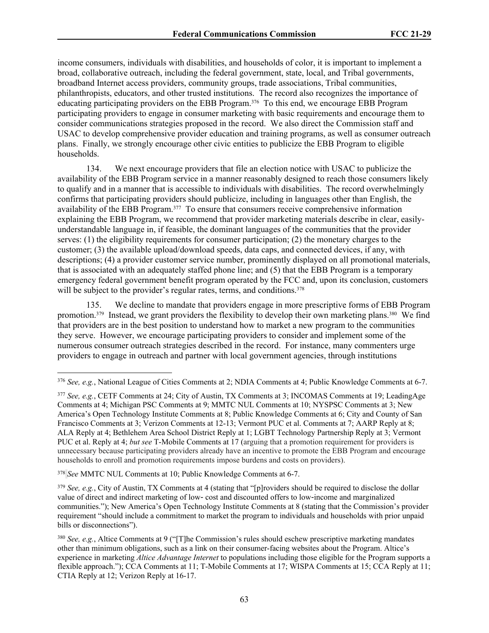income consumers, individuals with disabilities, and households of color, it is important to implement a broad, collaborative outreach, including the federal government, state, local, and Tribal governments, broadband Internet access providers, community groups, trade associations, Tribal communities, philanthropists, educators, and other trusted institutions. The record also recognizes the importance of educating participating providers on the EBB Program.376 To this end, we encourage EBB Program participating providers to engage in consumer marketing with basic requirements and encourage them to consider communications strategies proposed in the record. We also direct the Commission staff and USAC to develop comprehensive provider education and training programs, as well as consumer outreach plans. Finally, we strongly encourage other civic entities to publicize the EBB Program to eligible households.

134. We next encourage providers that file an election notice with USAC to publicize the availability of the EBB Program service in a manner reasonably designed to reach those consumers likely to qualify and in a manner that is accessible to individuals with disabilities. The record overwhelmingly confirms that participating providers should publicize, including in languages other than English, the availability of the EBB Program.377 To ensure that consumers receive comprehensive information explaining the EBB Program, we recommend that provider marketing materials describe in clear, easilyunderstandable language in, if feasible, the dominant languages of the communities that the provider serves: (1) the eligibility requirements for consumer participation; (2) the monetary charges to the customer; (3) the available upload/download speeds, data caps, and connected devices, if any, with descriptions; (4) a provider customer service number, prominently displayed on all promotional materials, that is associated with an adequately staffed phone line; and (5) that the EBB Program is a temporary emergency federal government benefit program operated by the FCC and, upon its conclusion, customers will be subject to the provider's regular rates, terms, and conditions.<sup>378</sup>

135. We decline to mandate that providers engage in more prescriptive forms of EBB Program promotion.<sup>379</sup> Instead, we grant providers the flexibility to develop their own marketing plans.<sup>380</sup> We find that providers are in the best position to understand how to market a new program to the communities they serve. However, we encourage participating providers to consider and implement some of the numerous consumer outreach strategies described in the record. For instance, many commenters urge providers to engage in outreach and partner with local government agencies, through institutions

<sup>378</sup> *See* MMTC NUL Comments at 10; Public Knowledge Comments at 6-7.

<sup>376</sup> *See, e.g.*, National League of Cities Comments at 2; NDIA Comments at 4; Public Knowledge Comments at 6-7.

<sup>377</sup> *See, e.g.*, CETF Comments at 24; City of Austin, TX Comments at 3; INCOMAS Comments at 19; LeadingAge Comments at 4; Michigan PSC Comments at 9; MMTC NUL Comments at 10; NYSPSC Comments at 3; New America's Open Technology Institute Comments at 8; Public Knowledge Comments at 6; City and County of San Francisco Comments at 3; Verizon Comments at 12-13; Vermont PUC et al. Comments at 7; AARP Reply at 8; ALA Reply at 4; Bethlehem Area School District Reply at 1; LGBT Technology Partnership Reply at 3; Vermont PUC et al. Reply at 4; *but see* T-Mobile Comments at 17 (arguing that a promotion requirement for providers is unnecessary because participating providers already have an incentive to promote the EBB Program and encourage households to enroll and promotion requirements impose burdens and costs on providers).

<sup>&</sup>lt;sup>379</sup> See, e.g., City of Austin, TX Comments at 4 (stating that "[p]roviders should be required to disclose the dollar value of direct and indirect marketing of low‐ cost and discounted offers to low‐income and marginalized communities."); New America's Open Technology Institute Comments at 8 (stating that the Commission's provider requirement "should include a commitment to market the program to individuals and households with prior unpaid bills or disconnections").

<sup>380</sup> *See, e.g.*, Altice Comments at 9 ("[T]he Commission's rules should eschew prescriptive marketing mandates other than minimum obligations, such as a link on their consumer-facing websites about the Program. Altice's experience in marketing *Altice Advantage Internet* to populations including those eligible for the Program supports a flexible approach."); CCA Comments at 11; T-Mobile Comments at 17; WISPA Comments at 15; CCA Reply at 11; CTIA Reply at 12; Verizon Reply at 16-17.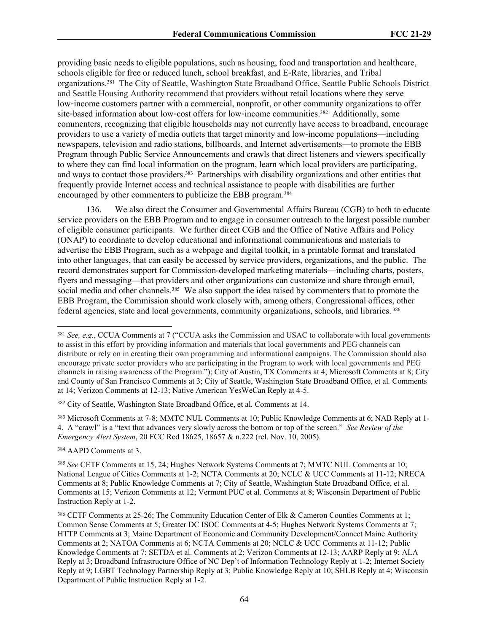providing basic needs to eligible populations, such as housing, food and transportation and healthcare, schools eligible for free or reduced lunch, school breakfast, and E‐Rate, libraries, and Tribal organizations.<sup>381</sup> The City of Seattle, Washington State Broadband Office, Seattle Public Schools District and Seattle Housing Authority recommend that providers without retail locations where they serve low-income customers partner with a commercial, nonprofit, or other community organizations to offer site-based information about low-cost offers for low-income communities.<sup>382</sup> Additionally, some commenters, recognizing that eligible households may not currently have access to broadband, encourage providers to use a variety of media outlets that target minority and low-income populations—including newspapers, television and radio stations, billboards, and Internet advertisements—to promote the EBB Program through Public Service Announcements and crawls that direct listeners and viewers specifically to where they can find local information on the program, learn which local providers are participating, and ways to contact those providers.383 Partnerships with disability organizations and other entities that frequently provide Internet access and technical assistance to people with disabilities are further encouraged by other commenters to publicize the EBB program.<sup>384</sup>

136. We also direct the Consumer and Governmental Affairs Bureau (CGB) to both to educate service providers on the EBB Program and to engage in consumer outreach to the largest possible number of eligible consumer participants. We further direct CGB and the Office of Native Affairs and Policy (ONAP) to coordinate to develop educational and informational communications and materials to advertise the EBB Program, such as a webpage and digital toolkit, in a printable format and translated into other languages, that can easily be accessed by service providers, organizations, and the public. The record demonstrates support for Commission-developed marketing materials—including charts, posters, flyers and messaging—that providers and other organizations can customize and share through email, social media and other channels.<sup>385</sup> We also support the idea raised by commenters that to promote the EBB Program, the Commission should work closely with, among others, Congressional offices, other federal agencies, state and local governments, community organizations, schools, and libraries.<sup>386</sup>

<sup>383</sup> Microsoft Comments at 7-8; MMTC NUL Comments at 10; Public Knowledge Comments at 6; NAB Reply at 1- 4. A "crawl" is a "text that advances very slowly across the bottom or top of the screen." *See Review of the Emergency Alert System*, 20 FCC Rcd 18625, 18657 & n.222 (rel. Nov. 10, 2005).

<sup>384</sup> AAPD Comments at 3.

<sup>381</sup> *See, e.g.*, CCUA Comments at 7 ("CCUA asks the Commission and USAC to collaborate with local governments to assist in this effort by providing information and materials that local governments and PEG channels can distribute or rely on in creating their own programming and informational campaigns. The Commission should also encourage private sector providers who are participating in the Program to work with local governments and PEG channels in raising awareness of the Program."); City of Austin, TX Comments at 4; Microsoft Comments at 8; City and County of San Francisco Comments at 3; City of Seattle, Washington State Broadband Office, et al*.* Comments at 14; Verizon Comments at 12-13; Native American YesWeCan Reply at 4-5.

<sup>382</sup> City of Seattle, Washington State Broadband Office, et al*.* Comments at 14.

<sup>385</sup> *See* CETF Comments at 15, 24; Hughes Network Systems Comments at 7; MMTC NUL Comments at 10; National League of Cities Comments at 1-2; NCTA Comments at 20; NCLC & UCC Comments at 11-12; NRECA Comments at 8; Public Knowledge Comments at 7; City of Seattle, Washington State Broadband Office, et al. Comments at 15; Verizon Comments at 12; Vermont PUC et al. Comments at 8; Wisconsin Department of Public Instruction Reply at 1-2.

<sup>386</sup> CETF Comments at 25-26; The Community Education Center of Elk & Cameron Counties Comments at 1; Common Sense Comments at 5; Greater DC ISOC Comments at 4-5; Hughes Network Systems Comments at 7; HTTP Comments at 3; Maine Department of Economic and Community Development/Connect Maine Authority Comments at 2; NATOA Comments at 6; NCTA Comments at 20; NCLC & UCC Comments at 11-12; Public Knowledge Comments at 7; SETDA et al. Comments at 2; Verizon Comments at 12-13; AARP Reply at 9; ALA Reply at 3; Broadband Infrastructure Office of NC Dep't of Information Technology Reply at 1-2; Internet Society Reply at 9; LGBT Technology Partnership Reply at 3; Public Knowledge Reply at 10; SHLB Reply at 4; Wisconsin Department of Public Instruction Reply at 1-2.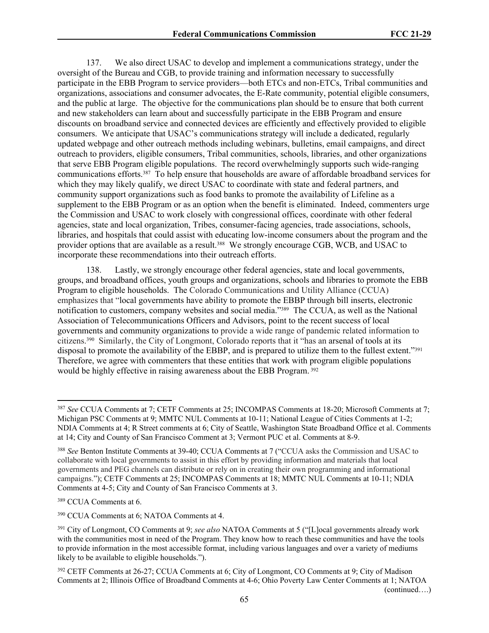137. We also direct USAC to develop and implement a communications strategy, under the oversight of the Bureau and CGB, to provide training and information necessary to successfully participate in the EBB Program to service providers—both ETCs and non-ETCs, Tribal communities and organizations, associations and consumer advocates, the E-Rate community, potential eligible consumers, and the public at large. The objective for the communications plan should be to ensure that both current and new stakeholders can learn about and successfully participate in the EBB Program and ensure discounts on broadband service and connected devices are efficiently and effectively provided to eligible consumers. We anticipate that USAC's communications strategy will include a dedicated, regularly updated webpage and other outreach methods including webinars, bulletins, email campaigns, and direct outreach to providers, eligible consumers, Tribal communities, schools, libraries, and other organizations that serve EBB Program eligible populations. The record overwhelmingly supports such wide-ranging communications efforts.387 To help ensure that households are aware of affordable broadband services for which they may likely qualify, we direct USAC to coordinate with state and federal partners, and community support organizations such as food banks to promote the availability of Lifeline as a supplement to the EBB Program or as an option when the benefit is eliminated. Indeed, commenters urge the Commission and USAC to work closely with congressional offices, coordinate with other federal agencies, state and local organization, Tribes, consumer-facing agencies, trade associations, schools, libraries, and hospitals that could assist with educating low-income consumers about the program and the provider options that are available as a result.<sup>388</sup> We strongly encourage CGB, WCB, and USAC to incorporate these recommendations into their outreach efforts.

138. Lastly, we strongly encourage other federal agencies, state and local governments, groups, and broadband offices, youth groups and organizations, schools and libraries to promote the EBB Program to eligible households. The Colorado Communications and Utility Alliance (CCUA) emphasizes that "local governments have ability to promote the EBBP through bill inserts, electronic notification to customers, company websites and social media."389 The CCUA, as well as the National Association of Telecommunications Officers and Advisors, point to the recent success of local governments and community organizations to provide a wide range of pandemic related information to citizens.390 Similarly, the City of Longmont, Colorado reports that it "has an arsenal of tools at its disposal to promote the availability of the EBBP, and is prepared to utilize them to the fullest extent."<sup>391</sup> Therefore, we agree with commenters that these entities that work with program eligible populations would be highly effective in raising awareness about the EBB Program.<sup>392</sup>

<sup>389</sup> CCUA Comments at 6.

<sup>390</sup> CCUA Comments at 6; NATOA Comments at 4.

<sup>387</sup> *See* CCUA Comments at 7; CETF Comments at 25; INCOMPAS Comments at 18-20; Microsoft Comments at 7; Michigan PSC Comments at 9; MMTC NUL Comments at 10-11; National League of Cities Comments at 1-2; NDIA Comments at 4; R Street comments at 6; City of Seattle, Washington State Broadband Office et al. Comments at 14; City and County of San Francisco Comment at 3; Vermont PUC et al. Comments at 8-9.

<sup>388</sup> *See* Benton Institute Comments at 39-40; CCUA Comments at 7 ("CCUA asks the Commission and USAC to collaborate with local governments to assist in this effort by providing information and materials that local governments and PEG channels can distribute or rely on in creating their own programming and informational campaigns."); CETF Comments at 25; INCOMPAS Comments at 18; MMTC NUL Comments at 10-11; NDIA Comments at 4-5; City and County of San Francisco Comments at 3.

<sup>391</sup> City of Longmont, CO Comments at 9; *see also* NATOA Comments at 5 ("[L]ocal governments already work with the communities most in need of the Program. They know how to reach these communities and have the tools to provide information in the most accessible format, including various languages and over a variety of mediums likely to be available to eligible households.").

<sup>392</sup> CETF Comments at 26-27; CCUA Comments at 6; City of Longmont, CO Comments at 9; City of Madison Comments at 2; Illinois Office of Broadband Comments at 4-6; Ohio Poverty Law Center Comments at 1; NATOA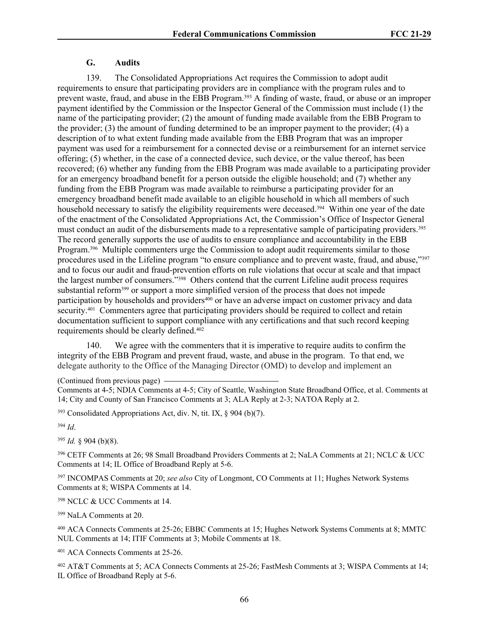## **G. Audits**

139. The Consolidated Appropriations Act requires the Commission to adopt audit requirements to ensure that participating providers are in compliance with the program rules and to prevent waste, fraud, and abuse in the EBB Program.393 A finding of waste, fraud, or abuse or an improper payment identified by the Commission or the Inspector General of the Commission must include (1) the name of the participating provider; (2) the amount of funding made available from the EBB Program to the provider; (3) the amount of funding determined to be an improper payment to the provider; (4) a description of to what extent funding made available from the EBB Program that was an improper payment was used for a reimbursement for a connected devise or a reimbursement for an internet service offering; (5) whether, in the case of a connected device, such device, or the value thereof, has been recovered; (6) whether any funding from the EBB Program was made available to a participating provider for an emergency broadband benefit for a person outside the eligible household; and (7) whether any funding from the EBB Program was made available to reimburse a participating provider for an emergency broadband benefit made available to an eligible household in which all members of such household necessary to satisfy the eligibility requirements were deceased.<sup>394</sup> Within one year of the date of the enactment of the Consolidated Appropriations Act, the Commission's Office of Inspector General must conduct an audit of the disbursements made to a representative sample of participating providers.<sup>395</sup> The record generally supports the use of audits to ensure compliance and accountability in the EBB Program.396 Multiple commenters urge the Commission to adopt audit requirements similar to those procedures used in the Lifeline program "to ensure compliance and to prevent waste, fraud, and abuse,"<sup>397</sup> and to focus our audit and fraud-prevention efforts on rule violations that occur at scale and that impact the largest number of consumers."398 Others contend that the current Lifeline audit process requires substantial reform<sup>399</sup> or support a more simplified version of the process that does not impede participation by households and providers400 or have an adverse impact on customer privacy and data security.401 Commenters agree that participating providers should be required to collect and retain documentation sufficient to support compliance with any certifications and that such record keeping requirements should be clearly defined.<sup>402</sup>

140. We agree with the commenters that it is imperative to require audits to confirm the integrity of the EBB Program and prevent fraud, waste, and abuse in the program. To that end, we delegate authority to the Office of the Managing Director (OMD) to develop and implement an

(Continued from previous page)

 $393$  Consolidated Appropriations Act, div. N, tit. IX, § 904 (b)(7).

<sup>394</sup> *Id*.

<sup>395</sup> *Id.* § 904 (b)(8).

<sup>396</sup> CETF Comments at 26; 98 Small Broadband Providers Comments at 2; NaLA Comments at 21; NCLC & UCC Comments at 14; IL Office of Broadband Reply at 5-6.

<sup>397</sup> INCOMPAS Comments at 20; *see also* City of Longmont, CO Comments at 11; Hughes Network Systems Comments at 8; WISPA Comments at 14.

<sup>398</sup> NCLC & UCC Comments at 14.

<sup>399</sup> NaLA Comments at 20.

<sup>400</sup> ACA Connects Comments at 25-26; EBBC Comments at 15; Hughes Network Systems Comments at 8; MMTC NUL Comments at 14; ITIF Comments at 3; Mobile Comments at 18.

<sup>401</sup> ACA Connects Comments at 25-26.

<sup>402</sup> AT&T Comments at 5; ACA Connects Comments at 25-26; FastMesh Comments at 3; WISPA Comments at 14; IL Office of Broadband Reply at 5-6.

Comments at 4-5; NDIA Comments at 4-5; City of Seattle, Washington State Broadband Office, et al. Comments at 14; City and County of San Francisco Comments at 3; ALA Reply at 2-3; NATOA Reply at 2.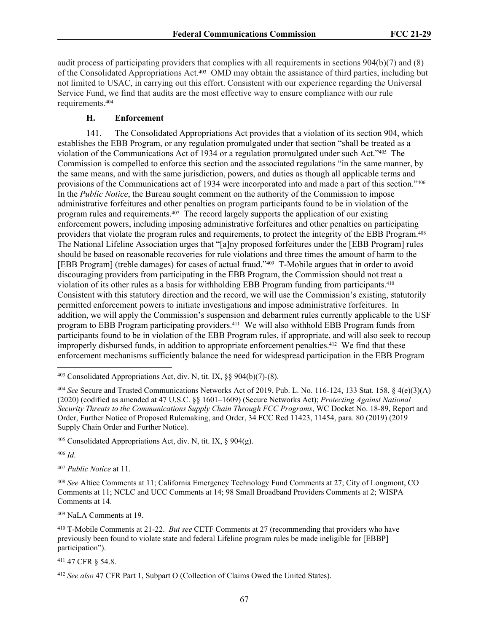audit process of participating providers that complies with all requirements in sections 904(b)(7) and (8) of the Consolidated Appropriations Act.403 OMD may obtain the assistance of third parties, including but not limited to USAC, in carrying out this effort. Consistent with our experience regarding the Universal Service Fund, we find that audits are the most effective way to ensure compliance with our rule requirements.<sup>404</sup>

## **H. Enforcement**

141. The Consolidated Appropriations Act provides that a violation of its section 904, which establishes the EBB Program, or any regulation promulgated under that section "shall be treated as a violation of the Communications Act of 1934 or a regulation promulgated under such Act."405 The Commission is compelled to enforce this section and the associated regulations "in the same manner, by the same means, and with the same jurisdiction, powers, and duties as though all applicable terms and provisions of the Communications act of 1934 were incorporated into and made a part of this section."<sup>406</sup> In the *Public Notice*, the Bureau sought comment on the authority of the Commission to impose administrative forfeitures and other penalties on program participants found to be in violation of the program rules and requirements.407 The record largely supports the application of our existing enforcement powers, including imposing administrative forfeitures and other penalties on participating providers that violate the program rules and requirements, to protect the integrity of the EBB Program.<sup>408</sup> The National Lifeline Association urges that "[a]ny proposed forfeitures under the [EBB Program] rules should be based on reasonable recoveries for rule violations and three times the amount of harm to the [EBB Program] (treble damages) for cases of actual fraud."409 T-Mobile argues that in order to avoid discouraging providers from participating in the EBB Program, the Commission should not treat a violation of its other rules as a basis for withholding EBB Program funding from participants.<sup>410</sup> Consistent with this statutory direction and the record, we will use the Commission's existing, statutorily permitted enforcement powers to initiate investigations and impose administrative forfeitures. In addition, we will apply the Commission's suspension and debarment rules currently applicable to the USF program to EBB Program participating providers.411 We will also withhold EBB Program funds from participants found to be in violation of the EBB Program rules, if appropriate, and will also seek to recoup improperly disbursed funds, in addition to appropriate enforcement penalties.<sup>412</sup> We find that these enforcement mechanisms sufficiently balance the need for widespread participation in the EBB Program

<sup>406</sup> *Id*.

<sup>407</sup> *Public Notice* at 11.

<sup>408</sup> *See* Altice Comments at 11; California Emergency Technology Fund Comments at 27; City of Longmont, CO Comments at 11; NCLC and UCC Comments at 14; 98 Small Broadband Providers Comments at 2; WISPA Comments at 14.

<sup>409</sup> NaLA Comments at 19.

<sup>410</sup> T-Mobile Comments at 21-22. *But see* CETF Comments at 27 (recommending that providers who have previously been found to violate state and federal Lifeline program rules be made ineligible for [EBBP] participation").

<sup>411</sup> 47 CFR § 54.8.

<sup>403</sup> Consolidated Appropriations Act, div. N, tit. IX, §§ 904(b)(7)-(8).

<sup>404</sup> *See* Secure and Trusted Communications Networks Act of 2019, Pub. L. No. 116-124, 133 Stat. 158, § 4(e)(3)(A) (2020) (codified as amended at 47 U.S.C. §§ 1601–1609) (Secure Networks Act); *Protecting Against National Security Threats to the Communications Supply Chain Through FCC Programs*, WC Docket No. 18-89, Report and Order, Further Notice of Proposed Rulemaking, and Order, 34 FCC Rcd 11423, 11454, para. 80 (2019) (2019 Supply Chain Order and Further Notice).

<sup>&</sup>lt;sup>405</sup> Consolidated Appropriations Act, div. N, tit. IX,  $\frac{6}{904(g)}$ .

<sup>412</sup> *See also* 47 CFR Part 1, Subpart O (Collection of Claims Owed the United States).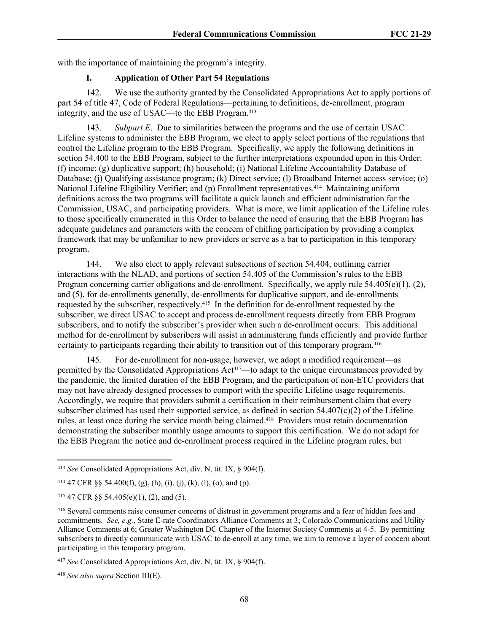with the importance of maintaining the program's integrity.

#### **I. Application of Other Part 54 Regulations**

142. We use the authority granted by the Consolidated Appropriations Act to apply portions of part 54 of title 47, Code of Federal Regulations—pertaining to definitions, de-enrollment, program integrity, and the use of USAC—to the EBB Program.<sup>413</sup>

143. *Subpart E*. Due to similarities between the programs and the use of certain USAC Lifeline systems to administer the EBB Program, we elect to apply select portions of the regulations that control the Lifeline program to the EBB Program. Specifically, we apply the following definitions in section 54.400 to the EBB Program, subject to the further interpretations expounded upon in this Order: (f) income; (g) duplicative support; (h) household; (i) National Lifeline Accountability Database of Database; (j) Qualifying assistance program; (k) Direct service; (l) Broadband Internet access service; (o) National Lifeline Eligibility Verifier; and (p) Enrollment representatives.414 Maintaining uniform definitions across the two programs will facilitate a quick launch and efficient administration for the Commission, USAC, and participating providers. What is more, we limit application of the Lifeline rules to those specifically enumerated in this Order to balance the need of ensuring that the EBB Program has adequate guidelines and parameters with the concern of chilling participation by providing a complex framework that may be unfamiliar to new providers or serve as a bar to participation in this temporary program.

144. We also elect to apply relevant subsections of section 54.404, outlining carrier interactions with the NLAD, and portions of section 54.405 of the Commission's rules to the EBB Program concerning carrier obligations and de-enrollment. Specifically, we apply rule  $54.405(e)(1)$ ,  $(2)$ , and (5), for de-enrollments generally, de-enrollments for duplicative support, and de-enrollments requested by the subscriber, respectively.415 In the definition for de-enrollment requested by the subscriber, we direct USAC to accept and process de-enrollment requests directly from EBB Program subscribers, and to notify the subscriber's provider when such a de-enrollment occurs. This additional method for de-enrollment by subscribers will assist in administering funds efficiently and provide further certainty to participants regarding their ability to transition out of this temporary program.<sup>416</sup>

145. For de-enrollment for non-usage, however, we adopt a modified requirement—as permitted by the Consolidated Appropriations Act<sup>417</sup>—to adapt to the unique circumstances provided by the pandemic, the limited duration of the EBB Program, and the participation of non-ETC providers that may not have already designed processes to comport with the specific Lifeline usage requirements. Accordingly, we require that providers submit a certification in their reimbursement claim that every subscriber claimed has used their supported service, as defined in section 54.407(c)(2) of the Lifeline rules, at least once during the service month being claimed.418 Providers must retain documentation demonstrating the subscriber monthly usage amounts to support this certification. We do not adopt for the EBB Program the notice and de-enrollment process required in the Lifeline program rules, but

<sup>413</sup> *See* Consolidated Appropriations Act, div. N, tit. IX, § 904(f).

<sup>&</sup>lt;sup>414</sup> 47 CFR §§ 54.400(f), (g), (h), (i), (j), (k), (l), (o), and (p).

<sup>415</sup> 47 CFR §§ 54.405(e)(1), (2), and (5).

<sup>416</sup> Several comments raise consumer concerns of distrust in government programs and a fear of hidden fees and commitments. *See, e.g.*, State E-rate Coordinators Alliance Comments at 3; Colorado Communications and Utility Alliance Comments at 6; Greater Washington DC Chapter of the Internet Society Comments at 4-5. By permitting subscribers to directly communicate with USAC to de-enroll at any time, we aim to remove a layer of concern about participating in this temporary program.

<sup>417</sup> *See* Consolidated Appropriations Act, div. N, tit. IX, § 904(f).

<sup>418</sup> *See also supra* Section III(E).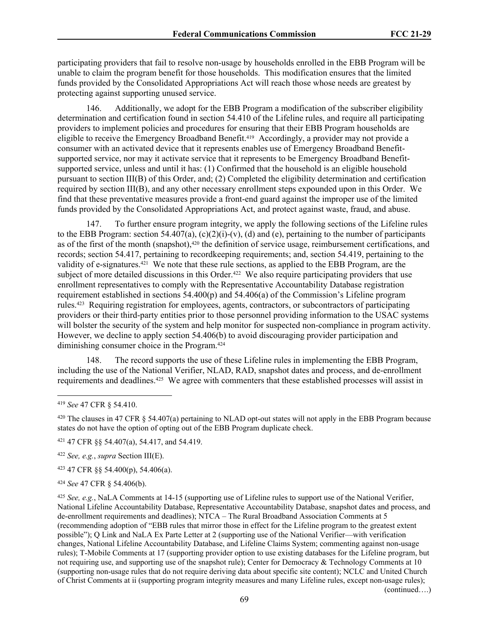participating providers that fail to resolve non-usage by households enrolled in the EBB Program will be unable to claim the program benefit for those households. This modification ensures that the limited funds provided by the Consolidated Appropriations Act will reach those whose needs are greatest by protecting against supporting unused service.

146. Additionally, we adopt for the EBB Program a modification of the subscriber eligibility determination and certification found in section 54.410 of the Lifeline rules, and require all participating providers to implement policies and procedures for ensuring that their EBB Program households are eligible to receive the Emergency Broadband Benefit.419 Accordingly, a provider may not provide a consumer with an activated device that it represents enables use of Emergency Broadband Benefitsupported service, nor may it activate service that it represents to be Emergency Broadband Benefitsupported service, unless and until it has: (1) Confirmed that the household is an eligible household pursuant to section III(B) of this Order, and; (2) Completed the eligibility determination and certification required by section III(B), and any other necessary enrollment steps expounded upon in this Order. We find that these preventative measures provide a front-end guard against the improper use of the limited funds provided by the Consolidated Appropriations Act, and protect against waste, fraud, and abuse.

147. To further ensure program integrity, we apply the following sections of the Lifeline rules to the EBB Program: section 54.407(a),  $(c)(2)(i)-(v)$ , (d) and (e), pertaining to the number of participants as of the first of the month (snapshot),<sup>420</sup> the definition of service usage, reimbursement certifications, and records; section 54.417, pertaining to recordkeeping requirements; and, section 54.419, pertaining to the validity of e-signatures.421 We note that these rule sections, as applied to the EBB Program, are the subject of more detailed discussions in this Order.<sup>422</sup> We also require participating providers that use enrollment representatives to comply with the Representative Accountability Database registration requirement established in sections 54.400(p) and 54.406(a) of the Commission's Lifeline program rules.423 Requiring registration for employees, agents, contractors, or subcontractors of participating providers or their third-party entities prior to those personnel providing information to the USAC systems will bolster the security of the system and help monitor for suspected non-compliance in program activity. However, we decline to apply section 54.406(b) to avoid discouraging provider participation and diminishing consumer choice in the Program.<sup>424</sup>

148. The record supports the use of these Lifeline rules in implementing the EBB Program, including the use of the National Verifier, NLAD, RAD, snapshot dates and process, and de-enrollment requirements and deadlines.425 We agree with commenters that these established processes will assist in

<sup>422</sup> *See, e.g.*, *supra* Section III(E).

<sup>423</sup> 47 CFR §§ 54.400(p), 54.406(a).

<sup>424</sup> *See* 47 CFR § 54.406(b).

<sup>419</sup> *See* 47 CFR § 54.410.

 $420$  The clauses in 47 CFR § 54.407(a) pertaining to NLAD opt-out states will not apply in the EBB Program because states do not have the option of opting out of the EBB Program duplicate check.

<sup>421</sup> 47 CFR §§ 54.407(a), 54.417, and 54.419.

<sup>425</sup> *See, e.g.*, NaLA Comments at 14-15 (supporting use of Lifeline rules to support use of the National Verifier, National Lifeline Accountability Database, Representative Accountability Database, snapshot dates and process, and de-enrollment requirements and deadlines); NTCA – The Rural Broadband Association Comments at 5 (recommending adoption of "EBB rules that mirror those in effect for the Lifeline program to the greatest extent possible"); Q Link and NaLA Ex Parte Letter at 2 (supporting use of the National Verifier—with verification changes, National Lifeline Accountability Database, and Lifeline Claims System; commenting against non-usage rules); T-Mobile Comments at 17 (supporting provider option to use existing databases for the Lifeline program, but not requiring use, and supporting use of the snapshot rule); Center for Democracy & Technology Comments at 10 (supporting non-usage rules that do not require deriving data about specific site content); NCLC and United Church of Christ Comments at ii (supporting program integrity measures and many Lifeline rules, except non-usage rules); (continued….)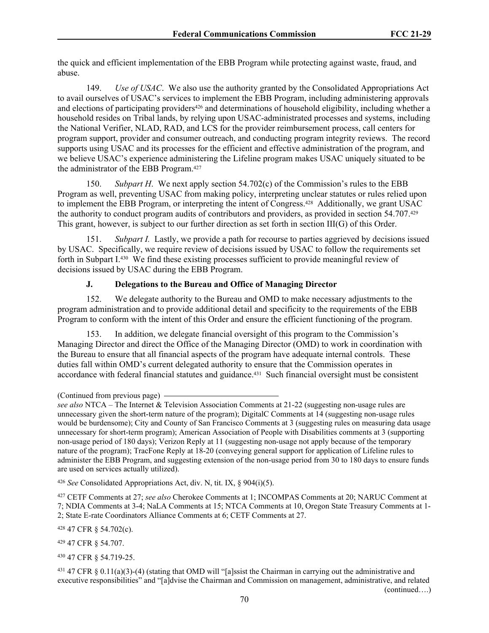the quick and efficient implementation of the EBB Program while protecting against waste, fraud, and abuse.

149. *Use of USAC*. We also use the authority granted by the Consolidated Appropriations Act to avail ourselves of USAC's services to implement the EBB Program, including administering approvals and elections of participating providers426 and determinations of household eligibility, including whether a household resides on Tribal lands, by relying upon USAC-administrated processes and systems, including the National Verifier, NLAD, RAD, and LCS for the provider reimbursement process, call centers for program support, provider and consumer outreach, and conducting program integrity reviews. The record supports using USAC and its processes for the efficient and effective administration of the program, and we believe USAC's experience administering the Lifeline program makes USAC uniquely situated to be the administrator of the EBB Program.<sup>427</sup>

150. *Subpart H*. We next apply section 54.702(c) of the Commission's rules to the EBB Program as well, preventing USAC from making policy, interpreting unclear statutes or rules relied upon to implement the EBB Program, or interpreting the intent of Congress.428 Additionally, we grant USAC the authority to conduct program audits of contributors and providers, as provided in section 54.707.<sup>429</sup> This grant, however, is subject to our further direction as set forth in section III(G) of this Order.

151. *Subpart I.* Lastly, we provide a path for recourse to parties aggrieved by decisions issued by USAC. Specifically, we require review of decisions issued by USAC to follow the requirements set forth in Subpart I.430 We find these existing processes sufficient to provide meaningful review of decisions issued by USAC during the EBB Program.

# **J. Delegations to the Bureau and Office of Managing Director**

152. We delegate authority to the Bureau and OMD to make necessary adjustments to the program administration and to provide additional detail and specificity to the requirements of the EBB Program to conform with the intent of this Order and ensure the efficient functioning of the program.

153. In addition, we delegate financial oversight of this program to the Commission's Managing Director and direct the Office of the Managing Director (OMD) to work in coordination with the Bureau to ensure that all financial aspects of the program have adequate internal controls. These duties fall within OMD's current delegated authority to ensure that the Commission operates in accordance with federal financial statutes and guidance.<sup>431</sup> Such financial oversight must be consistent

<sup>426</sup> *See* Consolidated Appropriations Act, div. N, tit. IX, § 904(i)(5).

<sup>427</sup> CETF Comments at 27; *see also* Cherokee Comments at 1; INCOMPAS Comments at 20; NARUC Comment at 7; NDIA Comments at 3-4; NaLA Comments at 15; NTCA Comments at 10, Oregon State Treasury Comments at 1- 2; State E-rate Coordinators Alliance Comments at 6; CETF Comments at 27.

<sup>428</sup> 47 CFR § 54.702(c).

<sup>429</sup> 47 CFR § 54.707.

<sup>430</sup> 47 CFR § 54.719-25.

 $431$  47 CFR § 0.11(a)(3)-(4) (stating that OMD will "[a]ssist the Chairman in carrying out the administrative and executive responsibilities" and "[a]dvise the Chairman and Commission on management, administrative, and related (continued….)

<sup>(</sup>Continued from previous page)

*see also* NTCA – The Internet & Television Association Comments at 21-22 (suggesting non-usage rules are unnecessary given the short-term nature of the program); DigitalC Comments at 14 (suggesting non-usage rules would be burdensome); City and County of San Francisco Comments at 3 (suggesting rules on measuring data usage unnecessary for short-term program); American Association of People with Disabilities comments at 3 (supporting non-usage period of 180 days); Verizon Reply at 11 (suggesting non-usage not apply because of the temporary nature of the program); TracFone Reply at 18-20 (conveying general support for application of Lifeline rules to administer the EBB Program, and suggesting extension of the non-usage period from 30 to 180 days to ensure funds are used on services actually utilized).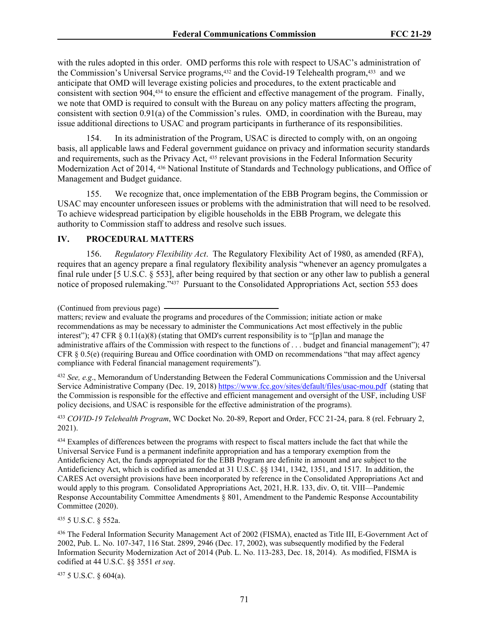with the rules adopted in this order. OMD performs this role with respect to USAC's administration of the Commission's Universal Service programs,<sup>432</sup> and the Covid-19 Telehealth program,<sup>433</sup> and we anticipate that OMD will leverage existing policies and procedures, to the extent practicable and consistent with section 904,434 to ensure the efficient and effective management of the program. Finally, we note that OMD is required to consult with the Bureau on any policy matters affecting the program, consistent with section 0.91(a) of the Commission's rules. OMD, in coordination with the Bureau, may issue additional directions to USAC and program participants in furtherance of its responsibilities.

154. In its administration of the Program, USAC is directed to comply with, on an ongoing basis, all applicable laws and Federal government guidance on privacy and information security standards and requirements, such as the Privacy Act, 435 relevant provisions in the Federal Information Security Modernization Act of 2014, 436 National Institute of Standards and Technology publications, and Office of Management and Budget guidance.

155. We recognize that, once implementation of the EBB Program begins, the Commission or USAC may encounter unforeseen issues or problems with the administration that will need to be resolved. To achieve widespread participation by eligible households in the EBB Program, we delegate this authority to Commission staff to address and resolve such issues.

## **IV. PROCEDURAL MATTERS**

156. *Regulatory Flexibility Act*. The Regulatory Flexibility Act of 1980, as amended (RFA), requires that an agency prepare a final regulatory flexibility analysis "whenever an agency promulgates a final rule under [5 U.S.C. § 553], after being required by that section or any other law to publish a general notice of proposed rulemaking."437 Pursuant to the Consolidated Appropriations Act, section 553 does

(Continued from previous page)

matters; review and evaluate the programs and procedures of the Commission; initiate action or make recommendations as may be necessary to administer the Communications Act most effectively in the public interest"); 47 CFR  $\S 0.11(a)(8)$  (stating that OMD's current responsibility is to "[p] lan and manage the administrative affairs of the Commission with respect to the functions of . . . budget and financial management"); 47 CFR  $\S$  0.5(e) (requiring Bureau and Office coordination with OMD on recommendations "that may affect agency compliance with Federal financial management requirements").

<sup>432</sup> *See, e.g*., Memorandum of Understanding Between the Federal Communications Commission and the Universal Service Administrative Company (Dec. 19, 2018) <https://www.fcc.gov/sites/default/files/usac-mou.pdf>(stating that the Commission is responsible for the effective and efficient management and oversight of the USF, including USF policy decisions, and USAC is responsible for the effective administration of the programs).

<sup>433</sup> *COVID-19 Telehealth Program*, WC Docket No. 20-89, Report and Order, FCC 21-24, para. 8 (rel. February 2, 2021).

<sup>434</sup> Examples of differences between the programs with respect to fiscal matters include the fact that while the Universal Service Fund is a permanent indefinite appropriation and has a temporary exemption from the Antideficiency Act, the funds appropriated for the EBB Program are definite in amount and are subject to the Antideficiency Act, which is codified as amended at 31 U.S.C. §§ 1341, 1342, 1351, and 1517. In addition, the CARES Act oversight provisions have been incorporated by reference in the Consolidated Appropriations Act and would apply to this program. Consolidated Appropriations Act, 2021, H.R. 133, div. O, tit. VIII—Pandemic Response Accountability Committee Amendments § 801, Amendment to the Pandemic Response Accountability Committee (2020).

<sup>435</sup> 5 U.S.C. § 552a.

<sup>436</sup> The Federal Information Security Management Act of 2002 (FISMA), enacted as Title III, E-Government Act of 2002, Pub. L. No. 107-347, 116 Stat. 2899, 2946 (Dec. 17, 2002), was subsequently modified by the Federal Information Security Modernization Act of 2014 (Pub. L. No. 113-283, Dec. 18, 2014). As modified, FISMA is codified at 44 U.S.C. §§ 3551 *et seq*.

437 5 U.S.C. § 604(a).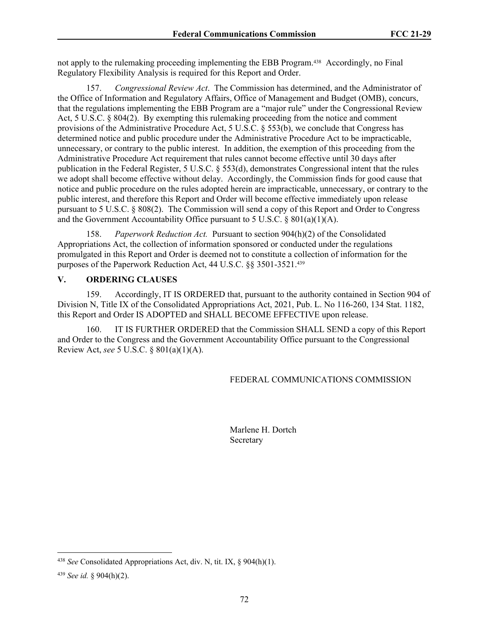not apply to the rulemaking proceeding implementing the EBB Program.438 Accordingly, no Final Regulatory Flexibility Analysis is required for this Report and Order.

157. *Congressional Review Act*. The Commission has determined, and the Administrator of the Office of Information and Regulatory Affairs, Office of Management and Budget (OMB), concurs, that the regulations implementing the EBB Program are a "major rule" under the Congressional Review Act, 5 U.S.C. § 804(2). By exempting this rulemaking proceeding from the notice and comment provisions of the Administrative Procedure Act, 5 U.S.C. § 553(b), we conclude that Congress has determined notice and public procedure under the Administrative Procedure Act to be impracticable, unnecessary, or contrary to the public interest. In addition, the exemption of this proceeding from the Administrative Procedure Act requirement that rules cannot become effective until 30 days after publication in the Federal Register, 5 U.S.C. § 553(d), demonstrates Congressional intent that the rules we adopt shall become effective without delay. Accordingly, the Commission finds for good cause that notice and public procedure on the rules adopted herein are impracticable, unnecessary, or contrary to the public interest, and therefore this Report and Order will become effective immediately upon release pursuant to 5 U.S.C. § 808(2). The Commission will send a copy of this Report and Order to Congress and the Government Accountability Office pursuant to 5 U.S.C. § 801(a)(1)(A).

158. *Paperwork Reduction Act.* Pursuant to section 904(h)(2) of the Consolidated Appropriations Act, the collection of information sponsored or conducted under the regulations promulgated in this Report and Order is deemed not to constitute a collection of information for the purposes of the Paperwork Reduction Act, 44 U.S.C. §§ 3501-3521.<sup>439</sup>

## **V. ORDERING CLAUSES**

159. Accordingly, IT IS ORDERED that, pursuant to the authority contained in Section 904 of Division N, Title IX of the Consolidated Appropriations Act, 2021, Pub. L. No 116-260, 134 Stat. 1182, this Report and Order IS ADOPTED and SHALL BECOME EFFECTIVE upon release.

160. IT IS FURTHER ORDERED that the Commission SHALL SEND a copy of this Report and Order to the Congress and the Government Accountability Office pursuant to the Congressional Review Act, *see* 5 U.S.C. § 801(a)(1)(A).

### FEDERAL COMMUNICATIONS COMMISSION

Marlene H. Dortch Secretary

<sup>438</sup> *See* Consolidated Appropriations Act, div. N, tit. IX, § 904(h)(1).

<sup>439</sup> *See id.* § 904(h)(2).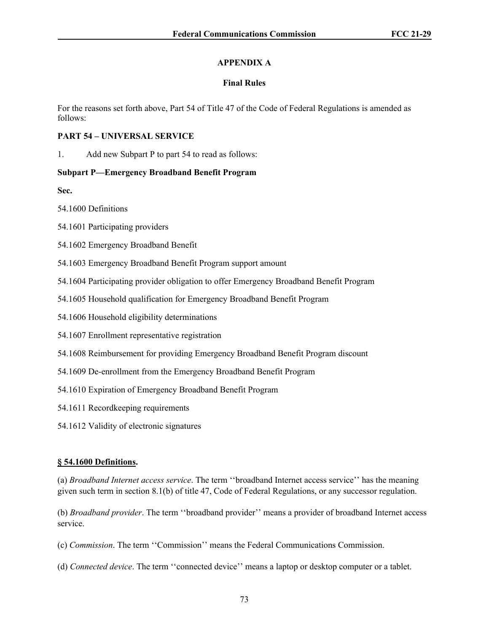# **APPENDIX A**

## **Final Rules**

For the reasons set forth above, Part 54 of Title 47 of the Code of Federal Regulations is amended as follows:

## **PART 54 – UNIVERSAL SERVICE**

1. Add new Subpart P to part 54 to read as follows:

# **Subpart P—Emergency Broadband Benefit Program**

**Sec.**

- 54.1600 Definitions
- 54.1601 Participating providers
- 54.1602 Emergency Broadband Benefit
- 54.1603 Emergency Broadband Benefit Program support amount
- 54.1604 Participating provider obligation to offer Emergency Broadband Benefit Program
- 54.1605 Household qualification for Emergency Broadband Benefit Program
- 54.1606 Household eligibility determinations
- 54.1607 Enrollment representative registration
- 54.1608 Reimbursement for providing Emergency Broadband Benefit Program discount
- 54.1609 De-enrollment from the Emergency Broadband Benefit Program
- 54.1610 Expiration of Emergency Broadband Benefit Program
- 54.1611 Recordkeeping requirements
- 54.1612 Validity of electronic signatures

## **§ 54.1600 Definitions.**

(a) *Broadband Internet access service*. The term ''broadband Internet access service'' has the meaning given such term in section 8.1(b) of title 47, Code of Federal Regulations, or any successor regulation.

(b) *Broadband provider*. The term ''broadband provider'' means a provider of broadband Internet access service.

- (c) *Commission*. The term ''Commission'' means the Federal Communications Commission.
- (d) *Connected device*. The term ''connected device'' means a laptop or desktop computer or a tablet.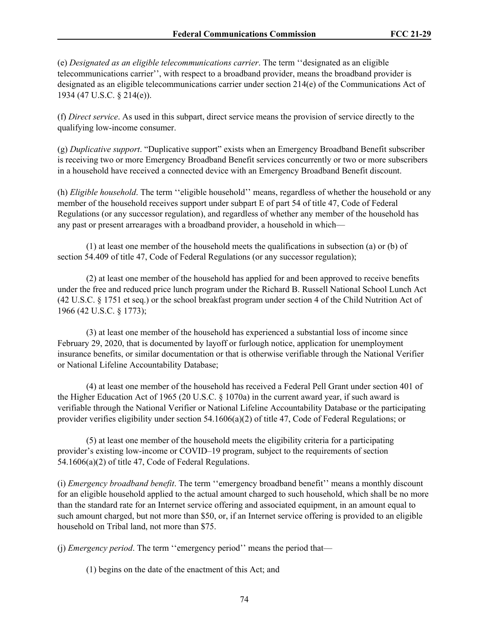(e) *Designated as an eligible telecommunications carrier*. The term ''designated as an eligible telecommunications carrier'', with respect to a broadband provider, means the broadband provider is designated as an eligible telecommunications carrier under section 214(e) of the Communications Act of 1934 (47 U.S.C. § 214(e)).

(f) *Direct service*. As used in this subpart, direct service means the provision of service directly to the qualifying low-income consumer.

(g) *Duplicative support*. "Duplicative support" exists when an Emergency Broadband Benefit subscriber is receiving two or more Emergency Broadband Benefit services concurrently or two or more subscribers in a household have received a connected device with an Emergency Broadband Benefit discount.

(h) *Eligible household*. The term ''eligible household'' means, regardless of whether the household or any member of the household receives support under subpart E of part 54 of title 47, Code of Federal Regulations (or any successor regulation), and regardless of whether any member of the household has any past or present arrearages with a broadband provider, a household in which—

(1) at least one member of the household meets the qualifications in subsection (a) or (b) of section 54.409 of title 47, Code of Federal Regulations (or any successor regulation);

(2) at least one member of the household has applied for and been approved to receive benefits under the free and reduced price lunch program under the Richard B. Russell National School Lunch Act (42 U.S.C. § 1751 et seq.) or the school breakfast program under section 4 of the Child Nutrition Act of 1966 (42 U.S.C. § 1773);

(3) at least one member of the household has experienced a substantial loss of income since February 29, 2020, that is documented by layoff or furlough notice, application for unemployment insurance benefits, or similar documentation or that is otherwise verifiable through the National Verifier or National Lifeline Accountability Database;

(4) at least one member of the household has received a Federal Pell Grant under section 401 of the Higher Education Act of 1965 (20 U.S.C. § 1070a) in the current award year, if such award is verifiable through the National Verifier or National Lifeline Accountability Database or the participating provider verifies eligibility under section 54.1606(a)(2) of title 47, Code of Federal Regulations; or

(5) at least one member of the household meets the eligibility criteria for a participating provider's existing low-income or COVID–19 program, subject to the requirements of section 54.1606(a)(2) of title 47, Code of Federal Regulations.

(i) *Emergency broadband benefit*. The term ''emergency broadband benefit'' means a monthly discount for an eligible household applied to the actual amount charged to such household, which shall be no more than the standard rate for an Internet service offering and associated equipment, in an amount equal to such amount charged, but not more than \$50, or, if an Internet service offering is provided to an eligible household on Tribal land, not more than \$75.

(j) *Emergency period*. The term ''emergency period'' means the period that—

(1) begins on the date of the enactment of this Act; and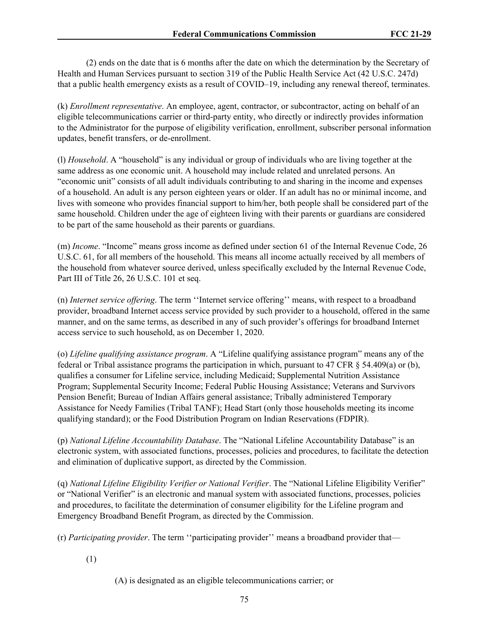(2) ends on the date that is 6 months after the date on which the determination by the Secretary of Health and Human Services pursuant to section 319 of the Public Health Service Act (42 U.S.C. 247d) that a public health emergency exists as a result of COVID–19, including any renewal thereof, terminates.

(k) *Enrollment representative*. An employee, agent, contractor, or subcontractor, acting on behalf of an eligible telecommunications carrier or third-party entity, who directly or indirectly provides information to the Administrator for the purpose of eligibility verification, enrollment, subscriber personal information updates, benefit transfers, or de-enrollment.

(l) *Household*. A "household" is any individual or group of individuals who are living together at the same address as one economic unit. A household may include related and unrelated persons. An "economic unit" consists of all adult individuals contributing to and sharing in the income and expenses of a household. An adult is any person eighteen years or older. If an adult has no or minimal income, and lives with someone who provides financial support to him/her, both people shall be considered part of the same household. Children under the age of eighteen living with their parents or guardians are considered to be part of the same household as their parents or guardians.

(m) *Income*. "Income" means gross income as defined under section 61 of the Internal Revenue Code, 26 U.S.C. 61, for all members of the household. This means all income actually received by all members of the household from whatever source derived, unless specifically excluded by the Internal Revenue Code, Part III of Title 26, 26 U.S.C. 101 et seq.

(n) *Internet service offering*. The term ''Internet service offering'' means, with respect to a broadband provider, broadband Internet access service provided by such provider to a household, offered in the same manner, and on the same terms, as described in any of such provider's offerings for broadband Internet access service to such household, as on December 1, 2020.

(o) *Lifeline qualifying assistance program*. A "Lifeline qualifying assistance program" means any of the federal or Tribal assistance programs the participation in which, pursuant to 47 CFR § 54.409(a) or (b), qualifies a consumer for Lifeline service, including Medicaid; Supplemental Nutrition Assistance Program; Supplemental Security Income; Federal Public Housing Assistance; Veterans and Survivors Pension Benefit; Bureau of Indian Affairs general assistance; Tribally administered Temporary Assistance for Needy Families (Tribal TANF); Head Start (only those households meeting its income qualifying standard); or the Food Distribution Program on Indian Reservations (FDPIR).

(p) *National Lifeline Accountability Database*. The "National Lifeline Accountability Database" is an electronic system, with associated functions, processes, policies and procedures, to facilitate the detection and elimination of duplicative support, as directed by the Commission.

(q) *National Lifeline Eligibility Verifier or National Verifier*. The "National Lifeline Eligibility Verifier" or "National Verifier" is an electronic and manual system with associated functions, processes, policies and procedures, to facilitate the determination of consumer eligibility for the Lifeline program and Emergency Broadband Benefit Program, as directed by the Commission.

(r) *Participating provider*. The term ''participating provider'' means a broadband provider that—

(1)

(A) is designated as an eligible telecommunications carrier; or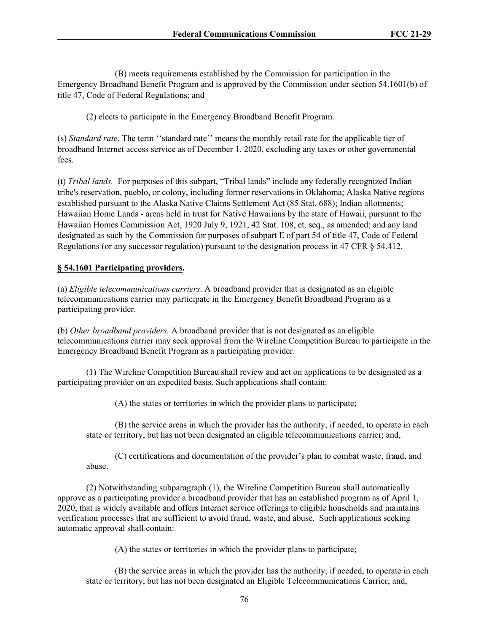(B) meets requirements established by the Commission for participation in the Emergency Broadband Benefit Program and is approved by the Commission under section 54.1601(b) of title 47, Code of Federal Regulations; and

(2) elects to participate in the Emergency Broadband Benefit Program.

(s) *Standard rate*. The term ''standard rate'' means the monthly retail rate for the applicable tier of broadband Internet access service as of December 1, 2020, excluding any taxes or other governmental fees.

(t) *Tribal lands.* For purposes of this subpart, "Tribal lands" include any federally recognized Indian tribe's reservation, pueblo, or colony, including former reservations in Oklahoma; Alaska Native regions established pursuant to the Alaska Native Claims Settlement Act (85 Stat. 688); Indian allotments; Hawaiian Home Lands - areas held in trust for Native Hawaiians by the state of Hawaii, pursuant to the Hawaiian Homes Commission Act, 1920 July 9, 1921, 42 Stat. 108, et. seq., as amended; and any land designated as such by the Commission for purposes of subpart E of part 54 of title 47, Code of Federal Regulations (or any successor regulation) pursuant to the designation process in 47 CFR § 54.412.

# **§ 54.1601 Participating providers.**

(a) *Eligible telecommunications carriers*. A broadband provider that is designated as an eligible telecommunications carrier may participate in the Emergency Benefit Broadband Program as a participating provider.

(b) *Other broadband providers.* A broadband provider that is not designated as an eligible telecommunications carrier may seek approval from the Wireline Competition Bureau to participate in the Emergency Broadband Benefit Program as a participating provider.

(1) The Wireline Competition Bureau shall review and act on applications to be designated as a participating provider on an expedited basis. Such applications shall contain:

(A) the states or territories in which the provider plans to participate;

(B) the service areas in which the provider has the authority, if needed, to operate in each state or territory, but has not been designated an eligible telecommunications carrier; and,

(C) certifications and documentation of the provider's plan to combat waste, fraud, and abuse.

(2) Notwithstanding subparagraph (1), the Wireline Competition Bureau shall automatically approve as a participating provider a broadband provider that has an established program as of April 1, 2020, that is widely available and offers Internet service offerings to eligible households and maintains verification processes that are sufficient to avoid fraud, waste, and abuse. Such applications seeking automatic approval shall contain:

(A) the states or territories in which the provider plans to participate;

(B) the service areas in which the provider has the authority, if needed, to operate in each state or territory, but has not been designated an Eligible Telecommunications Carrier; and,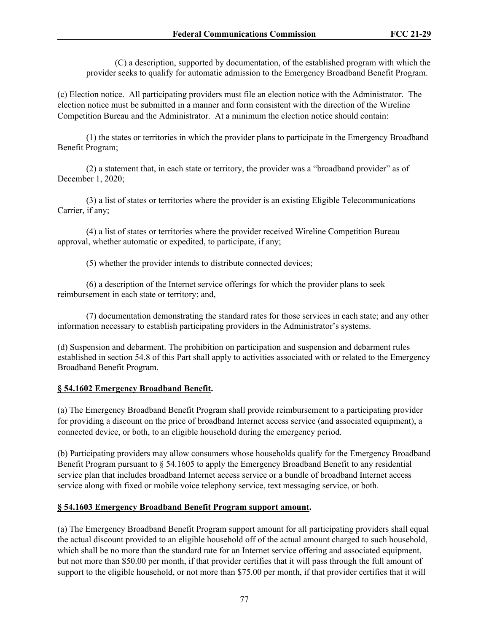(C) a description, supported by documentation, of the established program with which the provider seeks to qualify for automatic admission to the Emergency Broadband Benefit Program.

(c) Election notice. All participating providers must file an election notice with the Administrator. The election notice must be submitted in a manner and form consistent with the direction of the Wireline Competition Bureau and the Administrator. At a minimum the election notice should contain:

(1) the states or territories in which the provider plans to participate in the Emergency Broadband Benefit Program;

(2) a statement that, in each state or territory, the provider was a "broadband provider" as of December 1, 2020;

(3) a list of states or territories where the provider is an existing Eligible Telecommunications Carrier, if any;

(4) a list of states or territories where the provider received Wireline Competition Bureau approval, whether automatic or expedited, to participate, if any;

(5) whether the provider intends to distribute connected devices;

(6) a description of the Internet service offerings for which the provider plans to seek reimbursement in each state or territory; and,

(7) documentation demonstrating the standard rates for those services in each state; and any other information necessary to establish participating providers in the Administrator's systems.

(d) Suspension and debarment. The prohibition on participation and suspension and debarment rules established in section 54.8 of this Part shall apply to activities associated with or related to the Emergency Broadband Benefit Program.

# **§ 54.1602 Emergency Broadband Benefit.**

(a) The Emergency Broadband Benefit Program shall provide reimbursement to a participating provider for providing a discount on the price of broadband Internet access service (and associated equipment), a connected device, or both, to an eligible household during the emergency period.

(b) Participating providers may allow consumers whose households qualify for the Emergency Broadband Benefit Program pursuant to  $\S$  54.1605 to apply the Emergency Broadband Benefit to any residential service plan that includes broadband Internet access service or a bundle of broadband Internet access service along with fixed or mobile voice telephony service, text messaging service, or both.

## **§ 54.1603 Emergency Broadband Benefit Program support amount.**

(a) The Emergency Broadband Benefit Program support amount for all participating providers shall equal the actual discount provided to an eligible household off of the actual amount charged to such household, which shall be no more than the standard rate for an Internet service offering and associated equipment, but not more than \$50.00 per month, if that provider certifies that it will pass through the full amount of support to the eligible household, or not more than \$75.00 per month, if that provider certifies that it will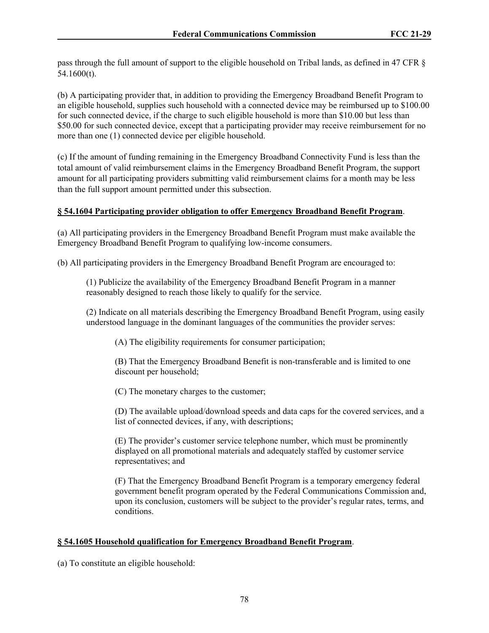pass through the full amount of support to the eligible household on Tribal lands, as defined in 47 CFR § 54.1600(t).

(b) A participating provider that, in addition to providing the Emergency Broadband Benefit Program to an eligible household, supplies such household with a connected device may be reimbursed up to \$100.00 for such connected device, if the charge to such eligible household is more than \$10.00 but less than \$50.00 for such connected device, except that a participating provider may receive reimbursement for no more than one (1) connected device per eligible household.

(c) If the amount of funding remaining in the Emergency Broadband Connectivity Fund is less than the total amount of valid reimbursement claims in the Emergency Broadband Benefit Program, the support amount for all participating providers submitting valid reimbursement claims for a month may be less than the full support amount permitted under this subsection.

# **§ 54.1604 Participating provider obligation to offer Emergency Broadband Benefit Program**.

(a) All participating providers in the Emergency Broadband Benefit Program must make available the Emergency Broadband Benefit Program to qualifying low-income consumers.

(b) All participating providers in the Emergency Broadband Benefit Program are encouraged to:

(1) Publicize the availability of the Emergency Broadband Benefit Program in a manner reasonably designed to reach those likely to qualify for the service.

(2) Indicate on all materials describing the Emergency Broadband Benefit Program, using easily understood language in the dominant languages of the communities the provider serves:

(A) The eligibility requirements for consumer participation;

(B) That the Emergency Broadband Benefit is non-transferable and is limited to one discount per household;

(C) The monetary charges to the customer;

(D) The available upload/download speeds and data caps for the covered services, and a list of connected devices, if any, with descriptions;

(E) The provider's customer service telephone number, which must be prominently displayed on all promotional materials and adequately staffed by customer service representatives; and

(F) That the Emergency Broadband Benefit Program is a temporary emergency federal government benefit program operated by the Federal Communications Commission and, upon its conclusion, customers will be subject to the provider's regular rates, terms, and conditions.

## **§ 54.1605 Household qualification for Emergency Broadband Benefit Program**.

(a) To constitute an eligible household: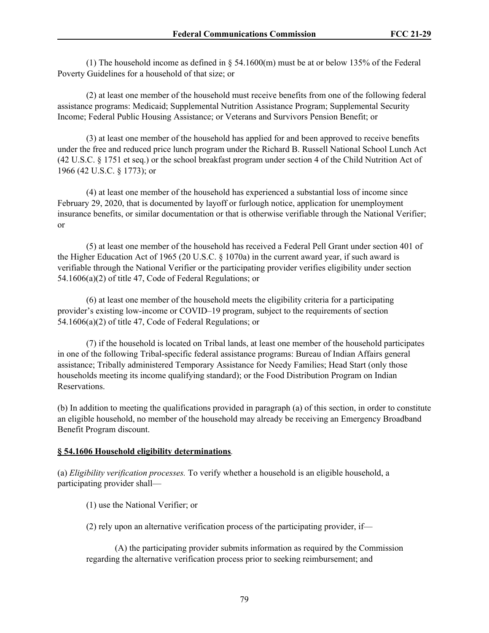(1) The household income as defined in  $\S$  54.1600(m) must be at or below 135% of the Federal Poverty Guidelines for a household of that size; or

(2) at least one member of the household must receive benefits from one of the following federal assistance programs: Medicaid; Supplemental Nutrition Assistance Program; Supplemental Security Income; Federal Public Housing Assistance; or Veterans and Survivors Pension Benefit; or

(3) at least one member of the household has applied for and been approved to receive benefits under the free and reduced price lunch program under the Richard B. Russell National School Lunch Act (42 U.S.C. § 1751 et seq.) or the school breakfast program under section 4 of the Child Nutrition Act of 1966 (42 U.S.C. § 1773); or

(4) at least one member of the household has experienced a substantial loss of income since February 29, 2020, that is documented by layoff or furlough notice, application for unemployment insurance benefits, or similar documentation or that is otherwise verifiable through the National Verifier; or

(5) at least one member of the household has received a Federal Pell Grant under section 401 of the Higher Education Act of 1965 (20 U.S.C. § 1070a) in the current award year, if such award is verifiable through the National Verifier or the participating provider verifies eligibility under section 54.1606(a)(2) of title 47, Code of Federal Regulations; or

(6) at least one member of the household meets the eligibility criteria for a participating provider's existing low-income or COVID–19 program, subject to the requirements of section 54.1606(a)(2) of title 47, Code of Federal Regulations; or

(7) if the household is located on Tribal lands, at least one member of the household participates in one of the following Tribal-specific federal assistance programs: Bureau of Indian Affairs general assistance; Tribally administered Temporary Assistance for Needy Families; Head Start (only those households meeting its income qualifying standard); or the Food Distribution Program on Indian Reservations.

(b) In addition to meeting the qualifications provided in paragraph (a) of this section, in order to constitute an eligible household, no member of the household may already be receiving an Emergency Broadband Benefit Program discount.

#### **§ 54.1606 Household eligibility determinations***.*

(a) *Eligibility verification processes.* To verify whether a household is an eligible household, a participating provider shall—

(1) use the National Verifier; or

(2) rely upon an alternative verification process of the participating provider, if—

(A) the participating provider submits information as required by the Commission regarding the alternative verification process prior to seeking reimbursement; and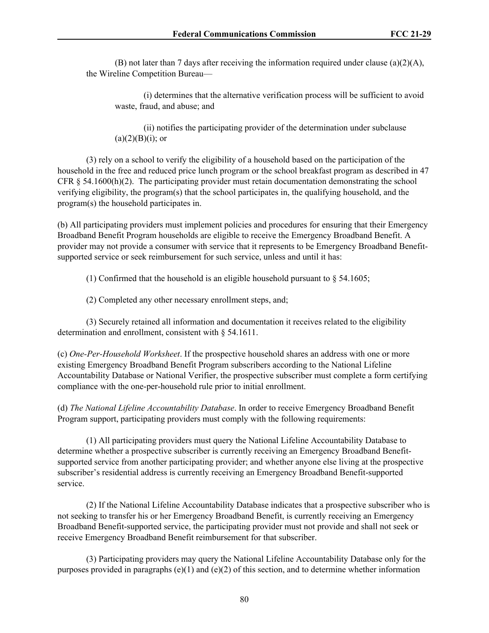(B) not later than 7 days after receiving the information required under clause (a)(2)(A), the Wireline Competition Bureau—

(i) determines that the alternative verification process will be sufficient to avoid waste, fraud, and abuse; and

(ii) notifies the participating provider of the determination under subclause  $(a)(2)(B)(i)$ ; or

(3) rely on a school to verify the eligibility of a household based on the participation of the household in the free and reduced price lunch program or the school breakfast program as described in 47 CFR § 54.1600(h)(2). The participating provider must retain documentation demonstrating the school verifying eligibility, the program(s) that the school participates in, the qualifying household, and the program(s) the household participates in.

(b) All participating providers must implement policies and procedures for ensuring that their Emergency Broadband Benefit Program households are eligible to receive the Emergency Broadband Benefit. A provider may not provide a consumer with service that it represents to be Emergency Broadband Benefitsupported service or seek reimbursement for such service, unless and until it has:

(1) Confirmed that the household is an eligible household pursuant to  $\S$  54.1605;

(2) Completed any other necessary enrollment steps, and;

(3) Securely retained all information and documentation it receives related to the eligibility determination and enrollment, consistent with § 54.1611.

(c) *One-Per-Household Worksheet*. If the prospective household shares an address with one or more existing Emergency Broadband Benefit Program subscribers according to the National Lifeline Accountability Database or National Verifier, the prospective subscriber must complete a form certifying compliance with the one-per-household rule prior to initial enrollment.

(d) *The National Lifeline Accountability Database*. In order to receive Emergency Broadband Benefit Program support, participating providers must comply with the following requirements:

(1) All participating providers must query the National Lifeline Accountability Database to determine whether a prospective subscriber is currently receiving an Emergency Broadband Benefitsupported service from another participating provider; and whether anyone else living at the prospective subscriber's residential address is currently receiving an Emergency Broadband Benefit-supported service.

(2) If the National Lifeline Accountability Database indicates that a prospective subscriber who is not seeking to transfer his or her Emergency Broadband Benefit, is currently receiving an Emergency Broadband Benefit-supported service, the participating provider must not provide and shall not seek or receive Emergency Broadband Benefit reimbursement for that subscriber.

(3) Participating providers may query the National Lifeline Accountability Database only for the purposes provided in paragraphs  $(e)(1)$  and  $(e)(2)$  of this section, and to determine whether information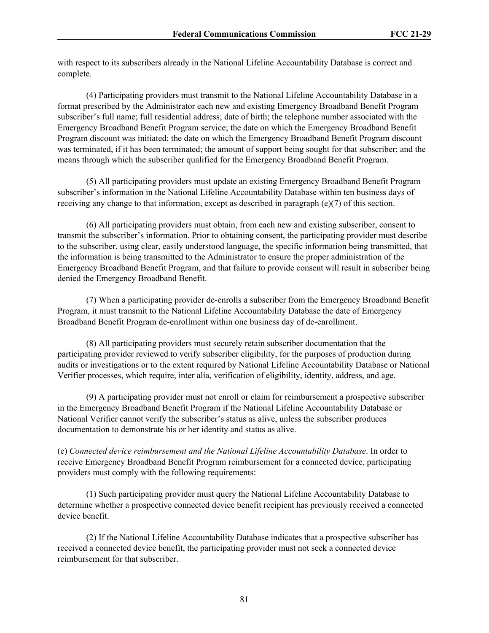with respect to its subscribers already in the National Lifeline Accountability Database is correct and complete.

(4) Participating providers must transmit to the National Lifeline Accountability Database in a format prescribed by the Administrator each new and existing Emergency Broadband Benefit Program subscriber's full name; full residential address; date of birth; the telephone number associated with the Emergency Broadband Benefit Program service; the date on which the Emergency Broadband Benefit Program discount was initiated; the date on which the Emergency Broadband Benefit Program discount was terminated, if it has been terminated; the amount of support being sought for that subscriber; and the means through which the subscriber qualified for the Emergency Broadband Benefit Program.

(5) All participating providers must update an existing Emergency Broadband Benefit Program subscriber's information in the National Lifeline Accountability Database within ten business days of receiving any change to that information, except as described in paragraph (e)(7) of this section.

(6) All participating providers must obtain, from each new and existing subscriber, consent to transmit the subscriber's information. Prior to obtaining consent, the participating provider must describe to the subscriber, using clear, easily understood language, the specific information being transmitted, that the information is being transmitted to the Administrator to ensure the proper administration of the Emergency Broadband Benefit Program, and that failure to provide consent will result in subscriber being denied the Emergency Broadband Benefit.

(7) When a participating provider de-enrolls a subscriber from the Emergency Broadband Benefit Program, it must transmit to the National Lifeline Accountability Database the date of Emergency Broadband Benefit Program de-enrollment within one business day of de-enrollment.

(8) All participating providers must securely retain subscriber documentation that the participating provider reviewed to verify subscriber eligibility, for the purposes of production during audits or investigations or to the extent required by National Lifeline Accountability Database or National Verifier processes, which require, inter alia, verification of eligibility, identity, address, and age.

(9) A participating provider must not enroll or claim for reimbursement a prospective subscriber in the Emergency Broadband Benefit Program if the National Lifeline Accountability Database or National Verifier cannot verify the subscriber's status as alive, unless the subscriber produces documentation to demonstrate his or her identity and status as alive.

(e) *Connected device reimbursement and the National Lifeline Accountability Database*. In order to receive Emergency Broadband Benefit Program reimbursement for a connected device, participating providers must comply with the following requirements:

(1) Such participating provider must query the National Lifeline Accountability Database to determine whether a prospective connected device benefit recipient has previously received a connected device benefit.

(2) If the National Lifeline Accountability Database indicates that a prospective subscriber has received a connected device benefit, the participating provider must not seek a connected device reimbursement for that subscriber.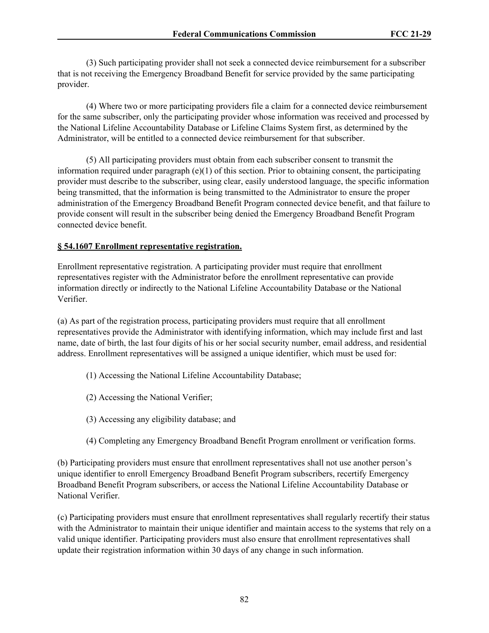(3) Such participating provider shall not seek a connected device reimbursement for a subscriber that is not receiving the Emergency Broadband Benefit for service provided by the same participating provider.

(4) Where two or more participating providers file a claim for a connected device reimbursement for the same subscriber, only the participating provider whose information was received and processed by the National Lifeline Accountability Database or Lifeline Claims System first, as determined by the Administrator, will be entitled to a connected device reimbursement for that subscriber.

(5) All participating providers must obtain from each subscriber consent to transmit the information required under paragraph  $(e)(1)$  of this section. Prior to obtaining consent, the participating provider must describe to the subscriber, using clear, easily understood language, the specific information being transmitted, that the information is being transmitted to the Administrator to ensure the proper administration of the Emergency Broadband Benefit Program connected device benefit, and that failure to provide consent will result in the subscriber being denied the Emergency Broadband Benefit Program connected device benefit.

# **§ 54.1607 Enrollment representative registration.**

Enrollment representative registration. A participating provider must require that enrollment representatives register with the Administrator before the enrollment representative can provide information directly or indirectly to the National Lifeline Accountability Database or the National Verifier.

(a) As part of the registration process, participating providers must require that all enrollment representatives provide the Administrator with identifying information, which may include first and last name, date of birth, the last four digits of his or her social security number, email address, and residential address. Enrollment representatives will be assigned a unique identifier, which must be used for:

- (1) Accessing the National Lifeline Accountability Database;
- (2) Accessing the National Verifier;
- (3) Accessing any eligibility database; and
- (4) Completing any Emergency Broadband Benefit Program enrollment or verification forms.

(b) Participating providers must ensure that enrollment representatives shall not use another person's unique identifier to enroll Emergency Broadband Benefit Program subscribers, recertify Emergency Broadband Benefit Program subscribers, or access the National Lifeline Accountability Database or National Verifier.

(c) Participating providers must ensure that enrollment representatives shall regularly recertify their status with the Administrator to maintain their unique identifier and maintain access to the systems that rely on a valid unique identifier. Participating providers must also ensure that enrollment representatives shall update their registration information within 30 days of any change in such information.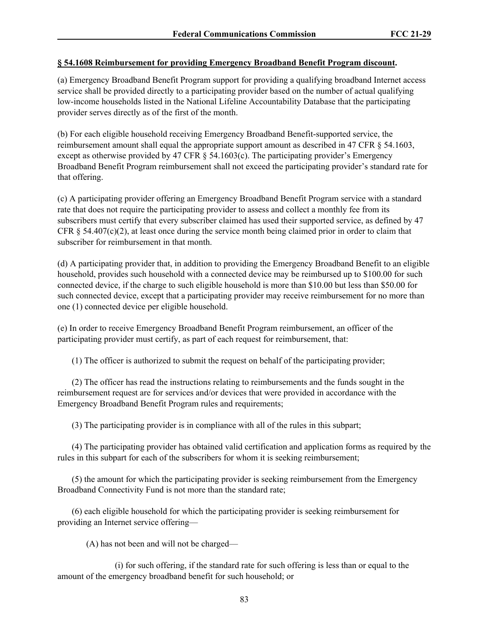## **§ 54.1608 Reimbursement for providing Emergency Broadband Benefit Program discount.**

(a) Emergency Broadband Benefit Program support for providing a qualifying broadband Internet access service shall be provided directly to a participating provider based on the number of actual qualifying low-income households listed in the National Lifeline Accountability Database that the participating provider serves directly as of the first of the month.

(b) For each eligible household receiving Emergency Broadband Benefit-supported service, the reimbursement amount shall equal the appropriate support amount as described in 47 CFR § 54.1603, except as otherwise provided by 47 CFR  $\S$  54.1603(c). The participating provider's Emergency Broadband Benefit Program reimbursement shall not exceed the participating provider's standard rate for that offering.

(c) A participating provider offering an Emergency Broadband Benefit Program service with a standard rate that does not require the participating provider to assess and collect a monthly fee from its subscribers must certify that every subscriber claimed has used their supported service, as defined by 47 CFR  $\delta$  54.407(c)(2), at least once during the service month being claimed prior in order to claim that subscriber for reimbursement in that month.

(d) A participating provider that, in addition to providing the Emergency Broadband Benefit to an eligible household, provides such household with a connected device may be reimbursed up to \$100.00 for such connected device, if the charge to such eligible household is more than \$10.00 but less than \$50.00 for such connected device, except that a participating provider may receive reimbursement for no more than one (1) connected device per eligible household.

(e) In order to receive Emergency Broadband Benefit Program reimbursement, an officer of the participating provider must certify, as part of each request for reimbursement, that:

(1) The officer is authorized to submit the request on behalf of the participating provider;

(2) The officer has read the instructions relating to reimbursements and the funds sought in the reimbursement request are for services and/or devices that were provided in accordance with the Emergency Broadband Benefit Program rules and requirements;

(3) The participating provider is in compliance with all of the rules in this subpart;

(4) The participating provider has obtained valid certification and application forms as required by the rules in this subpart for each of the subscribers for whom it is seeking reimbursement;

(5) the amount for which the participating provider is seeking reimbursement from the Emergency Broadband Connectivity Fund is not more than the standard rate;

(6) each eligible household for which the participating provider is seeking reimbursement for providing an Internet service offering—

(A) has not been and will not be charged—

(i) for such offering, if the standard rate for such offering is less than or equal to the amount of the emergency broadband benefit for such household; or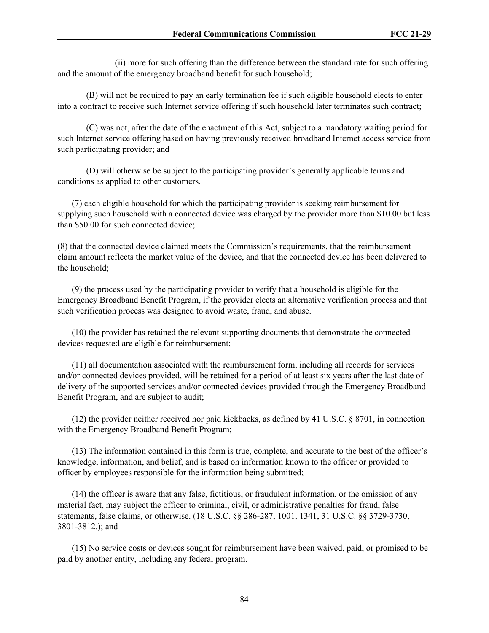(ii) more for such offering than the difference between the standard rate for such offering and the amount of the emergency broadband benefit for such household;

(B) will not be required to pay an early termination fee if such eligible household elects to enter into a contract to receive such Internet service offering if such household later terminates such contract;

(C) was not, after the date of the enactment of this Act, subject to a mandatory waiting period for such Internet service offering based on having previously received broadband Internet access service from such participating provider; and

(D) will otherwise be subject to the participating provider's generally applicable terms and conditions as applied to other customers.

(7) each eligible household for which the participating provider is seeking reimbursement for supplying such household with a connected device was charged by the provider more than \$10.00 but less than \$50.00 for such connected device;

(8) that the connected device claimed meets the Commission's requirements, that the reimbursement claim amount reflects the market value of the device, and that the connected device has been delivered to the household;

(9) the process used by the participating provider to verify that a household is eligible for the Emergency Broadband Benefit Program, if the provider elects an alternative verification process and that such verification process was designed to avoid waste, fraud, and abuse.

(10) the provider has retained the relevant supporting documents that demonstrate the connected devices requested are eligible for reimbursement;

(11) all documentation associated with the reimbursement form, including all records for services and/or connected devices provided, will be retained for a period of at least six years after the last date of delivery of the supported services and/or connected devices provided through the Emergency Broadband Benefit Program, and are subject to audit;

(12) the provider neither received nor paid kickbacks, as defined by 41 U.S.C. § 8701, in connection with the Emergency Broadband Benefit Program;

(13) The information contained in this form is true, complete, and accurate to the best of the officer's knowledge, information, and belief, and is based on information known to the officer or provided to officer by employees responsible for the information being submitted;

(14) the officer is aware that any false, fictitious, or fraudulent information, or the omission of any material fact, may subject the officer to criminal, civil, or administrative penalties for fraud, false statements, false claims, or otherwise. (18 U.S.C. §§ 286-287, 1001, 1341, 31 U.S.C. §§ 3729-3730, 3801-3812.); and

(15) No service costs or devices sought for reimbursement have been waived, paid, or promised to be paid by another entity, including any federal program.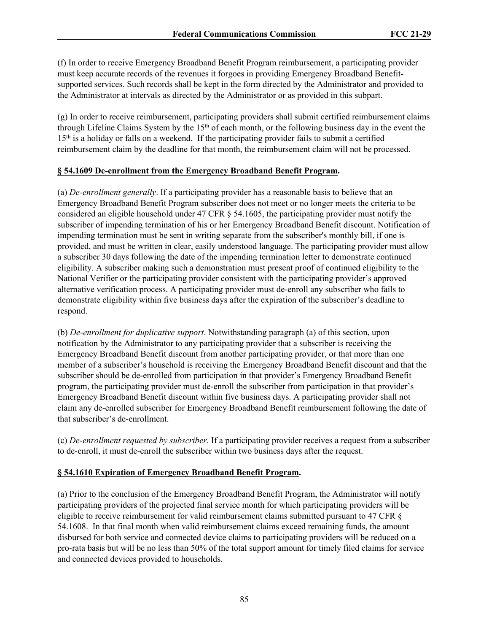(f) In order to receive Emergency Broadband Benefit Program reimbursement, a participating provider must keep accurate records of the revenues it forgoes in providing Emergency Broadband Benefitsupported services. Such records shall be kept in the form directed by the Administrator and provided to the Administrator at intervals as directed by the Administrator or as provided in this subpart.

(g) In order to receive reimbursement, participating providers shall submit certified reimbursement claims through Lifeline Claims System by the 15<sup>th</sup> of each month, or the following business day in the event the  $15<sup>th</sup>$  is a holiday or falls on a weekend. If the participating provider fails to submit a certified reimbursement claim by the deadline for that month, the reimbursement claim will not be processed.

# **§ 54.1609 De-enrollment from the Emergency Broadband Benefit Program.**

(a) *De-enrollment generally*. If a participating provider has a reasonable basis to believe that an Emergency Broadband Benefit Program subscriber does not meet or no longer meets the criteria to be considered an eligible household under 47 CFR § 54.1605, the participating provider must notify the subscriber of impending termination of his or her Emergency Broadband Benefit discount. Notification of impending termination must be sent in writing separate from the subscriber's monthly bill, if one is provided, and must be written in clear, easily understood language. The participating provider must allow a subscriber 30 days following the date of the impending termination letter to demonstrate continued eligibility. A subscriber making such a demonstration must present proof of continued eligibility to the National Verifier or the participating provider consistent with the participating provider's approved alternative verification process. A participating provider must de-enroll any subscriber who fails to demonstrate eligibility within five business days after the expiration of the subscriber's deadline to respond.

(b) *De-enrollment for duplicative support*. Notwithstanding paragraph (a) of this section, upon notification by the Administrator to any participating provider that a subscriber is receiving the Emergency Broadband Benefit discount from another participating provider, or that more than one member of a subscriber's household is receiving the Emergency Broadband Benefit discount and that the subscriber should be de-enrolled from participation in that provider's Emergency Broadband Benefit program, the participating provider must de-enroll the subscriber from participation in that provider's Emergency Broadband Benefit discount within five business days. A participating provider shall not claim any de-enrolled subscriber for Emergency Broadband Benefit reimbursement following the date of that subscriber's de-enrollment.

(c) *De-enrollment requested by subscriber*. If a participating provider receives a request from a subscriber to de-enroll, it must de-enroll the subscriber within two business days after the request.

# **§ 54.1610 Expiration of Emergency Broadband Benefit Program.**

(a) Prior to the conclusion of the Emergency Broadband Benefit Program, the Administrator will notify participating providers of the projected final service month for which participating providers will be eligible to receive reimbursement for valid reimbursement claims submitted pursuant to 47 CFR § 54.1608. In that final month when valid reimbursement claims exceed remaining funds, the amount disbursed for both service and connected device claims to participating providers will be reduced on a pro-rata basis but will be no less than 50% of the total support amount for timely filed claims for service and connected devices provided to households.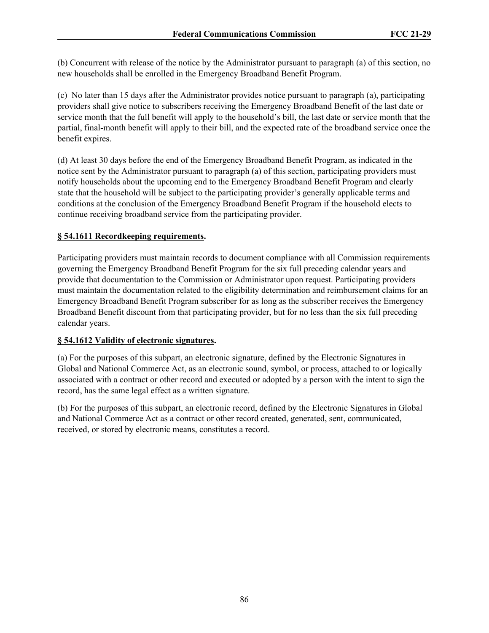(b) Concurrent with release of the notice by the Administrator pursuant to paragraph (a) of this section, no new households shall be enrolled in the Emergency Broadband Benefit Program.

(c) No later than 15 days after the Administrator provides notice pursuant to paragraph (a), participating providers shall give notice to subscribers receiving the Emergency Broadband Benefit of the last date or service month that the full benefit will apply to the household's bill, the last date or service month that the partial, final-month benefit will apply to their bill, and the expected rate of the broadband service once the benefit expires.

(d) At least 30 days before the end of the Emergency Broadband Benefit Program, as indicated in the notice sent by the Administrator pursuant to paragraph (a) of this section, participating providers must notify households about the upcoming end to the Emergency Broadband Benefit Program and clearly state that the household will be subject to the participating provider's generally applicable terms and conditions at the conclusion of the Emergency Broadband Benefit Program if the household elects to continue receiving broadband service from the participating provider.

# **§ 54.1611 Recordkeeping requirements.**

Participating providers must maintain records to document compliance with all Commission requirements governing the Emergency Broadband Benefit Program for the six full preceding calendar years and provide that documentation to the Commission or Administrator upon request. Participating providers must maintain the documentation related to the eligibility determination and reimbursement claims for an Emergency Broadband Benefit Program subscriber for as long as the subscriber receives the Emergency Broadband Benefit discount from that participating provider, but for no less than the six full preceding calendar years.

# **§ 54.1612 Validity of electronic signatures.**

(a) For the purposes of this subpart, an electronic signature, defined by the Electronic Signatures in Global and National Commerce Act, as an electronic sound, symbol, or process, attached to or logically associated with a contract or other record and executed or adopted by a person with the intent to sign the record, has the same legal effect as a written signature.

(b) For the purposes of this subpart, an electronic record, defined by the Electronic Signatures in Global and National Commerce Act as a contract or other record created, generated, sent, communicated, received, or stored by electronic means, constitutes a record.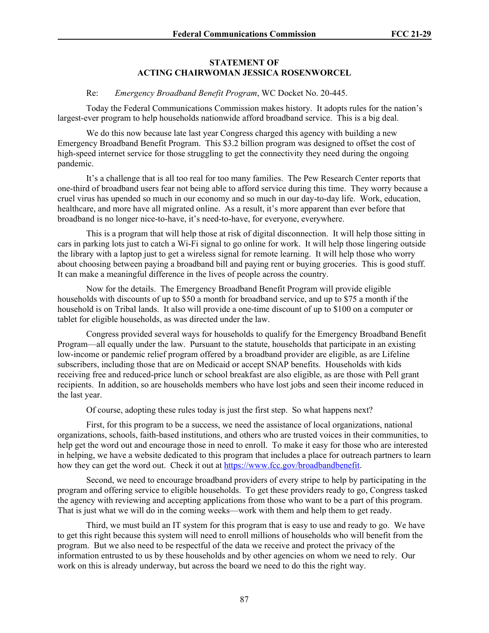## **STATEMENT OF ACTING CHAIRWOMAN JESSICA ROSENWORCEL**

#### Re: *Emergency Broadband Benefit Program*, WC Docket No. 20-445.

Today the Federal Communications Commission makes history. It adopts rules for the nation's largest-ever program to help households nationwide afford broadband service. This is a big deal.

We do this now because late last year Congress charged this agency with building a new Emergency Broadband Benefit Program. This \$3.2 billion program was designed to offset the cost of high-speed internet service for those struggling to get the connectivity they need during the ongoing pandemic.

It's a challenge that is all too real for too many families. The Pew Research Center reports that one-third of broadband users fear not being able to afford service during this time. They worry because a cruel virus has upended so much in our economy and so much in our day-to-day life. Work, education, healthcare, and more have all migrated online. As a result, it's more apparent than ever before that broadband is no longer nice-to-have, it's need-to-have, for everyone, everywhere.

This is a program that will help those at risk of digital disconnection. It will help those sitting in cars in parking lots just to catch a Wi-Fi signal to go online for work. It will help those lingering outside the library with a laptop just to get a wireless signal for remote learning. It will help those who worry about choosing between paying a broadband bill and paying rent or buying groceries. This is good stuff. It can make a meaningful difference in the lives of people across the country.

Now for the details. The Emergency Broadband Benefit Program will provide eligible households with discounts of up to \$50 a month for broadband service, and up to \$75 a month if the household is on Tribal lands. It also will provide a one-time discount of up to \$100 on a computer or tablet for eligible households, as was directed under the law.

Congress provided several ways for households to qualify for the Emergency Broadband Benefit Program—all equally under the law. Pursuant to the statute, households that participate in an existing low-income or pandemic relief program offered by a broadband provider are eligible, as are Lifeline subscribers, including those that are on Medicaid or accept SNAP benefits. Households with kids receiving free and reduced-price lunch or school breakfast are also eligible, as are those with Pell grant recipients. In addition, so are households members who have lost jobs and seen their income reduced in the last year.

Of course, adopting these rules today is just the first step. So what happens next?

First, for this program to be a success, we need the assistance of local organizations, national organizations, schools, faith-based institutions, and others who are trusted voices in their communities, to help get the word out and encourage those in need to enroll. To make it easy for those who are interested in helping, we have a website dedicated to this program that includes a place for outreach partners to learn how they can get the word out. Check it out at <https://www.fcc.gov/broadbandbenefit>.

Second, we need to encourage broadband providers of every stripe to help by participating in the program and offering service to eligible households. To get these providers ready to go, Congress tasked the agency with reviewing and accepting applications from those who want to be a part of this program. That is just what we will do in the coming weeks—work with them and help them to get ready.

Third, we must build an IT system for this program that is easy to use and ready to go. We have to get this right because this system will need to enroll millions of households who will benefit from the program. But we also need to be respectful of the data we receive and protect the privacy of the information entrusted to us by these households and by other agencies on whom we need to rely. Our work on this is already underway, but across the board we need to do this the right way.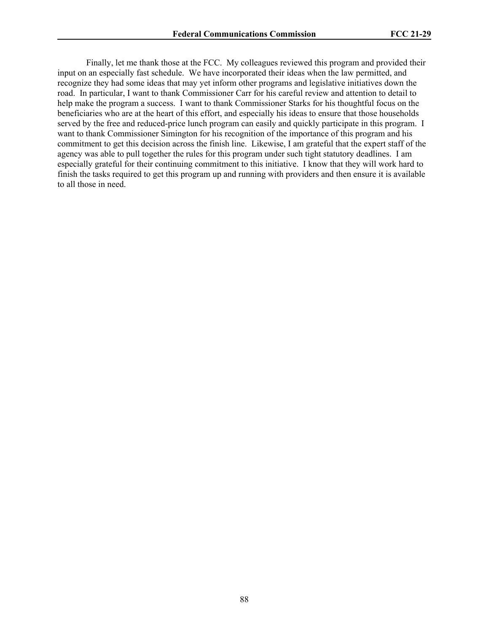Finally, let me thank those at the FCC. My colleagues reviewed this program and provided their input on an especially fast schedule. We have incorporated their ideas when the law permitted, and recognize they had some ideas that may yet inform other programs and legislative initiatives down the road. In particular, I want to thank Commissioner Carr for his careful review and attention to detail to help make the program a success. I want to thank Commissioner Starks for his thoughtful focus on the beneficiaries who are at the heart of this effort, and especially his ideas to ensure that those households served by the free and reduced-price lunch program can easily and quickly participate in this program. I want to thank Commissioner Simington for his recognition of the importance of this program and his commitment to get this decision across the finish line. Likewise, I am grateful that the expert staff of the agency was able to pull together the rules for this program under such tight statutory deadlines. I am especially grateful for their continuing commitment to this initiative. I know that they will work hard to finish the tasks required to get this program up and running with providers and then ensure it is available to all those in need.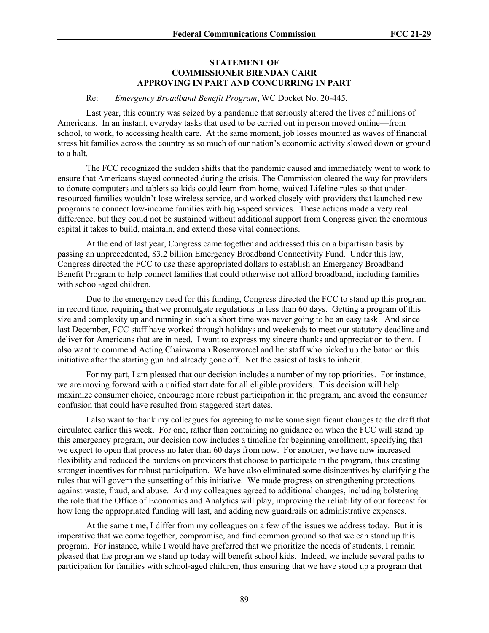#### **STATEMENT OF COMMISSIONER BRENDAN CARR APPROVING IN PART AND CONCURRING IN PART**

Re: *Emergency Broadband Benefit Program*, WC Docket No. 20-445.

Last year, this country was seized by a pandemic that seriously altered the lives of millions of Americans. In an instant, everyday tasks that used to be carried out in person moved online—from school, to work, to accessing health care. At the same moment, job losses mounted as waves of financial stress hit families across the country as so much of our nation's economic activity slowed down or ground to a halt.

The FCC recognized the sudden shifts that the pandemic caused and immediately went to work to ensure that Americans stayed connected during the crisis. The Commission cleared the way for providers to donate computers and tablets so kids could learn from home, waived Lifeline rules so that underresourced families wouldn't lose wireless service, and worked closely with providers that launched new programs to connect low-income families with high-speed services. These actions made a very real difference, but they could not be sustained without additional support from Congress given the enormous capital it takes to build, maintain, and extend those vital connections.

At the end of last year, Congress came together and addressed this on a bipartisan basis by passing an unprecedented, \$3.2 billion Emergency Broadband Connectivity Fund. Under this law, Congress directed the FCC to use these appropriated dollars to establish an Emergency Broadband Benefit Program to help connect families that could otherwise not afford broadband, including families with school-aged children.

Due to the emergency need for this funding, Congress directed the FCC to stand up this program in record time, requiring that we promulgate regulations in less than 60 days. Getting a program of this size and complexity up and running in such a short time was never going to be an easy task. And since last December, FCC staff have worked through holidays and weekends to meet our statutory deadline and deliver for Americans that are in need. I want to express my sincere thanks and appreciation to them. I also want to commend Acting Chairwoman Rosenworcel and her staff who picked up the baton on this initiative after the starting gun had already gone off. Not the easiest of tasks to inherit.

For my part, I am pleased that our decision includes a number of my top priorities. For instance, we are moving forward with a unified start date for all eligible providers. This decision will help maximize consumer choice, encourage more robust participation in the program, and avoid the consumer confusion that could have resulted from staggered start dates.

I also want to thank my colleagues for agreeing to make some significant changes to the draft that circulated earlier this week. For one, rather than containing no guidance on when the FCC will stand up this emergency program, our decision now includes a timeline for beginning enrollment, specifying that we expect to open that process no later than 60 days from now. For another, we have now increased flexibility and reduced the burdens on providers that choose to participate in the program, thus creating stronger incentives for robust participation. We have also eliminated some disincentives by clarifying the rules that will govern the sunsetting of this initiative. We made progress on strengthening protections against waste, fraud, and abuse. And my colleagues agreed to additional changes, including bolstering the role that the Office of Economics and Analytics will play, improving the reliability of our forecast for how long the appropriated funding will last, and adding new guardrails on administrative expenses.

At the same time, I differ from my colleagues on a few of the issues we address today. But it is imperative that we come together, compromise, and find common ground so that we can stand up this program. For instance, while I would have preferred that we prioritize the needs of students, I remain pleased that the program we stand up today will benefit school kids. Indeed, we include several paths to participation for families with school-aged children, thus ensuring that we have stood up a program that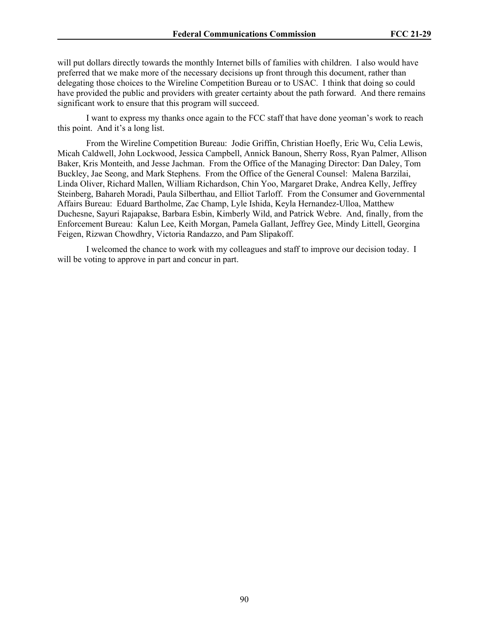will put dollars directly towards the monthly Internet bills of families with children. I also would have preferred that we make more of the necessary decisions up front through this document, rather than delegating those choices to the Wireline Competition Bureau or to USAC. I think that doing so could have provided the public and providers with greater certainty about the path forward. And there remains significant work to ensure that this program will succeed.

I want to express my thanks once again to the FCC staff that have done yeoman's work to reach this point. And it's a long list.

From the Wireline Competition Bureau: Jodie Griffin, Christian Hoefly, Eric Wu, Celia Lewis, Micah Caldwell, John Lockwood, Jessica Campbell, Annick Banoun, Sherry Ross, Ryan Palmer, Allison Baker, Kris Monteith, and Jesse Jachman. From the Office of the Managing Director: Dan Daley, Tom Buckley, Jae Seong, and Mark Stephens. From the Office of the General Counsel: Malena Barzilai, Linda Oliver, Richard Mallen, William Richardson, Chin Yoo, Margaret Drake, Andrea Kelly, Jeffrey Steinberg, Bahareh Moradi, Paula Silberthau, and Elliot Tarloff. From the Consumer and Governmental Affairs Bureau: Eduard Bartholme, Zac Champ, Lyle Ishida, Keyla Hernandez-Ulloa, Matthew Duchesne, Sayuri Rajapakse, Barbara Esbin, Kimberly Wild, and Patrick Webre. And, finally, from the Enforcement Bureau: Kalun Lee, Keith Morgan, Pamela Gallant, Jeffrey Gee, Mindy Littell, Georgina Feigen, Rizwan Chowdhry, Victoria Randazzo, and Pam Slipakoff.

I welcomed the chance to work with my colleagues and staff to improve our decision today. I will be voting to approve in part and concur in part.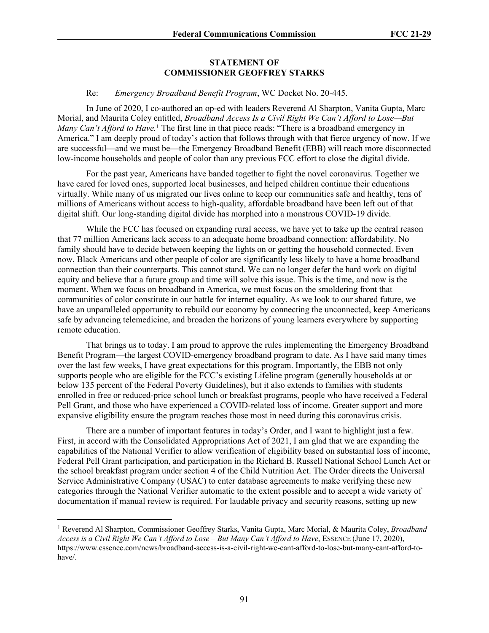### **STATEMENT OF COMMISSIONER GEOFFREY STARKS**

#### Re: *Emergency Broadband Benefit Program*, WC Docket No. 20-445.

In June of 2020, I co-authored an op-ed with leaders Reverend Al Sharpton, Vanita Gupta, Marc Morial, and Maurita Coley entitled, *Broadband Access Is a Civil Right We Can't Afford to Lose—But Many Can't Afford to Have.*<sup>1</sup> The first line in that piece reads: "There is a broadband emergency in America." I am deeply proud of today's action that follows through with that fierce urgency of now. If we are successful—and we must be—the Emergency Broadband Benefit (EBB) will reach more disconnected low-income households and people of color than any previous FCC effort to close the digital divide.

For the past year, Americans have banded together to fight the novel coronavirus. Together we have cared for loved ones, supported local businesses, and helped children continue their educations virtually. While many of us migrated our lives online to keep our communities safe and healthy, tens of millions of Americans without access to high-quality, affordable broadband have been left out of that digital shift. Our long-standing digital divide has morphed into a monstrous COVID-19 divide.

While the FCC has focused on expanding rural access, we have yet to take up the central reason that 77 million Americans lack access to an adequate home broadband connection: affordability. No family should have to decide between keeping the lights on or getting the household connected. Even now, Black Americans and other people of color are significantly less likely to have a home broadband connection than their counterparts. This cannot stand. We can no longer defer the hard work on digital equity and believe that a future group and time will solve this issue. This is the time, and now is the moment. When we focus on broadband in America, we must focus on the smoldering front that communities of color constitute in our battle for internet equality. As we look to our shared future, we have an unparalleled opportunity to rebuild our economy by connecting the unconnected, keep Americans safe by advancing telemedicine, and broaden the horizons of young learners everywhere by supporting remote education.

That brings us to today. I am proud to approve the rules implementing the Emergency Broadband Benefit Program—the largest COVID-emergency broadband program to date. As I have said many times over the last few weeks, I have great expectations for this program. Importantly, the EBB not only supports people who are eligible for the FCC's existing Lifeline program (generally households at or below 135 percent of the Federal Poverty Guidelines), but it also extends to families with students enrolled in free or reduced-price school lunch or breakfast programs, people who have received a Federal Pell Grant, and those who have experienced a COVID-related loss of income. Greater support and more expansive eligibility ensure the program reaches those most in need during this coronavirus crisis.

There are a number of important features in today's Order, and I want to highlight just a few. First, in accord with the Consolidated Appropriations Act of 2021, I am glad that we are expanding the capabilities of the National Verifier to allow verification of eligibility based on substantial loss of income, Federal Pell Grant participation, and participation in the Richard B. Russell National School Lunch Act or the school breakfast program under section 4 of the Child Nutrition Act. The Order directs the Universal Service Administrative Company (USAC) to enter database agreements to make verifying these new categories through the National Verifier automatic to the extent possible and to accept a wide variety of documentation if manual review is required. For laudable privacy and security reasons, setting up new

<sup>1</sup> Reverend Al Sharpton, Commissioner Geoffrey Starks, Vanita Gupta, Marc Morial, & Maurita Coley, *Broadband Access is a Civil Right We Can't Afford to Lose – But Many Can't Afford to Have*, ESSENCE (June 17, 2020), https://www.essence.com/news/broadband-access-is-a-civil-right-we-cant-afford-to-lose-but-many-cant-afford-tohave/.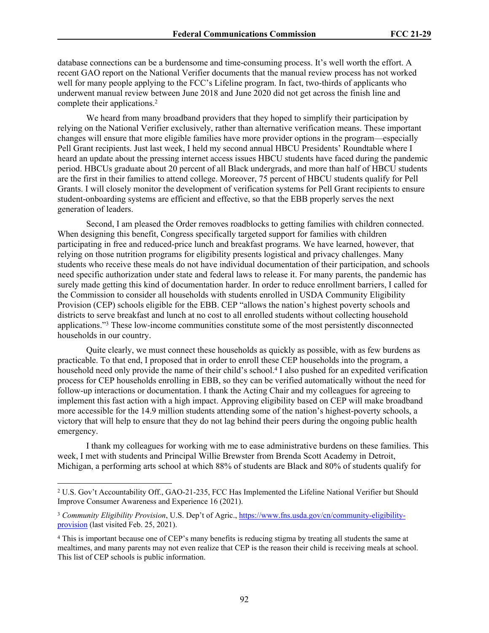database connections can be a burdensome and time-consuming process. It's well worth the effort. A recent GAO report on the National Verifier documents that the manual review process has not worked well for many people applying to the FCC's Lifeline program. In fact, two-thirds of applicants who underwent manual review between June 2018 and June 2020 did not get across the finish line and complete their applications.<sup>2</sup>

We heard from many broadband providers that they hoped to simplify their participation by relying on the National Verifier exclusively, rather than alternative verification means. These important changes will ensure that more eligible families have more provider options in the program—especially Pell Grant recipients. Just last week, I held my second annual HBCU Presidents' Roundtable where I heard an update about the pressing internet access issues HBCU students have faced during the pandemic period. HBCUs graduate about 20 percent of all Black undergrads, and more than half of HBCU students are the first in their families to attend college. Moreover, 75 percent of HBCU students qualify for Pell Grants. I will closely monitor the development of verification systems for Pell Grant recipients to ensure student-onboarding systems are efficient and effective, so that the EBB properly serves the next generation of leaders.

Second, I am pleased the Order removes roadblocks to getting families with children connected. When designing this benefit, Congress specifically targeted support for families with children participating in free and reduced-price lunch and breakfast programs. We have learned, however, that relying on those nutrition programs for eligibility presents logistical and privacy challenges. Many students who receive these meals do not have individual documentation of their participation, and schools need specific authorization under state and federal laws to release it. For many parents, the pandemic has surely made getting this kind of documentation harder. In order to reduce enrollment barriers, I called for the Commission to consider all households with students enrolled in USDA Community Eligibility Provision (CEP) schools eligible for the EBB. CEP "allows the nation's highest poverty schools and districts to serve breakfast and lunch at no cost to all enrolled students without collecting household applications."<sup>3</sup> These low-income communities constitute some of the most persistently disconnected households in our country.

Quite clearly, we must connect these households as quickly as possible, with as few burdens as practicable. To that end, I proposed that in order to enroll these CEP households into the program, a household need only provide the name of their child's school.<sup>4</sup> I also pushed for an expedited verification process for CEP households enrolling in EBB, so they can be verified automatically without the need for follow-up interactions or documentation. I thank the Acting Chair and my colleagues for agreeing to implement this fast action with a high impact. Approving eligibility based on CEP will make broadband more accessible for the 14.9 million students attending some of the nation's highest-poverty schools, a victory that will help to ensure that they do not lag behind their peers during the ongoing public health emergency.

I thank my colleagues for working with me to ease administrative burdens on these families. This week, I met with students and Principal Willie Brewster from Brenda Scott Academy in Detroit, Michigan, a performing arts school at which 88% of students are Black and 80% of students qualify for

<sup>2</sup> U.S. Gov't Accountability Off., GAO-21-235, FCC Has Implemented the Lifeline National Verifier but Should Improve Consumer Awareness and Experience 16 (2021).

<sup>3</sup> *Community Eligibility Provision*, U.S. Dep't of Agric., [https://www.fns.usda.gov/cn/community-eligibility](https://www.fns.usda.gov/cn/community-eligibility-provision)[provision](https://www.fns.usda.gov/cn/community-eligibility-provision) (last visited Feb. 25, 2021).

<sup>4</sup> This is important because one of CEP's many benefits is reducing stigma by treating all students the same at mealtimes, and many parents may not even realize that CEP is the reason their child is receiving meals at school. This list of CEP schools is public information.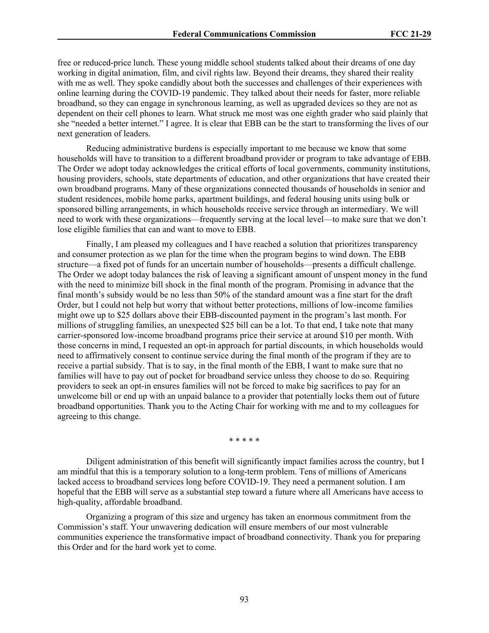free or reduced-price lunch. These young middle school students talked about their dreams of one day working in digital animation, film, and civil rights law. Beyond their dreams, they shared their reality with me as well. They spoke candidly about both the successes and challenges of their experiences with online learning during the COVID-19 pandemic. They talked about their needs for faster, more reliable broadband, so they can engage in synchronous learning, as well as upgraded devices so they are not as dependent on their cell phones to learn. What struck me most was one eighth grader who said plainly that she "needed a better internet." I agree. It is clear that EBB can be the start to transforming the lives of our next generation of leaders.

Reducing administrative burdens is especially important to me because we know that some households will have to transition to a different broadband provider or program to take advantage of EBB. The Order we adopt today acknowledges the critical efforts of local governments, community institutions, housing providers, schools, state departments of education, and other organizations that have created their own broadband programs. Many of these organizations connected thousands of households in senior and student residences, mobile home parks, apartment buildings, and federal housing units using bulk or sponsored billing arrangements, in which households receive service through an intermediary. We will need to work with these organizations—frequently serving at the local level—to make sure that we don't lose eligible families that can and want to move to EBB.

Finally, I am pleased my colleagues and I have reached a solution that prioritizes transparency and consumer protection as we plan for the time when the program begins to wind down. The EBB structure—a fixed pot of funds for an uncertain number of households—presents a difficult challenge. The Order we adopt today balances the risk of leaving a significant amount of unspent money in the fund with the need to minimize bill shock in the final month of the program. Promising in advance that the final month's subsidy would be no less than 50% of the standard amount was a fine start for the draft Order, but I could not help but worry that without better protections, millions of low-income families might owe up to \$25 dollars above their EBB-discounted payment in the program's last month. For millions of struggling families, an unexpected \$25 bill can be a lot. To that end, I take note that many carrier-sponsored low-income broadband programs price their service at around \$10 per month. With those concerns in mind, I requested an opt-in approach for partial discounts, in which households would need to affirmatively consent to continue service during the final month of the program if they are to receive a partial subsidy. That is to say, in the final month of the EBB, I want to make sure that no families will have to pay out of pocket for broadband service unless they choose to do so. Requiring providers to seek an opt-in ensures families will not be forced to make big sacrifices to pay for an unwelcome bill or end up with an unpaid balance to a provider that potentially locks them out of future broadband opportunities. Thank you to the Acting Chair for working with me and to my colleagues for agreeing to this change.

\* \* \* \* \*

Diligent administration of this benefit will significantly impact families across the country, but I am mindful that this is a temporary solution to a long-term problem. Tens of millions of Americans lacked access to broadband services long before COVID-19. They need a permanent solution. I am hopeful that the EBB will serve as a substantial step toward a future where all Americans have access to high-quality, affordable broadband.

Organizing a program of this size and urgency has taken an enormous commitment from the Commission's staff. Your unwavering dedication will ensure members of our most vulnerable communities experience the transformative impact of broadband connectivity. Thank you for preparing this Order and for the hard work yet to come.